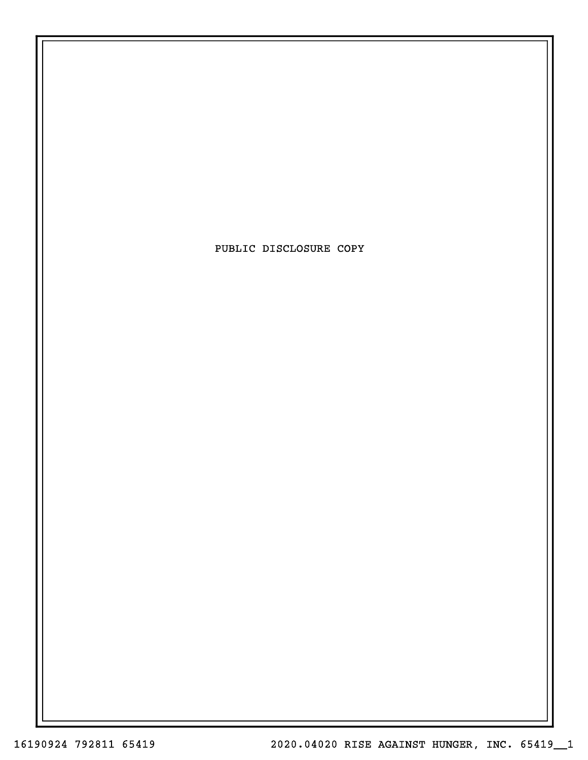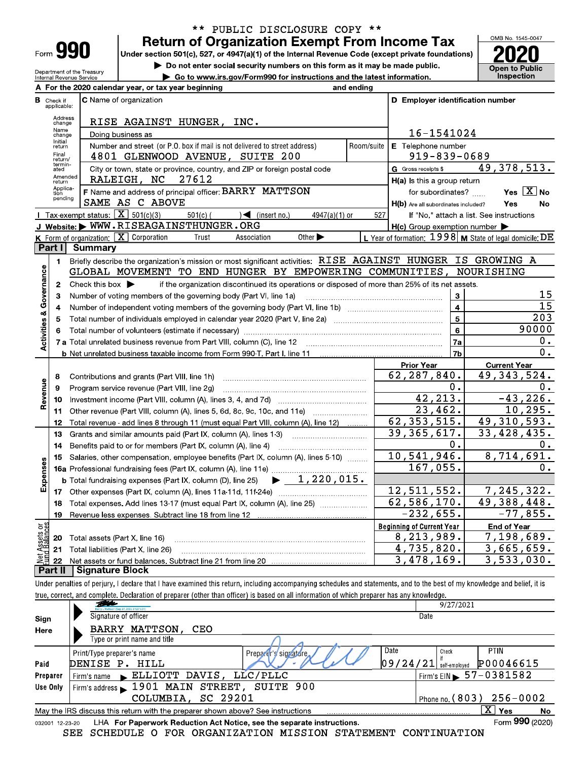| <b>Form</b> |  |
|-------------|--|

Department of the Treasury<br>Internal Revenue Service

## \*\* PUBLIC DISCLOSURE COPY \*\* **Return of Organization Exempt From Income Tax**

Under section 501(c), 527, or 4947(a)(1) of the Internal Revenue Code (except private foundations)

Do not enter social security numbers on this form as it may be made public.

Go to www.irs.gov/Form990 for instructions and the latest information.



|                                    |                                  | A For the 2020 calendar year, or tax year beginning                                                                                                                                                                            | and ending                   |                                                     |                                                           |  |  |  |  |
|------------------------------------|----------------------------------|--------------------------------------------------------------------------------------------------------------------------------------------------------------------------------------------------------------------------------|------------------------------|-----------------------------------------------------|-----------------------------------------------------------|--|--|--|--|
|                                    | <b>B</b> Check if<br>applicable: | <b>C</b> Name of organization                                                                                                                                                                                                  |                              | D Employer identification number                    |                                                           |  |  |  |  |
|                                    | Address<br>change                | RISE AGAINST HUNGER, INC.                                                                                                                                                                                                      |                              |                                                     |                                                           |  |  |  |  |
|                                    | Name<br>change                   | Doing business as                                                                                                                                                                                                              |                              | 16-1541024                                          |                                                           |  |  |  |  |
|                                    | Initial<br>return                | Number and street (or P.O. box if mail is not delivered to street address)<br>Room/suite                                                                                                                                       | E Telephone number           |                                                     |                                                           |  |  |  |  |
|                                    | Final<br>return/                 | 4801 GLENWOOD AVENUE, SUITE 200                                                                                                                                                                                                |                              | 919-839-0689                                        |                                                           |  |  |  |  |
|                                    | termin-<br>ated                  | City or town, state or province, country, and ZIP or foreign postal code                                                                                                                                                       |                              | G Gross receipts \$                                 | 49, 378, 513.                                             |  |  |  |  |
|                                    | Amended<br>return                | 27612<br>RALEIGH, NC                                                                                                                                                                                                           |                              | $H(a)$ is this a group return                       |                                                           |  |  |  |  |
|                                    | Applica-<br>tion<br>pending      | F Name and address of principal officer: BARRY MATTSON                                                                                                                                                                         |                              | for subordinates?                                   | Yes $X$ No                                                |  |  |  |  |
|                                    |                                  | SAME AS C ABOVE                                                                                                                                                                                                                |                              | H(b) Are all subordinates included?                 | Yes<br>No                                                 |  |  |  |  |
|                                    |                                  | <b>I</b> Tax exempt status: $\boxed{\mathbf{X}}$ 501(c)(3)<br>$\sqrt{ }$ (insert no.)<br>$501(c)$ (<br>$4947(a)(1)$ or                                                                                                         | 527                          |                                                     | If "No," attach a list. See instructions                  |  |  |  |  |
|                                    |                                  | J Website: WWW.RISEAGAINSTHUNGER.ORG                                                                                                                                                                                           |                              | $H(c)$ Group exemption number $\blacktriangleright$ |                                                           |  |  |  |  |
|                                    |                                  | <b>K</b> Form of organization: $\boxed{\mathbf{X}}$ Corporation<br>Other $\blacktriangleright$<br>Trust<br>Association                                                                                                         |                              |                                                     | L Year of formation: $1998$ M State of legal domicile: DE |  |  |  |  |
|                                    | Part I                           | <b>Summary</b>                                                                                                                                                                                                                 |                              |                                                     |                                                           |  |  |  |  |
|                                    | 1.                               | Briefly describe the organization's mission or most significant activities: RISE AGAINST HUNGER IS GROWING A                                                                                                                   |                              |                                                     |                                                           |  |  |  |  |
|                                    |                                  | GLOBAL MOVEMENT TO END HUNGER BY EMPOWERING COMMUNITIES, NOURISHING                                                                                                                                                            |                              |                                                     |                                                           |  |  |  |  |
| <b>Activities &amp; Governance</b> | $\mathbf{2}$                     | Check this box $\blacktriangleright$<br>if the organization discontinued its operations or disposed of more than 25% of its net assets.                                                                                        |                              |                                                     | 15                                                        |  |  |  |  |
|                                    | з                                | Number of voting members of the governing body (Part VI, line 1a)                                                                                                                                                              | 3<br>$\overline{\mathbf{4}}$ | $\overline{15}$                                     |                                                           |  |  |  |  |
|                                    | 4<br>5                           | Total number of individuals employed in calendar year 2020 (Part V, line 2a) manufactured contains an intervent                                                                                                                |                              | 5                                                   | 203                                                       |  |  |  |  |
|                                    | 6                                | Total number of volunteers (estimate if necessary) [11] manufacture material number of volunteers (estimate if necessary) [11] manufacture material number of volunteers (estimate if necessary) [11] manufacture material num |                              | 6                                                   | 90000                                                     |  |  |  |  |
|                                    |                                  | 7 a Total unrelated business revenue from Part VIII, column (C), line 12                                                                                                                                                       |                              | 7a                                                  | 0.                                                        |  |  |  |  |
|                                    |                                  | <b>b</b> Net unrelated business taxable income from Form 990 T, Part I, line 11 <i>maching manumentum</i> manuments.                                                                                                           |                              | 7b                                                  | $\overline{0}$ .                                          |  |  |  |  |
|                                    |                                  |                                                                                                                                                                                                                                |                              | <b>Prior Year</b>                                   | <b>Current Year</b>                                       |  |  |  |  |
|                                    | 8                                | Contributions and grants (Part VIII, line 1h)                                                                                                                                                                                  |                              | 62,287,840.                                         | 49, 343, 524.                                             |  |  |  |  |
| Revenue                            | 9                                | Program service revenue (Part VIII, line 2g)                                                                                                                                                                                   |                              | 0.                                                  | 0.                                                        |  |  |  |  |
|                                    | 10                               |                                                                                                                                                                                                                                |                              | 42, 213.                                            | $-43,226.$                                                |  |  |  |  |
|                                    | 11                               |                                                                                                                                                                                                                                |                              | 23,462.                                             | 10, 295.                                                  |  |  |  |  |
|                                    | 12                               | Total revenue - add lines 8 through 11 (must equal Part VIII, column (A), line 12)                                                                                                                                             |                              | 62, 353, 515.                                       | 49,310,593.                                               |  |  |  |  |
|                                    | 13                               | Grants and similar amounts paid (Part IX, column (A), lines 1-3)                                                                                                                                                               |                              | 39, 365, 617.                                       | 33,428,435.                                               |  |  |  |  |
|                                    | 14                               | Benefits paid to or for members (Part IX, column (A), line 4)                                                                                                                                                                  |                              | 0.                                                  | 0.                                                        |  |  |  |  |
|                                    | 15                               | Salaries, other compensation, employee benefits (Part IX, column (A), lines 5-10)                                                                                                                                              |                              | 10,541,946.                                         | 8,714,691.                                                |  |  |  |  |
| Expenses                           |                                  | 16a Professional fundraising fees (Part IX, column (A), line 11e)                                                                                                                                                              |                              | 167,055.                                            | 0.                                                        |  |  |  |  |
|                                    |                                  | $\blacktriangleright$ 1,220,015.<br><b>b</b> Total fundraising expenses (Part IX, column (D), line 25)                                                                                                                         |                              |                                                     |                                                           |  |  |  |  |
|                                    | 17                               |                                                                                                                                                                                                                                |                              | 12,511,552.                                         | 7, 245, 322.                                              |  |  |  |  |
|                                    | 18                               | Total expenses. Add lines 13-17 (must equal Part IX, column (A), line 25) [                                                                                                                                                    |                              | 62,586,170.                                         | 49,388,448.                                               |  |  |  |  |
|                                    | 19                               |                                                                                                                                                                                                                                |                              | $-232,655.$                                         | $-77,855.$                                                |  |  |  |  |
| Net Assets or<br>Fund Balances     |                                  |                                                                                                                                                                                                                                |                              | <b>Beginning of Current Year</b>                    | <b>End of Year</b>                                        |  |  |  |  |
|                                    | 20                               | Total assets (Part X, line 16)                                                                                                                                                                                                 |                              | 8,213,989.                                          | 7,198,689.                                                |  |  |  |  |
|                                    | 21                               | Total liabilities (Part X, line 26)                                                                                                                                                                                            |                              | 4,735,820.                                          | $\overline{3,665,659}$ .                                  |  |  |  |  |
|                                    | 22                               | LCianotura Dioel                                                                                                                                                                                                               |                              | 3,478,169.                                          | 3,533,030.                                                |  |  |  |  |

| Part II | Signature Block

Under penalties of perjury, I declare that I have examined this return, including accompanying schedules and statements, and to the best of my knowledge and belief, it is true, correct, and complete. Declaration of preparer (other than officer) is based on all information of which preparer has any knowledge.

|          | <b>Bally</b>                                                                                                 | 9/27/2021                                            |  |  |  |  |  |  |  |
|----------|--------------------------------------------------------------------------------------------------------------|------------------------------------------------------|--|--|--|--|--|--|--|
| Sign     | Signature of officer                                                                                         | Date                                                 |  |  |  |  |  |  |  |
| Here     | BARRY MATTSON,<br>CEO                                                                                        |                                                      |  |  |  |  |  |  |  |
|          | Type or print name and title                                                                                 |                                                      |  |  |  |  |  |  |  |
|          | Print/Type preparer's name<br>Preparer's signature                                                           | Date<br><b>PTIN</b><br>Check                         |  |  |  |  |  |  |  |
| Paid     | DENISE P. HILL                                                                                               | P00046615<br>$09/24/21$ self-employed                |  |  |  |  |  |  |  |
| Preparer | Firm's name ELLIOTT DAVIS, LLC/PLLC                                                                          | $\frac{1}{2}$ Firm's EIN $\triangleright$ 57-0381582 |  |  |  |  |  |  |  |
| Use Only | Firm's address 1901 MAIN STREET, SUITE 900                                                                   |                                                      |  |  |  |  |  |  |  |
|          | COLUMBIA, SC 29201                                                                                           | Phone no. (803) 256-0002                             |  |  |  |  |  |  |  |
|          | ΧI<br>l Yes<br>May the IRS discuss this return with the preparer shown above? See instructions<br>No         |                                                      |  |  |  |  |  |  |  |
|          | Form 990 (2020)<br>LHA For Paperwork Reduction Act Notice, see the separate instructions.<br>032001 12-23-20 |                                                      |  |  |  |  |  |  |  |

SEE SCHEDULE O FOR ORGANIZATION MISSION STATEMENT CONTINUATION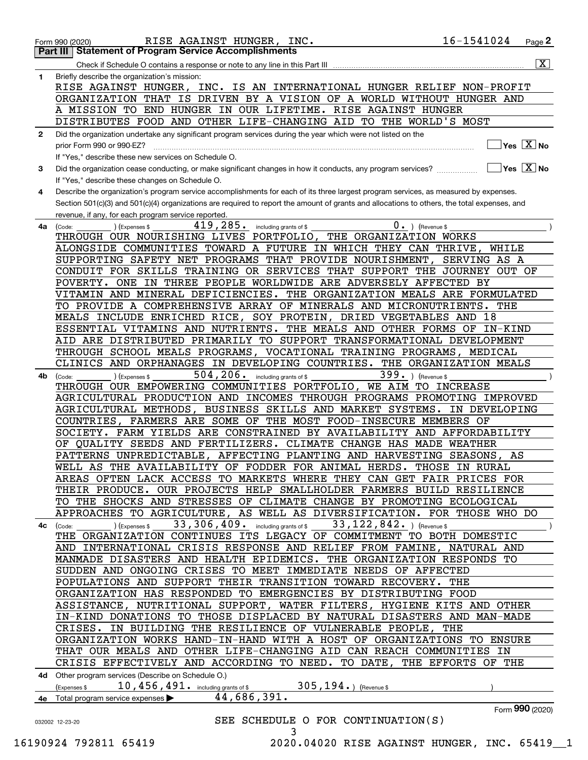|              | 16-1541024<br>RISE AGAINST HUNGER, INC.<br>Page $2$<br>Form 990 (2020)                                                                                          |
|--------------|-----------------------------------------------------------------------------------------------------------------------------------------------------------------|
|              | <b>Statement of Program Service Accomplishments</b><br>Part III I                                                                                               |
|              | $\overline{\mathbf{X}}$                                                                                                                                         |
| 1            | Briefly describe the organization's mission:                                                                                                                    |
|              | RISE AGAINST HUNGER, INC. IS AN INTERNATIONAL HUNGER RELIEF NON-PROFIT                                                                                          |
|              | ORGANIZATION THAT IS DRIVEN BY A VISION OF A WORLD WITHOUT HUNGER AND                                                                                           |
|              | A MISSION TO END HUNGER IN OUR LIFETIME. RISE AGAINST HUNGER                                                                                                    |
|              | DISTRIBUTES FOOD AND OTHER LIFE-CHANGING AID TO THE WORLD'S MOST                                                                                                |
| $\mathbf{2}$ | Did the organization undertake any significant program services during the year which were not listed on the                                                    |
|              | $\sqrt{}$ Yes $\sqrt{}$ $\overline{\rm X}$ No<br>prior Form 990 or 990-EZ?                                                                                      |
|              | If "Yes," describe these new services on Schedule O.                                                                                                            |
| 3            | $\overline{\ }$ Yes $\overline{\phantom{X}}$ No<br>Did the organization cease conducting, or make significant changes in how it conducts, any program services? |
|              | If "Yes," describe these changes on Schedule O.                                                                                                                 |
| 4            | Describe the organization's program service accomplishments for each of its three largest program services, as measured by expenses.                            |
|              | Section 501(c)(3) and 501(c)(4) organizations are required to report the amount of grants and allocations to others, the total expenses, and                    |
|              | revenue, if any, for each program service reported.                                                                                                             |
| 4а           | $0 \cdot$ ) (Revenue \$<br>419,285.<br>(Expenses \$<br>including grants of \$<br>(Code:                                                                         |
|              | THROUGH OUR NOURISHING LIVES PORTFOLIO, THE ORGANIZATION WORKS                                                                                                  |
|              | ALONGSIDE COMMUNITIES TOWARD A FUTURE IN WHICH THEY CAN THRIVE,<br>WHILE                                                                                        |
|              | SUPPORTING SAFETY NET PROGRAMS THAT PROVIDE NOURISHMENT,<br>SERVING AS A                                                                                        |
|              | CONDUIT FOR SKILLS TRAINING OR SERVICES THAT SUPPORT THE JOURNEY OUT OF                                                                                         |
|              | POVERTY. ONE IN THREE PEOPLE WORLDWIDE ARE ADVERSELY AFFECTED BY                                                                                                |
|              | VITAMIN AND MINERAL DEFICIENCIES. THE ORGANIZATION MEALS ARE FORMULATED                                                                                         |
|              | TO PROVIDE A COMPREHENSIVE ARRAY OF MINERALS AND MICRONUTRIENTS.<br>THE                                                                                         |
|              | MEALS INCLUDE ENRICHED RICE, SOY PROTEIN, DRIED VEGETABLES AND 18                                                                                               |
|              | ESSENTIAL VITAMINS AND NUTRIENTS. THE MEALS AND OTHER FORMS OF IN-KIND                                                                                          |
|              | AID ARE DISTRIBUTED PRIMARILY TO SUPPORT TRANSFORMATIONAL DEVELOPMENT                                                                                           |
|              | THROUGH SCHOOL MEALS PROGRAMS, VOCATIONAL TRAINING PROGRAMS, MEDICAL                                                                                            |
|              | CLINICS AND ORPHANAGES IN DEVELOPING COUNTRIES. THE ORGANIZATION MEALS                                                                                          |
| 4b           | 399. ) (Revenue \$<br>$504$ , $206$ $\cdot$ including grants of \$<br>(Expenses \$<br>(Code:                                                                    |
|              | THROUGH OUR EMPOWERING COMMUNITIES PORTFOLIO, WE AIM TO INCREASE                                                                                                |
|              | AGRICULTURAL PRODUCTION AND INCOMES THROUGH PROGRAMS PROMOTING IMPROVED                                                                                         |
|              | AGRICULTURAL METHODS, BUSINESS SKILLS AND MARKET SYSTEMS.<br>IN DEVELOPING                                                                                      |
|              | COUNTRIES, FARMERS ARE SOME OF THE MOST FOOD-INSECURE MEMBERS OF                                                                                                |
|              | SOCIETY. FARM YIELDS ARE CONSTRAINED BY AVAILABILITY AND AFFORDABILITY                                                                                          |
|              | OF QUALITY SEEDS AND FERTILIZERS. CLIMATE CHANGE HAS MADE WEATHER                                                                                               |
|              | PATTERNS UNPREDICTABLE, AFFECTING PLANTING AND HARVESTING SEASONS,<br>AS                                                                                        |
|              | WELL AS THE AVAILABILITY OF FODDER FOR ANIMAL HERDS. THOSE IN RURAL                                                                                             |
|              | AREAS OFTEN LACK ACCESS TO MARKETS WHERE THEY CAN GET FAIR PRICES FOR                                                                                           |
|              | THEIR PRODUCE. OUR PROJECTS HELP SMALLHOLDER FARMERS BUILD RESILIENCE                                                                                           |
|              | TO THE SHOCKS AND STRESSES OF CLIMATE CHANGE BY PROMOTING ECOLOGICAL                                                                                            |
|              | APPROACHES TO AGRICULTURE, AS WELL AS DIVERSIFICATION. FOR THOSE WHO DO                                                                                         |
| 4с           | 33, 122, 842. $($ Revenue \$<br>33, 306, 409. including grants of \$<br>) (Expenses \$<br>(Code:                                                                |
|              | THE ORGANIZATION CONTINUES ITS LEGACY OF COMMITMENT TO BOTH DOMESTIC                                                                                            |
|              | AND INTERNATIONAL CRISIS RESPONSE AND RELIEF FROM FAMINE, NATURAL AND                                                                                           |
|              | MANMADE DISASTERS AND HEALTH EPIDEMICS. THE ORGANIZATION RESPONDS TO                                                                                            |
|              | SUDDEN AND ONGOING CRISES TO MEET IMMEDIATE NEEDS OF AFFECTED<br>POPULATIONS AND SUPPORT THEIR TRANSITION TOWARD RECOVERY.<br>THE                               |
|              | ORGANIZATION HAS RESPONDED TO EMERGENCIES BY DISTRIBUTING FOOD                                                                                                  |
|              | ASSISTANCE, NUTRITIONAL SUPPORT, WATER FILTERS, HYGIENE KITS AND OTHER                                                                                          |
|              | IN-KIND DONATIONS TO THOSE DISPLACED BY NATURAL DISASTERS AND MAN-MADE                                                                                          |
|              | CRISES. IN BUILDING THE RESILIENCE OF VULNERABLE PEOPLE,<br>THE                                                                                                 |
|              | ORGANIZATION WORKS HAND-IN-HAND WITH A HOST OF ORGANIZATIONS TO ENSURE                                                                                          |
|              | THAT OUR MEALS AND OTHER LIFE-CHANGING AID CAN REACH COMMUNITIES IN                                                                                             |
|              | CRISIS EFFECTIVELY AND ACCORDING TO NEED. TO DATE, THE EFFORTS OF THE                                                                                           |
|              |                                                                                                                                                                 |
|              | 4d Other program services (Describe on Schedule O.)<br>305, $194.$ (Revenue \$<br>10, 456, 491. including grants of \$<br>(Expenses \$                          |
| 4e           | 44,686,391.<br>Total program service expenses                                                                                                                   |
|              | Form 990 (2020)                                                                                                                                                 |
|              | SEE SCHEDULE O FOR CONTINUATION(S)<br>032002 12-23-20                                                                                                           |
|              | 3                                                                                                                                                               |
|              |                                                                                                                                                                 |

 <sup>16190924 792811 65419 2020.04020</sup> RISE AGAINST HUNGER, INC. 65419\_\_1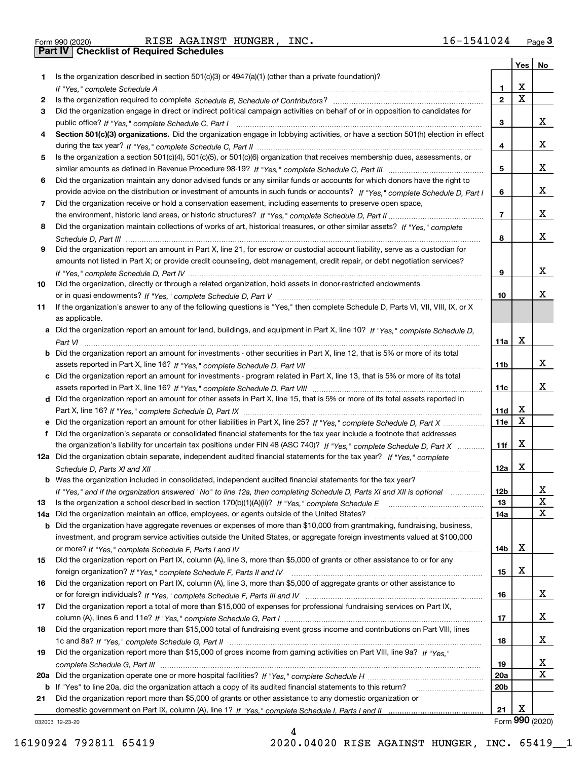|  | Form 990 (2020) |
|--|-----------------|
|  |                 |

|     |                                                                                                                                       |                 | Yes                     | No                      |
|-----|---------------------------------------------------------------------------------------------------------------------------------------|-----------------|-------------------------|-------------------------|
| 1.  | Is the organization described in section $501(c)(3)$ or $4947(a)(1)$ (other than a private foundation)?                               |                 |                         |                         |
|     |                                                                                                                                       | 1.              | X                       |                         |
| 2   |                                                                                                                                       | $\overline{2}$  | $\overline{\mathbf{x}}$ |                         |
| 3   | Did the organization engage in direct or indirect political campaign activities on behalf of or in opposition to candidates for       |                 |                         |                         |
|     |                                                                                                                                       | 3               |                         | x                       |
| 4   | Section 501(c)(3) organizations. Did the organization engage in lobbying activities, or have a section 501(h) election in effect      |                 |                         |                         |
|     |                                                                                                                                       | 4               |                         | x                       |
| 5   | Is the organization a section 501(c)(4), 501(c)(5), or 501(c)(6) organization that receives membership dues, assessments, or          |                 |                         |                         |
|     |                                                                                                                                       | 5               |                         | x                       |
| 6   | Did the organization maintain any donor advised funds or any similar funds or accounts for which donors have the right to             |                 |                         |                         |
|     | provide advice on the distribution or investment of amounts in such funds or accounts? If "Yes," complete Schedule D, Part I          | 6               |                         | x                       |
| 7   | Did the organization receive or hold a conservation easement, including easements to preserve open space,                             |                 |                         |                         |
|     |                                                                                                                                       | $\overline{7}$  |                         | X                       |
| 8   | Did the organization maintain collections of works of art, historical treasures, or other similar assets? If "Yes," complete          |                 |                         | x                       |
|     |                                                                                                                                       | 8               |                         |                         |
| 9   | Did the organization report an amount in Part X, line 21, for escrow or custodial account liability, serve as a custodian for         |                 |                         |                         |
|     | amounts not listed in Part X; or provide credit counseling, debt management, credit repair, or debt negotiation services?             |                 |                         | x                       |
|     |                                                                                                                                       | 9               |                         |                         |
| 10  | Did the organization, directly or through a related organization, hold assets in donor-restricted endowments                          | 10              |                         | х                       |
| 11  | If the organization's answer to any of the following questions is "Yes," then complete Schedule D, Parts VI, VIII, VIII, IX, or X     |                 |                         |                         |
|     | as applicable.                                                                                                                        |                 |                         |                         |
|     | a Did the organization report an amount for land, buildings, and equipment in Part X, line 10? If "Yes," complete Schedule D,         |                 |                         |                         |
|     |                                                                                                                                       | 11a             | X                       |                         |
|     | <b>b</b> Did the organization report an amount for investments - other securities in Part X, line 12, that is 5% or more of its total |                 |                         |                         |
|     |                                                                                                                                       | 11b             |                         | х                       |
|     | c Did the organization report an amount for investments - program related in Part X, line 13, that is 5% or more of its total         |                 |                         |                         |
|     |                                                                                                                                       | 11c             |                         | х                       |
|     | d Did the organization report an amount for other assets in Part X, line 15, that is 5% or more of its total assets reported in       |                 |                         |                         |
|     |                                                                                                                                       | 11d             | х                       |                         |
|     | e Did the organization report an amount for other liabilities in Part X, line 25? If "Yes," complete Schedule D, Part X               | 11e             | $\mathbf X$             |                         |
| f   | Did the organization's separate or consolidated financial statements for the tax year include a footnote that addresses               |                 |                         |                         |
|     | the organization's liability for uncertain tax positions under FIN 48 (ASC 740)? If "Yes," complete Schedule D, Part X                | 11f             | X                       |                         |
|     | 12a Did the organization obtain separate, independent audited financial statements for the tax year? If "Yes," complete               |                 |                         |                         |
|     |                                                                                                                                       | 12a             | X                       |                         |
|     | <b>b</b> Was the organization included in consolidated, independent audited financial statements for the tax year?                    |                 |                         |                         |
|     | If "Yes," and if the organization answered "No" to line 12a, then completing Schedule D, Parts XI and XII is optional                 | 12D             |                         | ᅀ                       |
| 13  |                                                                                                                                       | 13              |                         | X                       |
| 14a | Did the organization maintain an office, employees, or agents outside of the United States?                                           | 14a             |                         | $\mathbf X$             |
|     | <b>b</b> Did the organization have aggregate revenues or expenses of more than \$10,000 from grantmaking, fundraising, business,      |                 |                         |                         |
|     | investment, and program service activities outside the United States, or aggregate foreign investments valued at \$100,000            |                 |                         |                         |
|     |                                                                                                                                       | 14b             | х                       |                         |
| 15  | Did the organization report on Part IX, column (A), line 3, more than \$5,000 of grants or other assistance to or for any             |                 |                         |                         |
|     |                                                                                                                                       | 15              | X                       |                         |
| 16  | Did the organization report on Part IX, column (A), line 3, more than \$5,000 of aggregate grants or other assistance to              |                 |                         |                         |
|     |                                                                                                                                       | 16              |                         | x                       |
| 17  | Did the organization report a total of more than \$15,000 of expenses for professional fundraising services on Part IX,               |                 |                         |                         |
|     |                                                                                                                                       | 17              |                         | X                       |
| 18  | Did the organization report more than \$15,000 total of fundraising event gross income and contributions on Part VIII, lines          |                 |                         |                         |
|     |                                                                                                                                       | 18              |                         | x                       |
| 19  | Did the organization report more than \$15,000 of gross income from gaming activities on Part VIII, line 9a? If "Yes."                |                 |                         |                         |
|     |                                                                                                                                       | 19              |                         | x                       |
|     |                                                                                                                                       | 20a             |                         | $\overline{\mathbf{x}}$ |
|     | b If "Yes" to line 20a, did the organization attach a copy of its audited financial statements to this return?                        | 20 <sub>b</sub> |                         |                         |
| 21  | Did the organization report more than \$5,000 of grants or other assistance to any domestic organization or                           |                 |                         |                         |
|     |                                                                                                                                       | 21              | X                       |                         |
|     | 032003 12-23-20                                                                                                                       |                 |                         | Form 990 (2020)         |

4

032003 12-23-20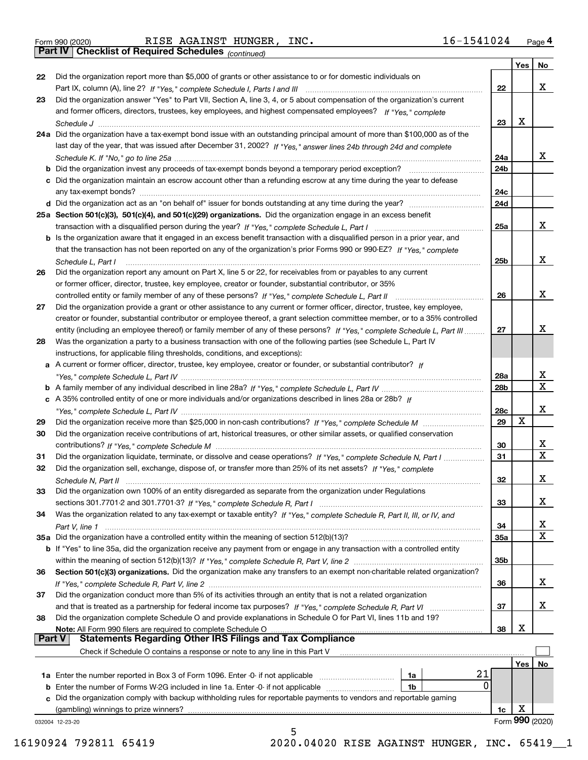*(continued)*

|               |                                                                                                                              |                 | Yes        | No              |
|---------------|------------------------------------------------------------------------------------------------------------------------------|-----------------|------------|-----------------|
| 22            | Did the organization report more than \$5,000 of grants or other assistance to or for domestic individuals on                |                 |            |                 |
|               |                                                                                                                              | 22              |            | x               |
| 23            | Did the organization answer "Yes" to Part VII, Section A, line 3, 4, or 5 about compensation of the organization's current   |                 |            |                 |
|               | and former officers, directors, trustees, key employees, and highest compensated employees? If "Yes," complete               |                 |            |                 |
|               |                                                                                                                              | 23              | x          |                 |
|               | 24a Did the organization have a tax-exempt bond issue with an outstanding principal amount of more than \$100,000 as of the  |                 |            |                 |
|               | last day of the year, that was issued after December 31, 2002? If "Yes," answer lines 24b through 24d and complete           |                 |            |                 |
|               |                                                                                                                              | 24a             |            | x               |
|               | b Did the organization invest any proceeds of tax-exempt bonds beyond a temporary period exception?                          | 24b             |            |                 |
|               | c Did the organization maintain an escrow account other than a refunding escrow at any time during the year to defease       |                 |            |                 |
|               | any tax-exempt bonds?                                                                                                        | 24c             |            |                 |
|               | d Did the organization act as an "on behalf of" issuer for bonds outstanding at any time during the year?                    | 24d             |            |                 |
|               | 25a Section 501(c)(3), 501(c)(4), and 501(c)(29) organizations. Did the organization engage in an excess benefit             |                 |            |                 |
|               |                                                                                                                              | 25a             |            | x               |
|               | b Is the organization aware that it engaged in an excess benefit transaction with a disqualified person in a prior year, and |                 |            |                 |
|               | that the transaction has not been reported on any of the organization's prior Forms 990 or 990-EZ? If "Yes," complete        |                 |            |                 |
|               | Schedule L, Part I                                                                                                           | 25b             |            | x               |
| 26            | Did the organization report any amount on Part X, line 5 or 22, for receivables from or payables to any current              |                 |            |                 |
|               | or former officer, director, trustee, key employee, creator or founder, substantial contributor, or 35%                      |                 |            |                 |
|               |                                                                                                                              | 26              |            | х               |
| 27            | Did the organization provide a grant or other assistance to any current or former officer, director, trustee, key employee,  |                 |            |                 |
|               | creator or founder, substantial contributor or employee thereof, a grant selection committee member, or to a 35% controlled  |                 |            |                 |
|               | entity (including an employee thereof) or family member of any of these persons? If "Yes," complete Schedule L, Part III     | 27              |            | х               |
| 28            | Was the organization a party to a business transaction with one of the following parties (see Schedule L, Part IV            |                 |            |                 |
|               | instructions, for applicable filing thresholds, conditions, and exceptions):                                                 |                 |            |                 |
|               | a A current or former officer, director, trustee, key employee, creator or founder, or substantial contributor? If           |                 |            |                 |
|               |                                                                                                                              | 28a             |            | x               |
|               |                                                                                                                              | 28 <sub>b</sub> |            | $\mathbf{x}$    |
|               | c A 35% controlled entity of one or more individuals and/or organizations described in lines 28a or 28b? If                  |                 |            |                 |
|               |                                                                                                                              | 28c             |            | х               |
| 29            |                                                                                                                              | 29              | х          |                 |
| 30            | Did the organization receive contributions of art, historical treasures, or other similar assets, or qualified conservation  |                 |            |                 |
|               |                                                                                                                              | 30              |            | x               |
| 31            | Did the organization liquidate, terminate, or dissolve and cease operations? If "Yes," complete Schedule N, Part I           | 31              |            | $\mathbf x$     |
| 32            | Did the organization sell, exchange, dispose of, or transfer more than 25% of its net assets? If "Yes," complete             |                 |            |                 |
|               | Schedule N, Part II                                                                                                          | 32              |            | х               |
| 33            | Did the organization own 100% of an entity disregarded as separate from the organization under Regulations                   |                 |            |                 |
|               |                                                                                                                              | 33              |            | х               |
| 34            | Was the organization related to any tax-exempt or taxable entity? If "Yes," complete Schedule R, Part II, III, or IV, and    |                 |            |                 |
|               |                                                                                                                              | 34              |            | X               |
|               | 35a Did the organization have a controlled entity within the meaning of section 512(b)(13)?                                  | 35a             |            | X               |
|               | b If "Yes" to line 35a, did the organization receive any payment from or engage in any transaction with a controlled entity  |                 |            |                 |
|               |                                                                                                                              | 35b             |            |                 |
| 36            | Section 501(c)(3) organizations. Did the organization make any transfers to an exempt non-charitable related organization?   |                 |            |                 |
|               |                                                                                                                              | 36              |            | x               |
| 37            | Did the organization conduct more than 5% of its activities through an entity that is not a related organization             |                 |            |                 |
|               | and that is treated as a partnership for federal income tax purposes? If "Yes," complete Schedule R, Part VI                 | 37              |            | x               |
| 38            | Did the organization complete Schedule O and provide explanations in Schedule O for Part VI, lines 11b and 19?               |                 |            |                 |
|               | Note: All Form 990 filers are required to complete Schedule O                                                                | 38              | х          |                 |
| <b>Part V</b> | <b>Statements Regarding Other IRS Filings and Tax Compliance</b>                                                             |                 |            |                 |
|               | Check if Schedule O contains a response or note to any line in this Part V                                                   |                 |            |                 |
|               |                                                                                                                              |                 | <b>Yes</b> | No              |
|               | 21<br><b>1a</b> Enter the number reported in Box 3 of Form 1096. Enter -0- if not applicable <i>manumumumum</i><br>1a        |                 |            |                 |
|               | 0<br><b>b</b> Enter the number of Forms W-2G included in line 1a. Enter -0- if not applicable <i>manumumumum</i><br>1b       |                 |            |                 |
|               | c Did the organization comply with backup withholding rules for reportable payments to vendors and reportable gaming         |                 |            |                 |
|               | (gambling) winnings to prize winners?                                                                                        | 1c              | X          |                 |
|               | 032004 12-23-20                                                                                                              |                 |            | Form 990 (2020) |
|               | 5                                                                                                                            |                 |            |                 |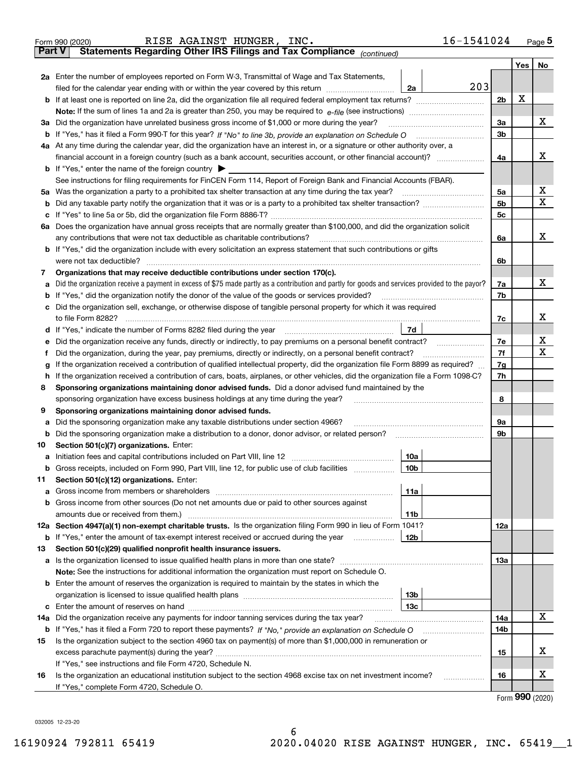|               | 16-1541024<br>RISE AGAINST HUNGER, INC.<br>Form 990 (2020)                                                                                      |                |     | $Page$ <sup>5</sup> |
|---------------|-------------------------------------------------------------------------------------------------------------------------------------------------|----------------|-----|---------------------|
| <b>Part V</b> | Statements Regarding Other IRS Filings and Tax Compliance (continued)                                                                           |                |     |                     |
|               |                                                                                                                                                 |                | Yes | No                  |
|               | 2a Enter the number of employees reported on Form W-3, Transmittal of Wage and Tax Statements,                                                  |                |     |                     |
|               | 203<br>filed for the calendar year ending with or within the year covered by this return <i>manumumumum</i><br>2a                               |                |     |                     |
|               |                                                                                                                                                 | 2 <sub>b</sub> | х   |                     |
|               |                                                                                                                                                 |                |     |                     |
| За            | Did the organization have unrelated business gross income of \$1,000 or more during the year?                                                   | 3a             |     | х                   |
|               |                                                                                                                                                 | 3b             |     |                     |
|               | 4a At any time during the calendar year, did the organization have an interest in, or a signature or other authority over, a                    |                |     |                     |
|               |                                                                                                                                                 | 4a             |     | х                   |
|               | <b>b</b> If "Yes," enter the name of the foreign country $\blacktriangleright$                                                                  |                |     |                     |
|               | See instructions for filing requirements for FinCEN Form 114, Report of Foreign Bank and Financial Accounts (FBAR).                             |                |     |                     |
| 5a            | Was the organization a party to a prohibited tax shelter transaction at any time during the tax year?                                           | 5a             |     | х                   |
| b             |                                                                                                                                                 | 5b             |     | х                   |
| с             |                                                                                                                                                 | 5c             |     |                     |
|               | 6a Does the organization have annual gross receipts that are normally greater than \$100,000, and did the organization solicit                  |                |     |                     |
|               | any contributions that were not tax deductible as charitable contributions?                                                                     | 6a             |     | x                   |
|               | <b>b</b> If "Yes," did the organization include with every solicitation an express statement that such contributions or gifts                   |                |     |                     |
|               | were not tax deductible?                                                                                                                        | 6b             |     |                     |
| 7             | Organizations that may receive deductible contributions under section 170(c).                                                                   |                |     |                     |
| a             | Did the organization receive a payment in excess of \$75 made partly as a contribution and partly for goods and services provided to the payor? | 7a             |     | х                   |
| b             | If "Yes," did the organization notify the donor of the value of the goods or services provided?                                                 | 7b             |     |                     |
| с             | Did the organization sell, exchange, or otherwise dispose of tangible personal property for which it was required                               |                |     |                     |
|               |                                                                                                                                                 | 7c             |     | x                   |
| d             | 7d                                                                                                                                              |                |     |                     |
| е             |                                                                                                                                                 | 7e             |     | х                   |
| f             | Did the organization, during the year, pay premiums, directly or indirectly, on a personal benefit contract?                                    | 7f             |     | X                   |
| g             | If the organization received a contribution of qualified intellectual property, did the organization file Form 8899 as required?                | 7g             |     |                     |
| h             | If the organization received a contribution of cars, boats, airplanes, or other vehicles, did the organization file a Form 1098-C?              | 7h             |     |                     |
| 8             | Sponsoring organizations maintaining donor advised funds. Did a donor advised fund maintained by the                                            |                |     |                     |
|               | sponsoring organization have excess business holdings at any time during the year?                                                              | 8              |     |                     |
| 9             | Sponsoring organizations maintaining donor advised funds.                                                                                       |                |     |                     |
| а             | Did the sponsoring organization make any taxable distributions under section 4966?                                                              | 9а             |     |                     |
| b             | Did the sponsoring organization make a distribution to a donor, donor advisor, or related person?                                               | 9b             |     |                     |
| 10            | Section 501(c)(7) organizations. Enter:                                                                                                         |                |     |                     |
|               | 10a                                                                                                                                             |                |     |                     |
|               | 10b <br>Gross receipts, included on Form 990, Part VIII, line 12, for public use of club facilities                                             |                |     |                     |
| 11            | Section 501(c)(12) organizations. Enter:                                                                                                        |                |     |                     |
| a             | Gross income from members or shareholders<br>11a                                                                                                |                |     |                     |
| b             | Gross income from other sources (Do not net amounts due or paid to other sources against                                                        |                |     |                     |
|               | 11b                                                                                                                                             |                |     |                     |
|               | 12a Section 4947(a)(1) non-exempt charitable trusts. Is the organization filing Form 990 in lieu of Form 1041?                                  | 12a            |     |                     |
|               | 12b<br><b>b</b> If "Yes," enter the amount of tax-exempt interest received or accrued during the year                                           |                |     |                     |
| 13            | Section 501(c)(29) qualified nonprofit health insurance issuers.                                                                                |                |     |                     |
| a             | Is the organization licensed to issue qualified health plans in more than one state?                                                            | 13а            |     |                     |
|               | Note: See the instructions for additional information the organization must report on Schedule O.                                               |                |     |                     |
| b             | Enter the amount of reserves the organization is required to maintain by the states in which the                                                |                |     |                     |
|               | 13 <sub>b</sub>                                                                                                                                 |                |     |                     |
|               | 13с                                                                                                                                             |                |     |                     |
| 14a           | Did the organization receive any payments for indoor tanning services during the tax year?                                                      | 14a            |     | х                   |
|               | <b>b</b> If "Yes," has it filed a Form 720 to report these payments? If "No," provide an explanation on Schedule O                              | 14b            |     |                     |
| 15            | Is the organization subject to the section 4960 tax on payment(s) of more than \$1,000,000 in remuneration or                                   |                |     |                     |
|               | excess parachute payment(s) during the year?                                                                                                    | 15             |     | X                   |
|               | If "Yes," see instructions and file Form 4720, Schedule N.                                                                                      |                |     |                     |
| 16            | Is the organization an educational institution subject to the section 4968 excise tax on net investment income?                                 | 16             |     | X                   |
|               | If "Yes," complete Form 4720, Schedule O.                                                                                                       |                |     |                     |

6

Form (2020) **990**

032005 12-23-20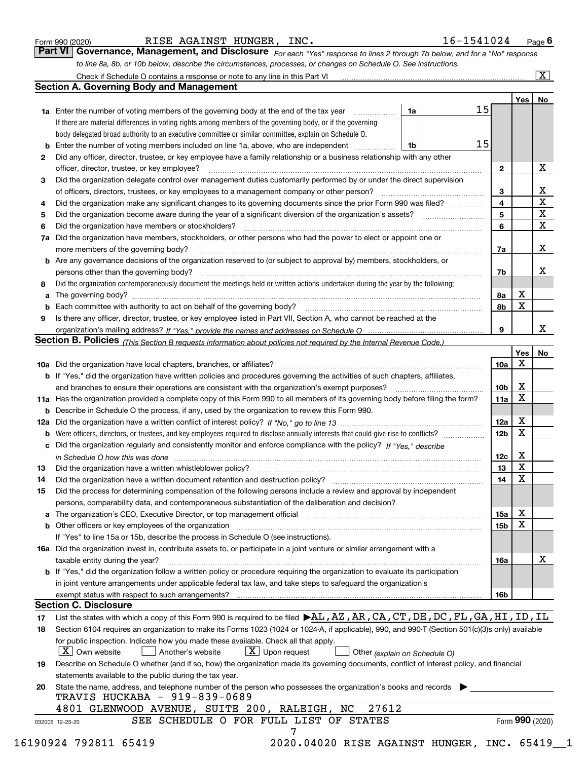|  | Form 990 (2020) |
|--|-----------------|

RISE AGAINST HUNGER, INC. 16-1541024

*For each "Yes" response to lines 2 through 7b below, and for a "No" response to line 8a, 8b, or 10b below, describe the circumstances, processes, or changes on Schedule O. See instructions.* Form 990 (2020) **RISE AGAINST HUNGER, INC.** 16-1541024 Page 6<br>**Part VI Governance, Management, and Disclosure** For each "Yes" response to lines 2 through 7b below, and for a "No" response

|    |                                                                                                                                                                            |    |  |    |              | Yes             | No                         |  |  |
|----|----------------------------------------------------------------------------------------------------------------------------------------------------------------------------|----|--|----|--------------|-----------------|----------------------------|--|--|
|    | <b>1a</b> Enter the number of voting members of the governing body at the end of the tax year <i>manumum</i>                                                               | 1a |  | 15 |              |                 |                            |  |  |
|    | If there are material differences in voting rights among members of the governing body, or if the governing                                                                |    |  |    |              |                 |                            |  |  |
|    | body delegated broad authority to an executive committee or similar committee, explain on Schedule O.                                                                      |    |  |    |              |                 |                            |  |  |
|    |                                                                                                                                                                            | 1b |  | 15 |              |                 |                            |  |  |
| 2  | Did any officer, director, trustee, or key employee have a family relationship or a business relationship with any other                                                   |    |  |    |              |                 |                            |  |  |
|    | officer, director, trustee, or key employee?                                                                                                                               |    |  |    | $\mathbf{2}$ |                 | X                          |  |  |
| 3  | Did the organization delegate control over management duties customarily performed by or under the direct supervision                                                      |    |  |    |              |                 |                            |  |  |
|    |                                                                                                                                                                            |    |  |    | 3            |                 | X                          |  |  |
| 4  | Did the organization make any significant changes to its governing documents since the prior Form 990 was filed?                                                           |    |  |    | 4            |                 | $\overline{\mathbf{x}}$    |  |  |
| 5  |                                                                                                                                                                            |    |  |    | 5            |                 | $\mathbf X$<br>$\mathbf X$ |  |  |
| 6  | Did the organization have members or stockholders?                                                                                                                         |    |  |    |              |                 |                            |  |  |
|    | 7a Did the organization have members, stockholders, or other persons who had the power to elect or appoint one or                                                          |    |  |    |              |                 |                            |  |  |
|    |                                                                                                                                                                            |    |  |    | 7a           |                 | X                          |  |  |
|    | <b>b</b> Are any governance decisions of the organization reserved to (or subject to approval by) members, stockholders, or                                                |    |  |    |              |                 |                            |  |  |
|    | persons other than the governing body?                                                                                                                                     |    |  |    | 7b           |                 | X                          |  |  |
| 8  | Did the organization contemporaneously document the meetings held or written actions undertaken during the year by the following:                                          |    |  |    |              |                 |                            |  |  |
| a  |                                                                                                                                                                            |    |  |    | 8a           | X               |                            |  |  |
|    |                                                                                                                                                                            |    |  |    | 8b           | X               |                            |  |  |
| 9  | Is there any officer, director, trustee, or key employee listed in Part VII, Section A, who cannot be reached at the                                                       |    |  |    |              |                 |                            |  |  |
|    |                                                                                                                                                                            |    |  |    | 9            |                 | x                          |  |  |
|    | Section B. Policies (This Section B requests information about policies not required by the Internal Revenue Code.)                                                        |    |  |    |              |                 |                            |  |  |
|    |                                                                                                                                                                            |    |  |    |              | Yes             | No                         |  |  |
|    |                                                                                                                                                                            |    |  |    | 10a          | $\mathbf X$     |                            |  |  |
|    | <b>b</b> If "Yes," did the organization have written policies and procedures governing the activities of such chapters, affiliates,                                        |    |  |    |              |                 |                            |  |  |
|    |                                                                                                                                                                            |    |  |    |              |                 |                            |  |  |
|    | 11a Has the organization provided a complete copy of this Form 990 to all members of its governing body before filing the form?                                            |    |  |    |              |                 |                            |  |  |
|    | <b>b</b> Describe in Schedule O the process, if any, used by the organization to review this Form 990.                                                                     |    |  |    |              |                 |                            |  |  |
|    |                                                                                                                                                                            |    |  |    | 12a          | X               |                            |  |  |
| b  |                                                                                                                                                                            |    |  |    | 12b          | X               |                            |  |  |
|    | c Did the organization regularly and consistently monitor and enforce compliance with the policy? If "Yes," describe                                                       |    |  |    |              |                 |                            |  |  |
|    | in Schedule O how this was done encourance and the control of the control of the control of the control of the                                                             |    |  |    | 12c          | X               |                            |  |  |
| 13 |                                                                                                                                                                            |    |  |    | 13           | X               |                            |  |  |
| 14 | Did the organization have a written document retention and destruction policy? manufactured and the organization have a written document retention and destruction policy? |    |  |    | 14           | $\mathbf X$     |                            |  |  |
| 15 | Did the process for determining compensation of the following persons include a review and approval by independent                                                         |    |  |    |              |                 |                            |  |  |
|    | persons, comparability data, and contemporaneous substantiation of the deliberation and decision?                                                                          |    |  |    |              |                 |                            |  |  |
|    | a The organization's CEO, Executive Director, or top management official manufactured content of the organization's CEO, Executive Director, or top management official    |    |  |    | 15a          | X               |                            |  |  |
|    | <b>b</b> Other officers or key employees of the organization                                                                                                               |    |  |    | 15b          | $\mathbf X$     |                            |  |  |
|    | If "Yes" to line 15a or 15b, describe the process in Schedule O (see instructions).                                                                                        |    |  |    |              |                 |                            |  |  |
|    |                                                                                                                                                                            |    |  |    |              |                 |                            |  |  |
|    | 16a Did the organization invest in, contribute assets to, or participate in a joint venture or similar arrangement with a                                                  |    |  |    |              |                 | X                          |  |  |
|    | taxable entity during the year?                                                                                                                                            |    |  |    | 16a          |                 |                            |  |  |
|    | b If "Yes," did the organization follow a written policy or procedure requiring the organization to evaluate its participation                                             |    |  |    |              |                 |                            |  |  |
|    | in joint venture arrangements under applicable federal tax law, and take steps to safeguard the organization's                                                             |    |  |    |              |                 |                            |  |  |
|    | <b>Section C. Disclosure</b>                                                                                                                                               |    |  |    | 16b          |                 |                            |  |  |
|    |                                                                                                                                                                            |    |  |    |              |                 |                            |  |  |
| 17 | List the states with which a copy of this Form 990 is required to be filed $\blacktriangleright$ AL, AZ, AR, CA, CT, DE, DC, FL, GA, HI, ID, IL                            |    |  |    |              |                 |                            |  |  |
| 18 | Section 6104 requires an organization to make its Forms 1023 (1024 or 1024-A, if applicable), 990, and 990-T (Section 501(c)(3)s only) available                           |    |  |    |              |                 |                            |  |  |
|    | for public inspection. Indicate how you made these available. Check all that apply.                                                                                        |    |  |    |              |                 |                            |  |  |
|    | $X$ Upon request<br>$ X $ Own website<br>Another's website<br>Other (explain on Schedule O)                                                                                |    |  |    |              |                 |                            |  |  |
| 19 | Describe on Schedule O whether (and if so, how) the organization made its governing documents, conflict of interest policy, and financial                                  |    |  |    |              |                 |                            |  |  |
|    | statements available to the public during the tax year.                                                                                                                    |    |  |    |              |                 |                            |  |  |
| 20 | State the name, address, and telephone number of the person who possesses the organization's books and records                                                             |    |  |    |              |                 |                            |  |  |
|    | TRAVIS HUCKABA - 919-839-0689                                                                                                                                              |    |  |    |              |                 |                            |  |  |
|    | 27612<br>4801 GLENWOOD AVENUE, SUITE 200, RALEIGH, NC                                                                                                                      |    |  |    |              |                 |                            |  |  |
|    | SEE SCHEDULE O FOR FULL LIST OF STATES<br>032006 12-23-20                                                                                                                  |    |  |    |              | Form 990 (2020) |                            |  |  |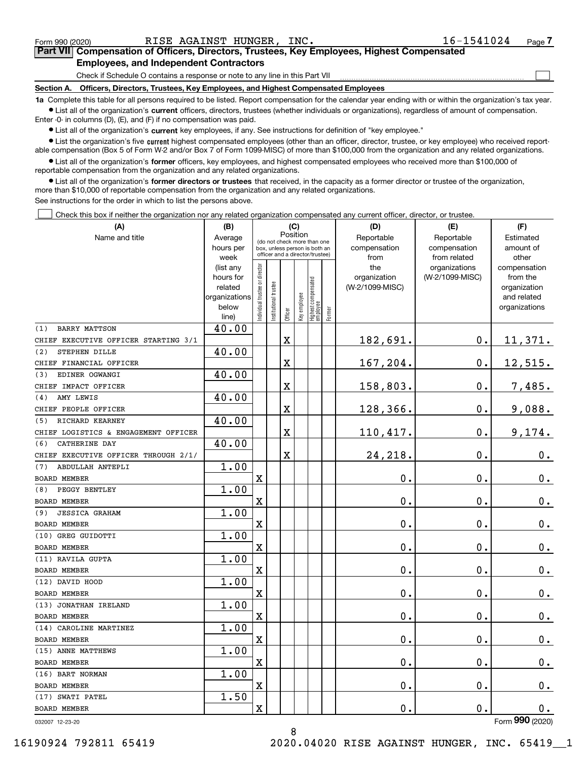|  | Form 990 (2020) |
|--|-----------------|
|  |                 |

 $\mathcal{L}^{\text{max}}$ 

## **7Part VII Compensation of Officers, Directors, Trustees, Key Employees, Highest Compensated Employees, and Independent Contractors**

Check if Schedule O contains a response or note to any line in this Part VII

**Section A. Officers, Directors, Trustees, Key Employees, and Highest Compensated Employees**

**1a**  Complete this table for all persons required to be listed. Report compensation for the calendar year ending with or within the organization's tax year. **•** List all of the organization's current officers, directors, trustees (whether individuals or organizations), regardless of amount of compensation.

Enter -0- in columns (D), (E), and (F) if no compensation was paid.

 $\bullet$  List all of the organization's  $\,$ current key employees, if any. See instructions for definition of "key employee."

**•** List the organization's five current highest compensated employees (other than an officer, director, trustee, or key employee) who received reportable compensation (Box 5 of Form W-2 and/or Box 7 of Form 1099-MISC) of more than \$100,000 from the organization and any related organizations.

**•** List all of the organization's former officers, key employees, and highest compensated employees who received more than \$100,000 of reportable compensation from the organization and any related organizations.

**former directors or trustees**  ¥ List all of the organization's that received, in the capacity as a former director or trustee of the organization, more than \$10,000 of reportable compensation from the organization and any related organizations.

See instructions for the order in which to list the persons above.

Check this box if neither the organization nor any related organization compensated any current officer, director, or trustee.  $\mathcal{L}^{\text{max}}$ 

| (A)                                  | (B)                    | (C)                           |                                                                  | (D)     | (E)          | (F)                              |           |                     |                                  |                          |
|--------------------------------------|------------------------|-------------------------------|------------------------------------------------------------------|---------|--------------|----------------------------------|-----------|---------------------|----------------------------------|--------------------------|
| Name and title                       | Average                |                               | Position<br>(do not check more than one                          |         | Reportable   | Reportable                       | Estimated |                     |                                  |                          |
|                                      | hours per              |                               | box, unless person is both an<br>officer and a director/trustee) |         | compensation | compensation                     | amount of |                     |                                  |                          |
|                                      | week                   |                               |                                                                  |         | from         | from related                     | other     |                     |                                  |                          |
|                                      | (list any<br>hours for |                               |                                                                  |         |              |                                  |           | the<br>organization | organizations<br>(W-2/1099-MISC) | compensation<br>from the |
|                                      | related                |                               |                                                                  |         |              |                                  |           | (W-2/1099-MISC)     |                                  | organization             |
|                                      | organizations          |                               |                                                                  |         |              |                                  |           |                     |                                  | and related              |
|                                      | below                  | ndividual trustee or director | nstitutional trustee                                             |         | key employee |                                  |           |                     |                                  | organizations            |
|                                      | line)                  |                               |                                                                  | Officer |              | Highest compensated<br> employee | Former    |                     |                                  |                          |
| <b>BARRY MATTSON</b><br>(1)          | 40.00                  |                               |                                                                  |         |              |                                  |           |                     |                                  |                          |
| CHIEF EXECUTIVE OFFICER STARTING 3/1 |                        |                               |                                                                  | X       |              |                                  |           | 182,691.            | 0.                               | 11,371.                  |
| STEPHEN DILLE<br>(2)                 | 40.00                  |                               |                                                                  |         |              |                                  |           |                     |                                  |                          |
| CHIEF FINANCIAL OFFICER              |                        |                               |                                                                  | X       |              |                                  |           | 167,204.            | $\mathbf 0$ .                    | 12,515.                  |
| EDINER OGWANGI<br>(3)                | 40.00                  |                               |                                                                  |         |              |                                  |           |                     |                                  |                          |
| CHIEF IMPACT OFFICER                 |                        |                               |                                                                  | X       |              |                                  |           | 158,803.            | 0.                               | 7,485.                   |
| AMY LEWIS<br>(4)                     | 40.00                  |                               |                                                                  |         |              |                                  |           |                     |                                  |                          |
| CHIEF PEOPLE OFFICER                 |                        |                               |                                                                  | X       |              |                                  |           | 128,366.            | 0.                               | 9,088.                   |
| RICHARD KEARNEY<br>(5)               | 40.00                  |                               |                                                                  |         |              |                                  |           |                     |                                  |                          |
| CHIEF LOGISTICS & ENGAGEMENT OFFICER |                        |                               |                                                                  | X       |              |                                  |           | 110,417.            | 0.                               | 9,174.                   |
| CATHERINE DAY<br>(6)                 | 40.00                  |                               |                                                                  |         |              |                                  |           |                     |                                  |                          |
| CHIEF EXECUTIVE OFFICER THROUGH 2/1/ |                        |                               |                                                                  | X       |              |                                  |           | 24, 218.            | $\mathbf 0$ .                    | 0.                       |
| ABDULLAH ANTEPLI<br>(7)              | 1.00                   |                               |                                                                  |         |              |                                  |           |                     |                                  |                          |
| <b>BOARD MEMBER</b>                  |                        | $\mathbf X$                   |                                                                  |         |              |                                  |           | 0.                  | 0.                               | $\mathbf 0$ .            |
| PEGGY BENTLEY<br>(8)                 | 1.00                   |                               |                                                                  |         |              |                                  |           |                     |                                  |                          |
| BOARD MEMBER                         |                        | X                             |                                                                  |         |              |                                  |           | 0.                  | $\mathbf 0$ .                    | 0.                       |
| <b>JESSICA GRAHAM</b><br>(9)         | 1.00                   |                               |                                                                  |         |              |                                  |           |                     |                                  |                          |
| <b>BOARD MEMBER</b>                  |                        | $\mathbf X$                   |                                                                  |         |              |                                  |           | 0.                  | $\mathbf 0$ .                    | $0_{.}$                  |
| (10) GREG GUIDOTTI                   | 1.00                   |                               |                                                                  |         |              |                                  |           |                     |                                  |                          |
| <b>BOARD MEMBER</b>                  |                        | $\mathbf X$                   |                                                                  |         |              |                                  |           | 0.                  | $\mathbf 0$ .                    | $\mathbf 0$ .            |
| (11) RAVILA GUPTA                    | 1.00                   |                               |                                                                  |         |              |                                  |           |                     |                                  |                          |
| <b>BOARD MEMBER</b>                  |                        | $\mathbf X$                   |                                                                  |         |              |                                  |           | 0.                  | $\mathbf 0$ .                    | $\mathbf 0$ .            |
| (12) DAVID HOOD                      | 1.00                   |                               |                                                                  |         |              |                                  |           |                     |                                  |                          |
| <b>BOARD MEMBER</b>                  |                        | $\mathbf X$                   |                                                                  |         |              |                                  |           | 0.                  | $\mathbf 0$ .                    | $0_{.}$                  |
| (13) JONATHAN IRELAND                | 1.00                   |                               |                                                                  |         |              |                                  |           |                     |                                  |                          |
| <b>BOARD MEMBER</b>                  |                        | $\mathbf X$                   |                                                                  |         |              |                                  |           | 0.                  | $\mathbf 0$ .                    | 0.                       |
| (14) CAROLINE MARTINEZ               | 1.00                   |                               |                                                                  |         |              |                                  |           |                     |                                  |                          |
| <b>BOARD MEMBER</b>                  |                        | $\overline{\textbf{X}}$       |                                                                  |         |              |                                  |           | 0.                  | $\mathbf 0$ .                    | $0_{.}$                  |
| (15) ANNE MATTHEWS                   | 1.00                   |                               |                                                                  |         |              |                                  |           |                     |                                  |                          |
| <b>BOARD MEMBER</b>                  |                        | $\overline{\mathbf{X}}$       |                                                                  |         |              |                                  |           | 0.                  | 0.                               | $\mathbf 0$ .            |
| (16) BART NORMAN                     | 1.00                   |                               |                                                                  |         |              |                                  |           |                     |                                  |                          |
| <b>BOARD MEMBER</b>                  |                        | X                             |                                                                  |         |              |                                  |           | 0.                  | $\mathbf 0$ .                    | $\mathbf 0$ .            |
| (17) SWATI PATEL                     | 1.50                   |                               |                                                                  |         |              |                                  |           |                     |                                  |                          |
| <b>BOARD MEMBER</b>                  |                        | $\overline{\mathbf{X}}$       |                                                                  |         |              |                                  |           | 0.                  | $\mathbf 0$ .                    | $\mathbf 0$ .            |
|                                      |                        |                               |                                                                  |         |              |                                  |           |                     |                                  | $000 \text{ m}$          |

032007 12-23-20

Form (2020) **990**

8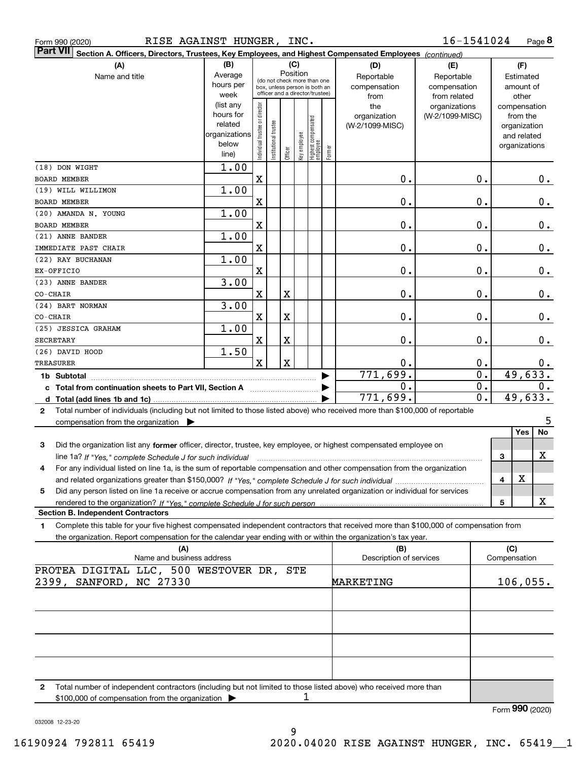|  | Form 990 (2020) |  |
|--|-----------------|--|
|  |                 |  |

| ∣Part VII ∣<br>Section A. Officers, Directors, Trustees, Key Employees, and Highest Compensated Employees (continued)                        |                        |                                |                                                              |         |              |                                   |        |                         |                  |               |
|----------------------------------------------------------------------------------------------------------------------------------------------|------------------------|--------------------------------|--------------------------------------------------------------|---------|--------------|-----------------------------------|--------|-------------------------|------------------|---------------|
| (A)                                                                                                                                          | (B)                    |                                |                                                              |         | (C)          |                                   |        | (D)                     | (E)              | (F)           |
| Name and title                                                                                                                               | Average                |                                |                                                              |         | Position     |                                   |        | Reportable              | Reportable       | Estimated     |
|                                                                                                                                              | hours per              |                                | (do not check more than one<br>box, unless person is both an |         |              |                                   |        | compensation            | compensation     | amount of     |
|                                                                                                                                              | week                   |                                | officer and a director/trustee)                              |         |              |                                   |        | from                    | from related     | other         |
|                                                                                                                                              | (list any              |                                |                                                              |         |              |                                   |        | the                     | organizations    | compensation  |
|                                                                                                                                              | hours for              |                                |                                                              |         |              |                                   |        | organization            | (W-2/1099-MISC)  | from the      |
|                                                                                                                                              | related                |                                |                                                              |         |              |                                   |        | (W-2/1099-MISC)         |                  | organization  |
|                                                                                                                                              | organizations<br>below |                                |                                                              |         |              |                                   |        |                         |                  | and related   |
|                                                                                                                                              | line)                  | Individual trustee or director | Institutional trustee                                        | Officer | Key employee | Highest compensated<br>  employee | Former |                         |                  | organizations |
|                                                                                                                                              |                        |                                |                                                              |         |              |                                   |        |                         |                  |               |
| (18) DON WIGHT                                                                                                                               | 1.00                   |                                |                                                              |         |              |                                   |        |                         |                  |               |
| <b>BOARD MEMBER</b>                                                                                                                          |                        | X                              |                                                              |         |              |                                   |        | 0.                      | 0.               | 0.            |
| (19) WILL WILLIMON                                                                                                                           | 1.00                   |                                |                                                              |         |              |                                   |        |                         |                  |               |
| BOARD MEMBER                                                                                                                                 |                        | $\mathbf X$                    |                                                              |         |              |                                   |        | 0.                      | 0.               | 0.            |
| (20) AMANDA N. YOUNG                                                                                                                         | 1.00                   |                                |                                                              |         |              |                                   |        |                         |                  |               |
| BOARD MEMBER                                                                                                                                 |                        | $\mathbf X$                    |                                                              |         |              |                                   |        | 0.                      | 0.               | 0.            |
| (21) ANNE BANDER                                                                                                                             | 1.00                   |                                |                                                              |         |              |                                   |        |                         |                  |               |
| IMMEDIATE PAST CHAIR                                                                                                                         |                        | $\mathbf X$                    |                                                              |         |              |                                   |        | 0.                      | 0.               | 0.            |
| (22) RAY BUCHANAN                                                                                                                            | 1.00                   |                                |                                                              |         |              |                                   |        |                         |                  |               |
| EX-OFFICIO                                                                                                                                   |                        | $\mathbf X$                    |                                                              |         |              |                                   |        | 0.                      | 0.               | 0.            |
| (23) ANNE BANDER                                                                                                                             | 3.00                   |                                |                                                              |         |              |                                   |        |                         |                  |               |
| CO-CHAIR                                                                                                                                     |                        | X                              |                                                              | X       |              |                                   |        | 0.                      | 0.               | 0.            |
| (24) BART NORMAN                                                                                                                             | 3.00                   |                                |                                                              |         |              |                                   |        |                         |                  |               |
| CO-CHAIR                                                                                                                                     |                        | X                              |                                                              | X       |              |                                   |        | 0.                      | 0.               | 0.            |
| (25) JESSICA GRAHAM                                                                                                                          | 1.00                   |                                |                                                              |         |              |                                   |        |                         |                  |               |
| <b>SECRETARY</b>                                                                                                                             |                        | X                              |                                                              | X       |              |                                   |        | 0.                      | 0.               | 0.            |
| (26) DAVID HOOD                                                                                                                              | 1.50                   |                                |                                                              |         |              |                                   |        |                         |                  |               |
|                                                                                                                                              |                        | $\mathbf{x}$                   |                                                              | X       |              |                                   |        |                         |                  |               |
| <b>TREASURER</b>                                                                                                                             |                        |                                |                                                              |         |              |                                   |        | 0.                      | 0.               | 0.            |
| 1b Subtotal                                                                                                                                  |                        |                                |                                                              |         |              |                                   |        | 771,699.                | $\overline{0}$ . | 49,633.       |
| c Total from continuation sheets to Part VII, Section A [111] [12] Total from continuation sheets to Part VII, Section A                     |                        |                                |                                                              |         |              |                                   |        | О.                      | 0.               | 0.            |
|                                                                                                                                              |                        |                                |                                                              |         |              |                                   |        | 771,699.                | 0.               | 49,633.       |
| Total number of individuals (including but not limited to those listed above) who received more than \$100,000 of reportable<br>$\mathbf{2}$ |                        |                                |                                                              |         |              |                                   |        |                         |                  |               |
| compensation from the organization $\blacktriangleright$                                                                                     |                        |                                |                                                              |         |              |                                   |        |                         |                  | 5             |
|                                                                                                                                              |                        |                                |                                                              |         |              |                                   |        |                         |                  | Yes<br>No     |
| Did the organization list any former officer, director, trustee, key employee, or highest compensated employee on<br>3                       |                        |                                |                                                              |         |              |                                   |        |                         |                  |               |
|                                                                                                                                              |                        |                                |                                                              |         |              |                                   |        |                         |                  | X<br>3        |
| For any individual listed on line 1a, is the sum of reportable compensation and other compensation from the organization<br>4                |                        |                                |                                                              |         |              |                                   |        |                         |                  |               |
|                                                                                                                                              |                        |                                |                                                              |         |              |                                   |        |                         |                  | X<br>4        |
| Did any person listed on line 1a receive or accrue compensation from any unrelated organization or individual for services<br>5              |                        |                                |                                                              |         |              |                                   |        |                         |                  |               |
|                                                                                                                                              |                        |                                |                                                              |         |              |                                   |        |                         |                  | х<br>5        |
| <b>Section B. Independent Contractors</b>                                                                                                    |                        |                                |                                                              |         |              |                                   |        |                         |                  |               |
| Complete this table for your five highest compensated independent contractors that received more than \$100,000 of compensation from<br>1    |                        |                                |                                                              |         |              |                                   |        |                         |                  |               |
| the organization. Report compensation for the calendar year ending with or within the organization's tax year.                               |                        |                                |                                                              |         |              |                                   |        |                         |                  |               |
| (A)                                                                                                                                          |                        |                                |                                                              |         |              |                                   |        | (B)                     |                  | (C)           |
| Name and business address                                                                                                                    |                        |                                |                                                              |         |              |                                   |        | Description of services |                  | Compensation  |
| PROTEA DIGITAL LLC, 500 WESTOVER DR,                                                                                                         |                        |                                |                                                              |         | STE          |                                   |        |                         |                  |               |
| 2399, SANFORD, NC 27330                                                                                                                      |                        |                                |                                                              |         |              |                                   |        | MARKETING               |                  | 106,055.      |
|                                                                                                                                              |                        |                                |                                                              |         |              |                                   |        |                         |                  |               |
|                                                                                                                                              |                        |                                |                                                              |         |              |                                   |        |                         |                  |               |
|                                                                                                                                              |                        |                                |                                                              |         |              |                                   |        |                         |                  |               |
|                                                                                                                                              |                        |                                |                                                              |         |              |                                   |        |                         |                  |               |
|                                                                                                                                              |                        |                                |                                                              |         |              |                                   |        |                         |                  |               |
|                                                                                                                                              |                        |                                |                                                              |         |              |                                   |        |                         |                  |               |
|                                                                                                                                              |                        |                                |                                                              |         |              |                                   |        |                         |                  |               |
|                                                                                                                                              |                        |                                |                                                              |         |              |                                   |        |                         |                  |               |
|                                                                                                                                              |                        |                                |                                                              |         |              |                                   |        |                         |                  |               |
| Total number of independent contractors (including but not limited to those listed above) who received more than<br>2                        |                        |                                |                                                              |         |              |                                   |        |                         |                  |               |

\$100,000 of compensation from the organization 1

Form (2020) **990**

032008 12-23-20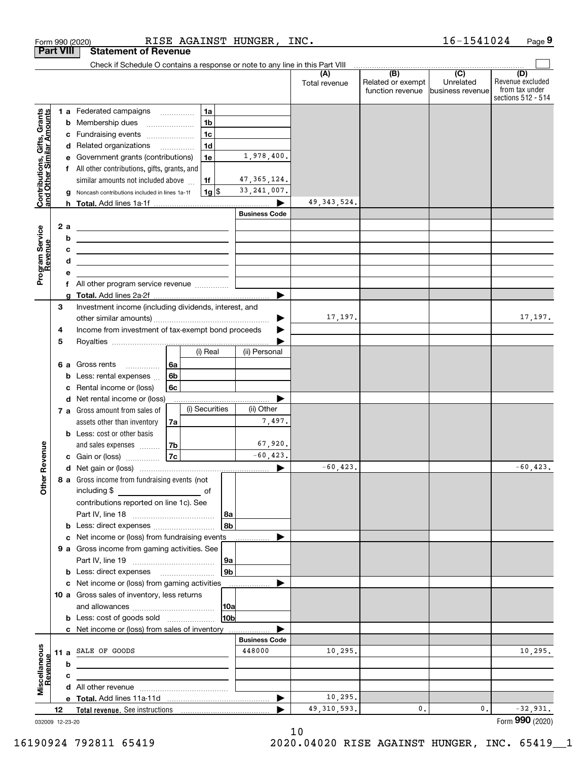|                                                                                                                                                                                                   |     | RISE AGAINST HUNGER,                                                                                                    |                       | INC.                 |                                                     | 16-1541024                    | Page 9                                                          |
|---------------------------------------------------------------------------------------------------------------------------------------------------------------------------------------------------|-----|-------------------------------------------------------------------------------------------------------------------------|-----------------------|----------------------|-----------------------------------------------------|-------------------------------|-----------------------------------------------------------------|
|                                                                                                                                                                                                   |     | <b>Statement of Revenue</b>                                                                                             |                       |                      |                                                     |                               |                                                                 |
|                                                                                                                                                                                                   |     | Check if Schedule O contains a response or note to any line in this Part VIII                                           |                       |                      | $\overline{(\mathsf{B})}$ $\overline{(\mathsf{C})}$ |                               |                                                                 |
|                                                                                                                                                                                                   |     |                                                                                                                         |                       | (A)<br>Total revenue | Related or exempt<br>function revenue               | Unrelated<br>business revenue | (D)<br>Revenue excluded<br>from tax under<br>sections 512 - 514 |
|                                                                                                                                                                                                   |     | 1a<br>1 a Federated campaigns                                                                                           |                       |                      |                                                     |                               |                                                                 |
|                                                                                                                                                                                                   | b   | 1 <sub>b</sub><br>Membership dues<br>$\ldots \ldots \ldots \ldots \ldots$                                               |                       |                      |                                                     |                               |                                                                 |
|                                                                                                                                                                                                   |     | 1 <sub>c</sub><br>c Fundraising events                                                                                  |                       |                      |                                                     |                               |                                                                 |
| Form 990 (2020)<br><b>Part VIII</b><br>Contributions, Gifts, Grants<br>and Other Similar Amounts<br>Program Service<br>Revenue<br>3<br>4<br>5<br>evenue<br>Œ<br>Other<br>Miscellaneous<br>Revenue |     | 1 <sub>d</sub><br>d Related organizations                                                                               |                       |                      |                                                     |                               |                                                                 |
|                                                                                                                                                                                                   | е   | 1e<br>Government grants (contributions)                                                                                 | 1,978,400.            |                      |                                                     |                               |                                                                 |
|                                                                                                                                                                                                   |     | f All other contributions, gifts, grants, and                                                                           |                       |                      |                                                     |                               |                                                                 |
|                                                                                                                                                                                                   |     | similar amounts not included above<br>1f                                                                                | 47, 365, 124.         |                      |                                                     |                               |                                                                 |
|                                                                                                                                                                                                   | g   | $1g$ \$<br>Noncash contributions included in lines 1a-1f                                                                | 33, 241, 007.         |                      |                                                     |                               |                                                                 |
|                                                                                                                                                                                                   |     |                                                                                                                         |                       | 49, 343, 524.        |                                                     |                               |                                                                 |
|                                                                                                                                                                                                   |     |                                                                                                                         | <b>Business Code</b>  |                      |                                                     |                               |                                                                 |
|                                                                                                                                                                                                   | 2 a | <u> 2002 - John Stone, Amerikaans en Stone (</u>                                                                        |                       |                      |                                                     |                               |                                                                 |
|                                                                                                                                                                                                   | b   | <u> 1989 - Johann Barn, fransk politik amerikansk politik (</u>                                                         |                       |                      |                                                     |                               |                                                                 |
|                                                                                                                                                                                                   | c   | <u> 2008 - John Stein, Amerikaans en beskriuw om de gemeente van de gemeente van de gemeente van de gemeente van de</u> |                       |                      |                                                     |                               |                                                                 |
|                                                                                                                                                                                                   | d   | the contract of the contract of the contract of the contract of the contract of                                         |                       |                      |                                                     |                               |                                                                 |
|                                                                                                                                                                                                   | e   |                                                                                                                         |                       |                      |                                                     |                               |                                                                 |
|                                                                                                                                                                                                   |     | f All other program service revenue                                                                                     |                       |                      |                                                     |                               |                                                                 |
|                                                                                                                                                                                                   |     |                                                                                                                         |                       |                      |                                                     |                               |                                                                 |
|                                                                                                                                                                                                   |     | Investment income (including dividends, interest, and                                                                   |                       |                      |                                                     |                               |                                                                 |
|                                                                                                                                                                                                   |     |                                                                                                                         | ▶                     | 17,197.              |                                                     |                               | 17,197.                                                         |
|                                                                                                                                                                                                   |     | Income from investment of tax-exempt bond proceeds                                                                      |                       |                      |                                                     |                               |                                                                 |
|                                                                                                                                                                                                   |     |                                                                                                                         |                       |                      |                                                     |                               |                                                                 |
|                                                                                                                                                                                                   |     | (i) Real                                                                                                                | (ii) Personal         |                      |                                                     |                               |                                                                 |
|                                                                                                                                                                                                   |     | 6a<br>6 a Gross rents                                                                                                   |                       |                      |                                                     |                               |                                                                 |
|                                                                                                                                                                                                   |     | 6 <sub>b</sub><br><b>b</b> Less: rental expenses $\ldots$                                                               |                       |                      |                                                     |                               |                                                                 |
|                                                                                                                                                                                                   | c   | Rental income or (loss)<br>6с                                                                                           |                       |                      |                                                     |                               |                                                                 |
|                                                                                                                                                                                                   |     | d Net rental income or (loss)                                                                                           |                       |                      |                                                     |                               |                                                                 |
|                                                                                                                                                                                                   |     | (i) Securities<br>7 a Gross amount from sales of                                                                        | (ii) Other            |                      |                                                     |                               |                                                                 |
|                                                                                                                                                                                                   |     | assets other than inventory<br>7a                                                                                       | 7,497.                |                      |                                                     |                               |                                                                 |
|                                                                                                                                                                                                   |     | <b>b</b> Less: cost or other basis                                                                                      |                       |                      |                                                     |                               |                                                                 |
|                                                                                                                                                                                                   |     | 7b<br>and sales expenses                                                                                                | 67,920.               |                      |                                                     |                               |                                                                 |
|                                                                                                                                                                                                   |     | <b>7c</b><br>c Gain or (loss)                                                                                           | $-60, 423.$           |                      |                                                     |                               |                                                                 |
|                                                                                                                                                                                                   |     |                                                                                                                         |                       | $-60, 423.$          |                                                     |                               | $-60, 423.$                                                     |
|                                                                                                                                                                                                   |     | 8 a Gross income from fundraising events (not                                                                           |                       |                      |                                                     |                               |                                                                 |
|                                                                                                                                                                                                   |     |                                                                                                                         |                       |                      |                                                     |                               |                                                                 |
|                                                                                                                                                                                                   |     | contributions reported on line 1c). See                                                                                 |                       |                      |                                                     |                               |                                                                 |
|                                                                                                                                                                                                   |     |                                                                                                                         | 8a                    |                      |                                                     |                               |                                                                 |
|                                                                                                                                                                                                   |     | <b>b</b> Less: direct expenses <i>manually contained</i>                                                                | 8b                    |                      |                                                     |                               |                                                                 |
|                                                                                                                                                                                                   |     | c Net income or (loss) from fundraising events                                                                          |                       |                      |                                                     |                               |                                                                 |
|                                                                                                                                                                                                   |     | 9 a Gross income from gaming activities. See                                                                            |                       |                      |                                                     |                               |                                                                 |
|                                                                                                                                                                                                   |     |                                                                                                                         | 9a                    |                      |                                                     |                               |                                                                 |
|                                                                                                                                                                                                   |     | <b>b</b> Less: direct expenses <b>manually</b>                                                                          | 9 <sub>b</sub>        |                      |                                                     |                               |                                                                 |
|                                                                                                                                                                                                   |     | c Net income or (loss) from gaming activities _______________                                                           |                       |                      |                                                     |                               |                                                                 |
|                                                                                                                                                                                                   |     | 10 a Gross sales of inventory, less returns                                                                             |                       |                      |                                                     |                               |                                                                 |
|                                                                                                                                                                                                   |     |                                                                                                                         | 10a                   |                      |                                                     |                               |                                                                 |
|                                                                                                                                                                                                   |     | <b>b</b> Less: cost of goods sold                                                                                       | 10 <sub>b</sub>       |                      |                                                     |                               |                                                                 |
|                                                                                                                                                                                                   |     | c Net income or (loss) from sales of inventory                                                                          |                       |                      |                                                     |                               |                                                                 |
|                                                                                                                                                                                                   |     |                                                                                                                         | <b>Business Code</b>  |                      |                                                     |                               |                                                                 |
|                                                                                                                                                                                                   |     | 11 a SALE OF GOODS                                                                                                      | 448000                | 10,295.              |                                                     |                               | 10, 295.                                                        |
|                                                                                                                                                                                                   | b   |                                                                                                                         |                       |                      |                                                     |                               |                                                                 |
|                                                                                                                                                                                                   | с   | the contract of the contract of the contract of the contract of the                                                     |                       |                      |                                                     |                               |                                                                 |
|                                                                                                                                                                                                   |     |                                                                                                                         |                       |                      |                                                     |                               |                                                                 |
|                                                                                                                                                                                                   |     |                                                                                                                         | $\blacktriangleright$ | 10,295.              |                                                     |                               |                                                                 |
|                                                                                                                                                                                                   | 12  |                                                                                                                         |                       | 49, 310, 593.        | 0.                                                  | 0.                            | $-32,931.$                                                      |
| 032009 12-23-20                                                                                                                                                                                   |     |                                                                                                                         |                       |                      |                                                     |                               | Form 990 (2020)                                                 |

10

032009 12-23-20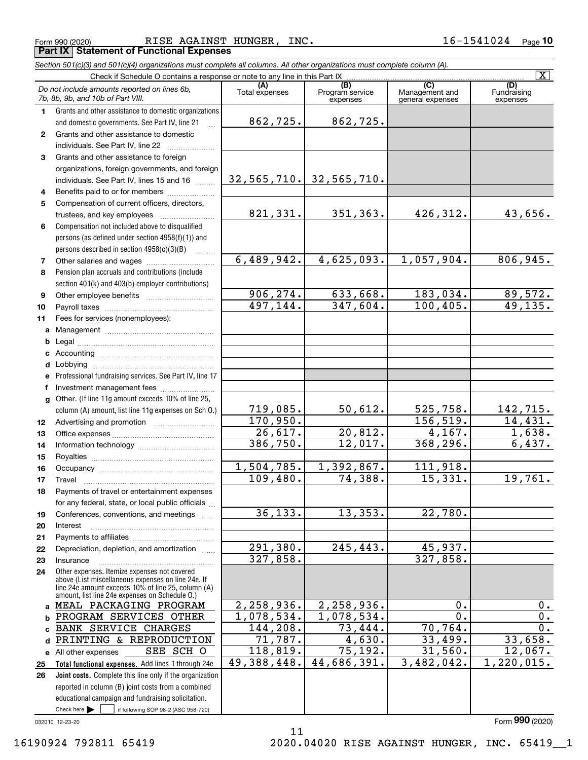Form 990 (2020) RISE AGAINST HUNGER, INC.  $16\hbox{--}1541024$   $_{\sf Page}$ **Part IX Statement of Functional Expenses**

*Section 501(c)(3) and 501(c)(4) organizations must complete all columns. All other organizations must complete column (A).*

|                  | Check if Schedule O contains a response or note to any line in this Part IX                          |                           |                                    |                                           | $\overline{\mathtt{x}}$        |
|------------------|------------------------------------------------------------------------------------------------------|---------------------------|------------------------------------|-------------------------------------------|--------------------------------|
|                  | Do not include amounts reported on lines 6b,<br>7b, 8b, 9b, and 10b of Part VIII.                    | (A)<br>Total expenses     | (B)<br>Program service<br>expenses | (C)<br>Management and<br>general expenses | (D)<br>Fundraising<br>expenses |
| $\mathbf{1}$     | Grants and other assistance to domestic organizations                                                |                           |                                    |                                           |                                |
|                  | and domestic governments. See Part IV, line 21                                                       | 862,725.                  | 862,725.                           |                                           |                                |
| $\mathbf{2}$     | Grants and other assistance to domestic                                                              |                           |                                    |                                           |                                |
|                  | individuals. See Part IV, line 22                                                                    |                           |                                    |                                           |                                |
| 3                | Grants and other assistance to foreign                                                               |                           |                                    |                                           |                                |
|                  | organizations, foreign governments, and foreign                                                      |                           |                                    |                                           |                                |
|                  | individuals. See Part IV, lines 15 and 16                                                            |                           | $32,565,710.$ 32,565,710.          |                                           |                                |
| 4                | Benefits paid to or for members                                                                      |                           |                                    |                                           |                                |
| 5                | Compensation of current officers, directors,                                                         |                           |                                    |                                           |                                |
|                  | trustees, and key employees                                                                          | 821,331.                  | 351,363.                           | 426,312.                                  | 43,656.                        |
| 6                | Compensation not included above to disqualified                                                      |                           |                                    |                                           |                                |
|                  | persons (as defined under section 4958(f)(1)) and                                                    |                           |                                    |                                           |                                |
|                  | persons described in section 4958(c)(3)(B)                                                           |                           |                                    |                                           |                                |
| 7                |                                                                                                      | 6,489,942.                | 4,625,093.                         | 1,057,904.                                | 806,945.                       |
| 8                | Pension plan accruals and contributions (include                                                     |                           |                                    |                                           |                                |
|                  | section 401(k) and 403(b) employer contributions)                                                    |                           |                                    |                                           |                                |
| 9                |                                                                                                      | 906, 274.                 | 633,668.                           | 183,034.                                  | $\frac{89,572.}{49,135.}$      |
| 10               |                                                                                                      | 497, 144.                 | 347,604.                           | 100, 405.                                 |                                |
| 11               | Fees for services (nonemployees):                                                                    |                           |                                    |                                           |                                |
| a                |                                                                                                      |                           |                                    |                                           |                                |
| b                |                                                                                                      |                           |                                    |                                           |                                |
| c                |                                                                                                      |                           |                                    |                                           |                                |
| d                |                                                                                                      |                           |                                    |                                           |                                |
| е                | Professional fundraising services. See Part IV, line 17                                              |                           |                                    |                                           |                                |
| f                | Investment management fees                                                                           |                           |                                    |                                           |                                |
|                  | g Other. (If line 11g amount exceeds 10% of line 25,                                                 | 719,085.                  | 50,612.                            | 525,758.                                  | 142,715.                       |
| 12 <sup>12</sup> | column (A) amount, list line 11g expenses on Sch O.)                                                 | 170,950.                  |                                    | 156, 519.                                 | 14,431.                        |
| 13               |                                                                                                      | 26,617.                   | 20,812.                            | 4,167.                                    | 1,638.                         |
| 14               |                                                                                                      | 386,750.                  | 12,017.                            | 368,296.                                  | 6,437.                         |
| 15               |                                                                                                      |                           |                                    |                                           |                                |
| 16               |                                                                                                      | 1,504,785.                | 1,392,867.                         | 111,918.                                  |                                |
| 17               | Travel                                                                                               | 109,480.                  | 74,388.                            | 15,331.                                   | 19,761.                        |
| 18               | Payments of travel or entertainment expenses                                                         |                           |                                    |                                           |                                |
|                  | for any federal, state, or local public officials                                                    |                           |                                    |                                           |                                |
| 19               | Conferences, conventions, and meetings                                                               | 36, 133.                  | 13,353.                            | 22,780.                                   |                                |
| 20               | Interest                                                                                             |                           |                                    |                                           |                                |
| 21               |                                                                                                      |                           |                                    |                                           |                                |
| 22               | Depreciation, depletion, and amortization                                                            | 291,380.                  | 245, 443.                          | 45,937.                                   |                                |
| 23               | Insurance                                                                                            | 327,858.                  |                                    | 327,858.                                  |                                |
| 24               | Other expenses. Itemize expenses not covered<br>above (List miscellaneous expenses on line 24e. If   |                           |                                    |                                           |                                |
|                  | line 24e amount exceeds 10% of line 25, column (A)<br>amount, list line 24e expenses on Schedule O.) |                           |                                    |                                           |                                |
| a                | MEAL PACKAGING PROGRAM                                                                               | 2,258,936.                | 2,258,936.                         | 0.                                        | 0.                             |
|                  | PROGRAM SERVICES OTHER                                                                               | $\overline{1,078}$ , 534. | 1,078,534.                         | 0.                                        | $\overline{0}$ .               |
| C                | <b>BANK SERVICE CHARGES</b>                                                                          | 144,208.                  | 73,444.                            | 70,764.                                   | $\overline{0}$ .               |
| d                | PRINTING & REPRODUCTION                                                                              | 71,787.                   | 4,630.                             | 33,499.                                   | 33,658.                        |
| е                | SEE SCH O<br>All other expenses                                                                      | 118,819.                  | 75,192.                            | 31,560.                                   | 12,067.                        |
| 25               | Total functional expenses. Add lines 1 through 24e                                                   | 49,388,448.               | 44,686,391.                        | 3,482,042.                                | 1,220,015.                     |
| 26               | Joint costs. Complete this line only if the organization                                             |                           |                                    |                                           |                                |
|                  | reported in column (B) joint costs from a combined                                                   |                           |                                    |                                           |                                |
|                  | educational campaign and fundraising solicitation.                                                   |                           |                                    |                                           |                                |
|                  | Check here $\blacktriangleright$<br>if following SOP 98-2 (ASC 958-720)                              |                           |                                    |                                           |                                |

11

032010 12-23-20

Form (2020) **990**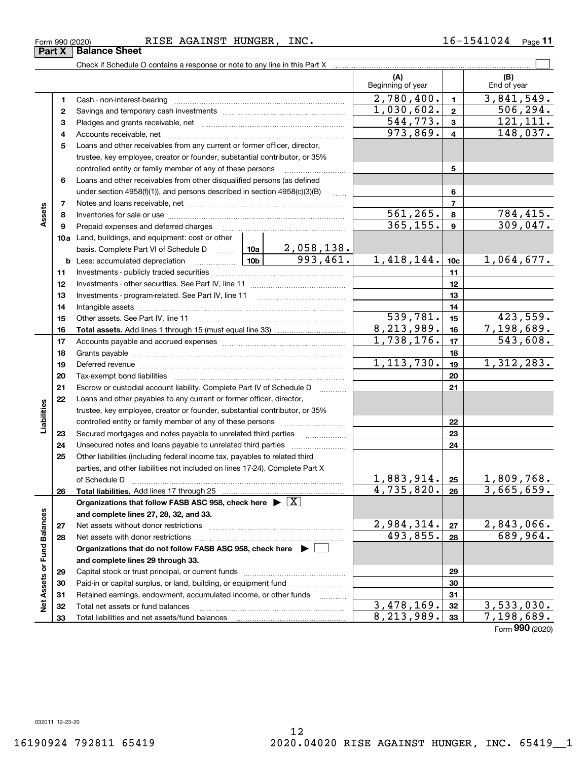**33**

**Net Assets or Fund Balances**

 $\frac{1}{2}$ 

Assets or Fund Balances

Total liabilities and net assets/fund balances

#### Form 990 (2020) RISE AGAINST HUNGER, INC.  $16\hbox{--}1541024$   $_{\sf Page}$

Check if Schedule O contains a response or note to any line in this Part X

**(A) (B) 123** Pledges and grants receivable, net  $\ldots$  **multimes contained and grants receivable**, net **multimes contained and grants receivable**, net **multimes contained and grants receivable 45**Loans and other receivables from any current or former officer, director, **678910a**Land, buildings, and equipment: cost or other **111213 1415161718192021222324252627282930313212345678910c11121314151617181920212223242526b** Less: accumulated depreciation  $\ldots$  **10b** basis. Complete Part VI of Schedule D will aller **Total assets.**  Add lines 1 through 15 (must equal line 33) **Total liabilities.**  Add lines 17 through 25 **Organizations that follow FASB ASC 958, check here** | X **and complete lines 27, 28, 32, and 33. 2728Organizations that do not follow FASB ASC 958, check here** | **and complete lines 29 through 33. 29303132**Beginning of year | | End of year Cash - non-interest-bearing ~~~~~~~~~~~~~~~~~~~~~~~~~ Savings and temporary cash investments ~~~~~~~~~~~~~~~~~~Accounts receivable, net ~~~~~~~~~~~~~~~~~~~~~~~~~~ trustee, key employee, creator or founder, substantial contributor, or 35% controlled entity or family member of any of these persons ............................ Loans and other receivables from other disqualified persons (as defined under section  $4958(f)(1)$ , and persons described in section  $4958(c)(3)(B)$ Notes and loans receivable, net ~~~~~~~~~~~~~~~~~~~~~~~Inventories for sale or use ~~~~~~~~~~~~~~~~~~~~~~~~~~Prepaid expenses and deferred charges ~~~~~~~~~~~~~~~~~~ Investments - publicly traded securities ~~~~~~~~~~~~~~~~~~~ Investments - other securities. See Part IV, line 11 ~~~~~~~~~~~~~~ Investments - program-related. See Part IV, line 11 ~~~~~~~~~~~~~Intangible assets …………………………………………………………………………………… Other assets. See Part IV, line 11 ~~~~~~~~~~~~~~~~~~~~~~ Accounts payable and accrued expenses ~~~~~~~~~~~~~~~~~~ Grants payable ~~~~~~~~~~~~~~~~~~~~~~~~~~~~~~~ Deferred revenue ~~~~~~~~~~~~~~~~~~~~~~~~~~~~~~ Tax-exempt bond liabilities …………………………………………………………… Escrow or custodial account liability. Complete Part IV of Schedule D Loans and other payables to any current or former officer, director, trustee, key employee, creator or founder, substantial contributor, or 35% controlled entity or family member of any of these persons ~~~~~~~~~Secured mortgages and notes payable to unrelated third parties Unsecured notes and loans payable to unrelated third parties Other liabilities (including federal income tax, payables to related third parties, and other liabilities not included on lines 17-24). Complete Part X of Schedule D ~~~~~~~~~~~~~~~~~~~~~~~~~~~~~~~ Net assets without donor restrictions ~~~~~~~~~~~~~~~~~~~~ Net assets with donor restrictions ~~~~~~~~~~~~~~~~~~~~~~ Capital stock or trust principal, or current funds ~~~~~~~~~~~~~~~Paid-in or capital surplus, or land, building, or equipment fund www.commun.com Retained earnings, endowment, accumulated income, or other funds Total net assets or fund balances ~~~~~~~~~~~~~~~~~~~~~~  $2,780,400.$   $1 \mid 3,841,549.$  $973,869. | 4 | 148,037.$  $544, 773.$   $3 \mid 121, 111.$ 561,265. 784,415.  $365, 155.$   $9 \mid 309, 047.$ 2,058,138.  $993,461. \quad 1,418,144.$   $10c \quad 1,064,677.$  $539,781.$   $15$   $423,559.$ 8,213,989. 7,198,689.  $1,030,602.$  2 506,294.  $1,738,176.$  17 | 543,608.  $1, 113, 730.$  1,  $312, 283.$  $1,883,914.$  |  $25$  | 1,809,768.  $4,735,820. |26| 3,665,659.$  $2,984,314. |z_7| 2,843,066.$ 493,855. 689,964.  $3,478,169.$   $32 \mid 3,533,030.$  $8,213,989.$  33 7,198,689.

12

Form (2020) **990**

 $\mathcal{L}^{\text{max}}$ 

**33**

**Assets**

**Liabilities**

iabilities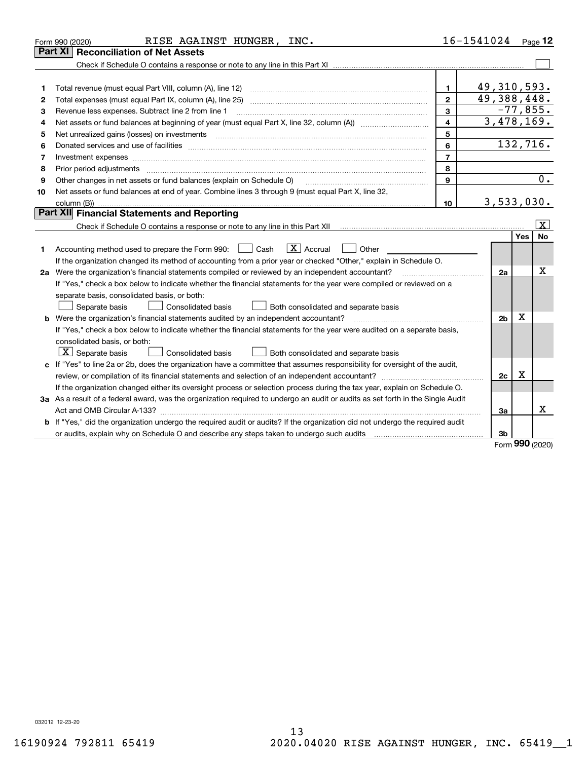|    | RISE AGAINST HUNGER, INC.<br>Form 990 (2020)                                                                                                                                                                                   |                | $16 - 1541024$ Page 12 |     |                         |
|----|--------------------------------------------------------------------------------------------------------------------------------------------------------------------------------------------------------------------------------|----------------|------------------------|-----|-------------------------|
|    | <b>Part XI   Reconciliation of Net Assets</b>                                                                                                                                                                                  |                |                        |     |                         |
|    |                                                                                                                                                                                                                                |                |                        |     |                         |
|    |                                                                                                                                                                                                                                |                |                        |     |                         |
| 1  | Total revenue (must equal Part VIII, column (A), line 12)                                                                                                                                                                      | $\mathbf{1}$   | 49, 310, 593.          |     |                         |
| 2  |                                                                                                                                                                                                                                | $\mathbf{2}$   | 49,388,448.            |     |                         |
| з  | Revenue less expenses. Subtract line 2 from line 1                                                                                                                                                                             | 3              | $-77,855.$             |     |                         |
| 4  |                                                                                                                                                                                                                                | 4              | 3,478,169.             |     |                         |
| 5  | Net unrealized gains (losses) on investments                                                                                                                                                                                   | 5              |                        |     |                         |
| 6  | Donated services and use of facilities [111] Donated and the service of facilities [11] Donated services and use of facilities [11] Donated and the service of the service of the service of the service of the service of the | 6              | 132,716.               |     |                         |
| 7  | Investment expenses www.communication.com/www.communication.com/www.communication.com/www.com                                                                                                                                  | $\overline{7}$ |                        |     |                         |
| 8  | Prior period adjustments                                                                                                                                                                                                       | 8              |                        |     |                         |
| 9  | Other changes in net assets or fund balances (explain on Schedule O)                                                                                                                                                           | $\mathbf{Q}$   |                        |     | 0.                      |
| 10 | Net assets or fund balances at end of year. Combine lines 3 through 9 (must equal Part X, line 32,                                                                                                                             |                |                        |     |                         |
|    |                                                                                                                                                                                                                                | 10             | 3,533,030.             |     |                         |
|    | Part XII Financial Statements and Reporting                                                                                                                                                                                    |                |                        |     |                         |
|    | Check if Schedule O contains a response or note to any line in this Part XII [11] [12] Check if Schedule O contains a response or note to any line in this Part XII                                                            |                |                        |     | $\overline{\mathbf{X}}$ |
|    |                                                                                                                                                                                                                                |                |                        | Yes | No                      |
| 1  | $\boxed{\mathbf{X}}$ Accrual<br>Accounting method used to prepare the Form 990: <u>I</u> Cash<br>Other                                                                                                                         |                |                        |     |                         |
|    | If the organization changed its method of accounting from a prior year or checked "Other," explain in Schedule O.                                                                                                              |                |                        |     |                         |
|    | 2a Were the organization's financial statements compiled or reviewed by an independent accountant?                                                                                                                             |                | 2a                     |     | Χ                       |
|    | If "Yes," check a box below to indicate whether the financial statements for the year were compiled or reviewed on a                                                                                                           |                |                        |     |                         |
|    | separate basis, consolidated basis, or both:                                                                                                                                                                                   |                |                        |     |                         |
|    | Separate basis<br><b>Consolidated basis</b><br>Both consolidated and separate basis                                                                                                                                            |                |                        |     |                         |
|    | <b>b</b> Were the organization's financial statements audited by an independent accountant?                                                                                                                                    |                | 2 <sub>b</sub>         | X   |                         |
|    | If "Yes," check a box below to indicate whether the financial statements for the year were audited on a separate basis,                                                                                                        |                |                        |     |                         |
|    | consolidated basis, or both:                                                                                                                                                                                                   |                |                        |     |                         |
|    | $X$ Separate basis<br>Consolidated basis<br>Both consolidated and separate basis                                                                                                                                               |                |                        |     |                         |
|    | c If "Yes" to line 2a or 2b, does the organization have a committee that assumes responsibility for oversight of the audit,                                                                                                    |                |                        |     |                         |
|    |                                                                                                                                                                                                                                |                | 2c                     | x   |                         |
|    | If the organization changed either its oversight process or selection process during the tax year, explain on Schedule O.                                                                                                      |                |                        |     |                         |
|    | 3a As a result of a federal award, was the organization required to undergo an audit or audits as set forth in the Single Audit                                                                                                |                |                        |     |                         |
|    |                                                                                                                                                                                                                                |                | 3a                     |     | х                       |
| b  | If "Yes," did the organization undergo the required audit or audits? If the organization did not undergo the required audit                                                                                                    |                |                        |     |                         |
|    |                                                                                                                                                                                                                                |                | 3b                     | nnn |                         |

Form (2020) **990**

032012 12-23-20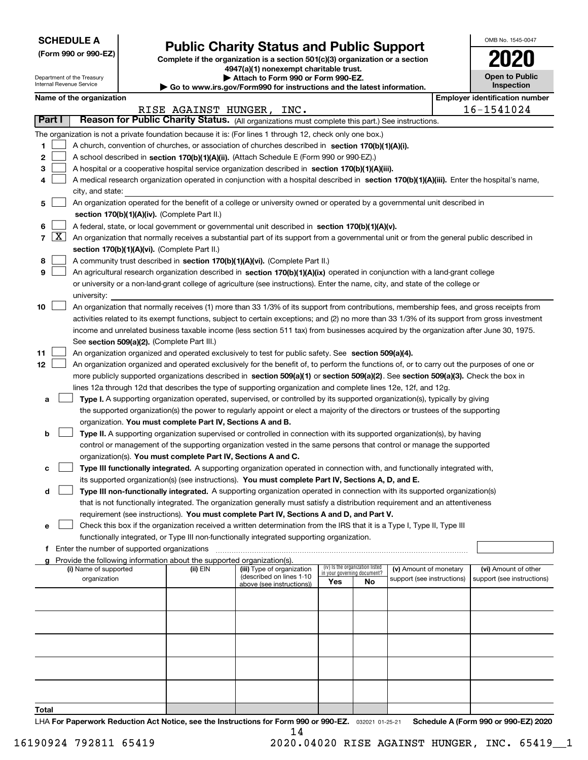| <b>SCHEDULE A</b> |
|-------------------|
|-------------------|

Department of the Treasury Internal Revenue Service

**(Form 990 or 990-EZ)**

# **Public Charity Status and Public Support**

**Complete if the organization is a section 501(c)(3) organization or a section 4947(a)(1) nonexempt charitable trust.**

**| Attach to Form 990 or Form 990-EZ.** 

**| Go to www.irs.gov/Form990 for instructions and the latest information.**

| OMB No 1545-0047                    |
|-------------------------------------|
| 020                                 |
| <b>Open to Public</b><br>Inspection |

#### **Name of the organization Employer identification** number

|       |        |                                                                                                                                                                                                                          |          | RISE AGAINST HUNGER, INC.                              |                                                                |    |                            |  | 16-1541024                 |  |  |
|-------|--------|--------------------------------------------------------------------------------------------------------------------------------------------------------------------------------------------------------------------------|----------|--------------------------------------------------------|----------------------------------------------------------------|----|----------------------------|--|----------------------------|--|--|
|       | Part I | Reason for Public Charity Status. (All organizations must complete this part.) See instructions.                                                                                                                         |          |                                                        |                                                                |    |                            |  |                            |  |  |
|       |        | The organization is not a private foundation because it is: (For lines 1 through 12, check only one box.)                                                                                                                |          |                                                        |                                                                |    |                            |  |                            |  |  |
| 1     |        | A church, convention of churches, or association of churches described in section 170(b)(1)(A)(i).                                                                                                                       |          |                                                        |                                                                |    |                            |  |                            |  |  |
| 2     |        | A school described in section 170(b)(1)(A)(ii). (Attach Schedule E (Form 990 or 990-EZ).)                                                                                                                                |          |                                                        |                                                                |    |                            |  |                            |  |  |
| з     |        | A hospital or a cooperative hospital service organization described in section 170(b)(1)(A)(iii).                                                                                                                        |          |                                                        |                                                                |    |                            |  |                            |  |  |
| 4     |        | A medical research organization operated in conjunction with a hospital described in section 170(b)(1)(A)(iii). Enter the hospital's name,                                                                               |          |                                                        |                                                                |    |                            |  |                            |  |  |
|       |        | city, and state:                                                                                                                                                                                                         |          |                                                        |                                                                |    |                            |  |                            |  |  |
| 5     |        | An organization operated for the benefit of a college or university owned or operated by a governmental unit described in                                                                                                |          |                                                        |                                                                |    |                            |  |                            |  |  |
|       |        | section 170(b)(1)(A)(iv). (Complete Part II.)                                                                                                                                                                            |          |                                                        |                                                                |    |                            |  |                            |  |  |
| 6     |        | A federal, state, or local government or governmental unit described in section 170(b)(1)(A)(v).                                                                                                                         |          |                                                        |                                                                |    |                            |  |                            |  |  |
|       | 7   X  | An organization that normally receives a substantial part of its support from a governmental unit or from the general public described in                                                                                |          |                                                        |                                                                |    |                            |  |                            |  |  |
|       |        | section 170(b)(1)(A)(vi). (Complete Part II.)                                                                                                                                                                            |          |                                                        |                                                                |    |                            |  |                            |  |  |
| 8     |        | A community trust described in section 170(b)(1)(A)(vi). (Complete Part II.)                                                                                                                                             |          |                                                        |                                                                |    |                            |  |                            |  |  |
| 9     |        | An agricultural research organization described in section 170(b)(1)(A)(ix) operated in conjunction with a land-grant college                                                                                            |          |                                                        |                                                                |    |                            |  |                            |  |  |
|       |        | or university or a non-land-grant college of agriculture (see instructions). Enter the name, city, and state of the college or                                                                                           |          |                                                        |                                                                |    |                            |  |                            |  |  |
|       |        | university:                                                                                                                                                                                                              |          |                                                        |                                                                |    |                            |  |                            |  |  |
| 10    |        | An organization that normally receives (1) more than 33 1/3% of its support from contributions, membership fees, and gross receipts from                                                                                 |          |                                                        |                                                                |    |                            |  |                            |  |  |
|       |        | activities related to its exempt functions, subject to certain exceptions; and (2) no more than 33 1/3% of its support from gross investment                                                                             |          |                                                        |                                                                |    |                            |  |                            |  |  |
|       |        | income and unrelated business taxable income (less section 511 tax) from businesses acquired by the organization after June 30, 1975.<br>See section 509(a)(2). (Complete Part III.)                                     |          |                                                        |                                                                |    |                            |  |                            |  |  |
| 11    |        | An organization organized and operated exclusively to test for public safety. See section 509(a)(4).                                                                                                                     |          |                                                        |                                                                |    |                            |  |                            |  |  |
| 12    |        | An organization organized and operated exclusively for the benefit of, to perform the functions of, or to carry out the purposes of one or                                                                               |          |                                                        |                                                                |    |                            |  |                            |  |  |
|       |        | more publicly supported organizations described in section 509(a)(1) or section 509(a)(2). See section 509(a)(3). Check the box in                                                                                       |          |                                                        |                                                                |    |                            |  |                            |  |  |
|       |        | lines 12a through 12d that describes the type of supporting organization and complete lines 12e, 12f, and 12g.                                                                                                           |          |                                                        |                                                                |    |                            |  |                            |  |  |
| а     |        | Type I. A supporting organization operated, supervised, or controlled by its supported organization(s), typically by giving                                                                                              |          |                                                        |                                                                |    |                            |  |                            |  |  |
|       |        | the supported organization(s) the power to regularly appoint or elect a majority of the directors or trustees of the supporting                                                                                          |          |                                                        |                                                                |    |                            |  |                            |  |  |
|       |        | organization. You must complete Part IV, Sections A and B.                                                                                                                                                               |          |                                                        |                                                                |    |                            |  |                            |  |  |
| b     |        | Type II. A supporting organization supervised or controlled in connection with its supported organization(s), by having                                                                                                  |          |                                                        |                                                                |    |                            |  |                            |  |  |
|       |        | control or management of the supporting organization vested in the same persons that control or manage the supported                                                                                                     |          |                                                        |                                                                |    |                            |  |                            |  |  |
|       |        | organization(s). You must complete Part IV, Sections A and C.                                                                                                                                                            |          |                                                        |                                                                |    |                            |  |                            |  |  |
| с     |        | Type III functionally integrated. A supporting organization operated in connection with, and functionally integrated with,                                                                                               |          |                                                        |                                                                |    |                            |  |                            |  |  |
|       |        | its supported organization(s) (see instructions). You must complete Part IV, Sections A, D, and E.                                                                                                                       |          |                                                        |                                                                |    |                            |  |                            |  |  |
| d     |        | Type III non-functionally integrated. A supporting organization operated in connection with its supported organization(s)                                                                                                |          |                                                        |                                                                |    |                            |  |                            |  |  |
|       |        | that is not functionally integrated. The organization generally must satisfy a distribution requirement and an attentiveness<br>requirement (see instructions). You must complete Part IV, Sections A and D, and Part V. |          |                                                        |                                                                |    |                            |  |                            |  |  |
| е     |        | Check this box if the organization received a written determination from the IRS that it is a Type I, Type II, Type III                                                                                                  |          |                                                        |                                                                |    |                            |  |                            |  |  |
|       |        | functionally integrated, or Type III non-functionally integrated supporting organization.                                                                                                                                |          |                                                        |                                                                |    |                            |  |                            |  |  |
| f     |        | Enter the number of supported organizations                                                                                                                                                                              |          |                                                        |                                                                |    |                            |  |                            |  |  |
| a     |        | Provide the following information about the supported organization(s).                                                                                                                                                   |          |                                                        |                                                                |    |                            |  |                            |  |  |
|       |        | (i) Name of supported                                                                                                                                                                                                    | (ii) EIN | (iii) Type of organization<br>(described on lines 1-10 | (iv) Is the organization listed<br>in your governing document? |    | (v) Amount of monetary     |  | (vi) Amount of other       |  |  |
|       |        | organization                                                                                                                                                                                                             |          | above (see instructions))                              | Yes                                                            | No | support (see instructions) |  | support (see instructions) |  |  |
|       |        |                                                                                                                                                                                                                          |          |                                                        |                                                                |    |                            |  |                            |  |  |
|       |        |                                                                                                                                                                                                                          |          |                                                        |                                                                |    |                            |  |                            |  |  |
|       |        |                                                                                                                                                                                                                          |          |                                                        |                                                                |    |                            |  |                            |  |  |
|       |        |                                                                                                                                                                                                                          |          |                                                        |                                                                |    |                            |  |                            |  |  |
|       |        |                                                                                                                                                                                                                          |          |                                                        |                                                                |    |                            |  |                            |  |  |
|       |        |                                                                                                                                                                                                                          |          |                                                        |                                                                |    |                            |  |                            |  |  |
|       |        |                                                                                                                                                                                                                          |          |                                                        |                                                                |    |                            |  |                            |  |  |
|       |        |                                                                                                                                                                                                                          |          |                                                        |                                                                |    |                            |  |                            |  |  |
|       |        |                                                                                                                                                                                                                          |          |                                                        |                                                                |    |                            |  |                            |  |  |
| Total |        |                                                                                                                                                                                                                          |          |                                                        |                                                                |    |                            |  |                            |  |  |

LHA For Paperwork Reduction Act Notice, see the Instructions for Form 990 or 990-EZ. <sub>032021</sub> o1-25-21 Schedule A (Form 990 or 990-EZ) 2020 14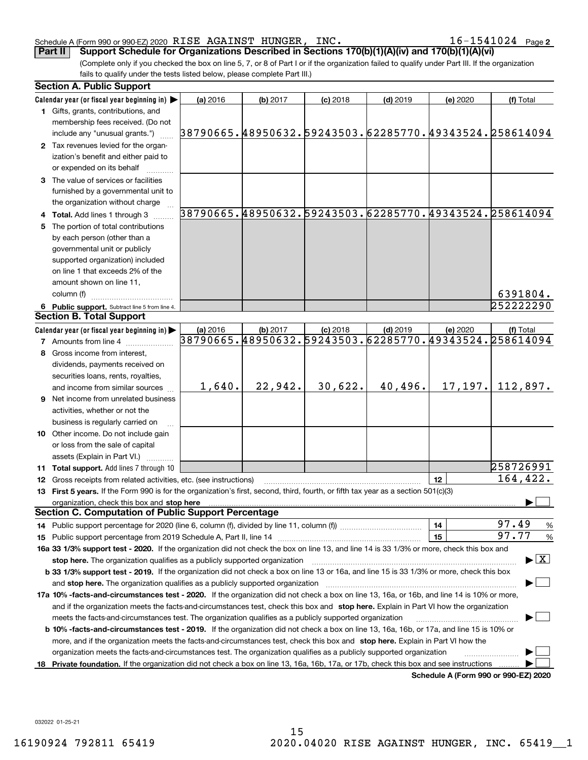#### Schedule A (Form 990 or 990-EZ) 2020 Page RISE AGAINST HUNGER, INC. 16-1541024

 $16 - 1541024$  Page 2

(Complete only if you checked the box on line 5, 7, or 8 of Part I or if the organization failed to qualify under Part III. If the organization fails to qualify under the tests listed below, please complete Part III.) **Part II Support Schedule for Organizations Described in Sections 170(b)(1)(A)(iv) and 170(b)(1)(A)(vi)**

|    | <b>Section A. Public Support</b>                                                                                                               |          |          |            |            |          |                                                        |
|----|------------------------------------------------------------------------------------------------------------------------------------------------|----------|----------|------------|------------|----------|--------------------------------------------------------|
|    | Calendar year (or fiscal year beginning in)                                                                                                    | (a) 2016 | (b) 2017 | $(c)$ 2018 | $(d)$ 2019 | (e) 2020 | (f) Total                                              |
|    | 1 Gifts, grants, contributions, and                                                                                                            |          |          |            |            |          |                                                        |
|    | membership fees received. (Do not                                                                                                              |          |          |            |            |          |                                                        |
|    | include any "unusual grants.")                                                                                                                 |          |          |            |            |          | 38790665.48950632.59243503.62285770.49343524.258614094 |
|    | 2 Tax revenues levied for the organ-                                                                                                           |          |          |            |            |          |                                                        |
|    | ization's benefit and either paid to                                                                                                           |          |          |            |            |          |                                                        |
|    | or expended on its behalf                                                                                                                      |          |          |            |            |          |                                                        |
|    | 3 The value of services or facilities                                                                                                          |          |          |            |            |          |                                                        |
|    | furnished by a governmental unit to                                                                                                            |          |          |            |            |          |                                                        |
|    | the organization without charge                                                                                                                |          |          |            |            |          |                                                        |
|    | 4 Total. Add lines 1 through 3                                                                                                                 |          |          |            |            |          | 38790665.48950632.59243503.62285770.49343524.258614094 |
|    | 5 The portion of total contributions                                                                                                           |          |          |            |            |          |                                                        |
|    | by each person (other than a                                                                                                                   |          |          |            |            |          |                                                        |
|    | governmental unit or publicly                                                                                                                  |          |          |            |            |          |                                                        |
|    | supported organization) included                                                                                                               |          |          |            |            |          |                                                        |
|    | on line 1 that exceeds 2% of the                                                                                                               |          |          |            |            |          |                                                        |
|    | amount shown on line 11,                                                                                                                       |          |          |            |            |          |                                                        |
|    | column (f)                                                                                                                                     |          |          |            |            |          | 6391804.                                               |
|    | 6 Public support. Subtract line 5 from line 4.                                                                                                 |          |          |            |            |          | 252222290                                              |
|    | <b>Section B. Total Support</b>                                                                                                                |          |          |            |            |          |                                                        |
|    | Calendar year (or fiscal year beginning in)                                                                                                    | (a) 2016 | (b) 2017 | $(c)$ 2018 | $(d)$ 2019 | (e) 2020 | (f) Total                                              |
|    | <b>7</b> Amounts from line 4                                                                                                                   |          |          |            |            |          | 38790665.48950632.59243503.62285770.49343524.258614094 |
|    |                                                                                                                                                |          |          |            |            |          |                                                        |
|    | 8 Gross income from interest,                                                                                                                  |          |          |            |            |          |                                                        |
|    | dividends, payments received on                                                                                                                |          |          |            |            |          |                                                        |
|    | securities loans, rents, royalties,                                                                                                            | 1,640.   | 22,942.  | 30,622.    | 40,496.    | 17, 197. | 112,897.                                               |
|    | and income from similar sources                                                                                                                |          |          |            |            |          |                                                        |
|    | <b>9</b> Net income from unrelated business                                                                                                    |          |          |            |            |          |                                                        |
|    | activities, whether or not the                                                                                                                 |          |          |            |            |          |                                                        |
|    | business is regularly carried on                                                                                                               |          |          |            |            |          |                                                        |
|    | 10 Other income. Do not include gain                                                                                                           |          |          |            |            |          |                                                        |
|    | or loss from the sale of capital                                                                                                               |          |          |            |            |          |                                                        |
|    | assets (Explain in Part VI.) <b>Constant</b>                                                                                                   |          |          |            |            |          |                                                        |
|    | 11 Total support. Add lines 7 through 10                                                                                                       |          |          |            |            |          | 258726991                                              |
|    | 12 Gross receipts from related activities, etc. (see instructions)                                                                             |          |          |            |            | 12       | 164,422.                                               |
|    | 13 First 5 years. If the Form 990 is for the organization's first, second, third, fourth, or fifth tax year as a section 501(c)(3)             |          |          |            |            |          |                                                        |
|    | organization, check this box and stop here                                                                                                     |          |          |            |            |          |                                                        |
|    | <b>Section C. Computation of Public Support Percentage</b>                                                                                     |          |          |            |            |          |                                                        |
|    | 14 Public support percentage for 2020 (line 6, column (f), divided by line 11, column (f) <i>mummumumum</i>                                    |          |          |            |            | 14       | 97.49<br>$\frac{9}{6}$                                 |
|    |                                                                                                                                                |          |          |            |            | 15       | 97.77<br>%                                             |
|    | 16a 33 1/3% support test - 2020. If the organization did not check the box on line 13, and line 14 is 33 1/3% or more, check this box and      |          |          |            |            |          |                                                        |
|    | stop here. The organization qualifies as a publicly supported organization                                                                     |          |          |            |            |          | $\blacktriangleright$ $\vert$ X $\vert$                |
|    | b 33 1/3% support test - 2019. If the organization did not check a box on line 13 or 16a, and line 15 is 33 1/3% or more, check this box       |          |          |            |            |          |                                                        |
|    | and stop here. The organization qualifies as a publicly supported organization                                                                 |          |          |            |            |          |                                                        |
|    | 17a 10% -facts-and-circumstances test - 2020. If the organization did not check a box on line 13, 16a, or 16b, and line 14 is 10% or more,     |          |          |            |            |          |                                                        |
|    | and if the organization meets the facts-and-circumstances test, check this box and stop here. Explain in Part VI how the organization          |          |          |            |            |          |                                                        |
|    | meets the facts-and-circumstances test. The organization qualifies as a publicly supported organization                                        |          |          |            |            |          |                                                        |
|    | <b>b 10% -facts-and-circumstances test - 2019.</b> If the organization did not check a box on line 13, 16a, 16b, or 17a, and line 15 is 10% or |          |          |            |            |          |                                                        |
|    | more, and if the organization meets the facts-and-circumstances test, check this box and stop here. Explain in Part VI how the                 |          |          |            |            |          |                                                        |
|    | organization meets the facts-and-circumstances test. The organization qualifies as a publicly supported organization                           |          |          |            |            |          |                                                        |
| 18 | Private foundation. If the organization did not check a box on line 13, 16a, 16b, 17a, or 17b, check this box and see instructions             |          |          |            |            |          |                                                        |
|    |                                                                                                                                                |          |          |            |            |          | Schedule A (Form 990 or 990-F7) 2020                   |

**Schedule A (Form 990 or 990-EZ) 2020**

032022 01-25-21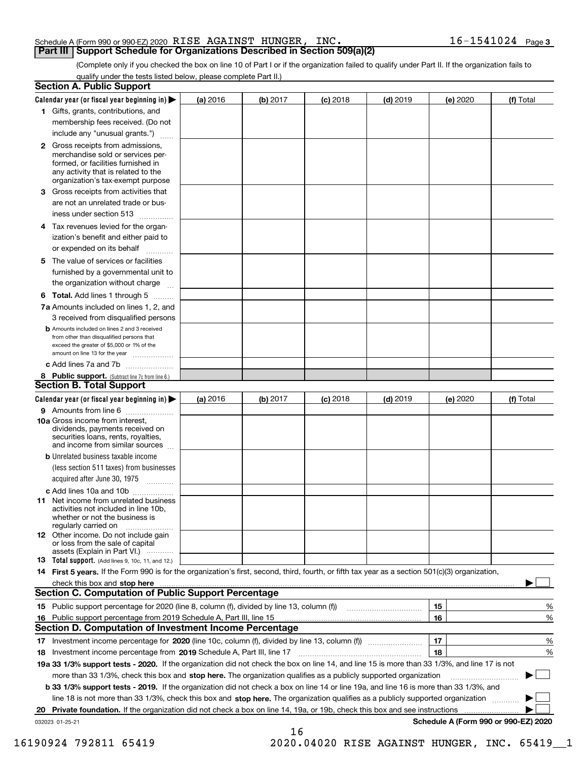#### Schedule A (Form 990 or 990-EZ) 2020  $\>$  R $\rm{1SE}$   $\>$   $\rm{AGA}$   $\rm{1NST}$   $\>$   $\rm{HUNGER}$  ,  $\>$   $\rm{INC}$  .  $\>$   $\>$   $\>$   $\>$   $\>$   $\rm{16-1541024}$   $\>$   $\>$   $\rm{Page}$ **Part III Support Schedule for Organizations Described in Section 509(a)(2)**

(Complete only if you checked the box on line 10 of Part I or if the organization failed to qualify under Part II. If the organization fails to qualify under the tests listed below, please complete Part II.)

|    | <b>Section A. Public Support</b>                                                                                                                                                                                                    |          |            |            |            |                                      |           |
|----|-------------------------------------------------------------------------------------------------------------------------------------------------------------------------------------------------------------------------------------|----------|------------|------------|------------|--------------------------------------|-----------|
|    | Calendar year (or fiscal year beginning in) $\blacktriangleright$                                                                                                                                                                   | (a) 2016 | (b) $2017$ | $(c)$ 2018 | $(d)$ 2019 | (e) 2020                             | (f) Total |
|    | 1 Gifts, grants, contributions, and                                                                                                                                                                                                 |          |            |            |            |                                      |           |
|    | membership fees received. (Do not                                                                                                                                                                                                   |          |            |            |            |                                      |           |
|    | include any "unusual grants.")                                                                                                                                                                                                      |          |            |            |            |                                      |           |
|    | <b>2</b> Gross receipts from admissions,<br>merchandise sold or services per-<br>formed, or facilities furnished in<br>any activity that is related to the<br>organization's tax-exempt purpose                                     |          |            |            |            |                                      |           |
|    | 3 Gross receipts from activities that                                                                                                                                                                                               |          |            |            |            |                                      |           |
|    | are not an unrelated trade or bus-                                                                                                                                                                                                  |          |            |            |            |                                      |           |
|    | iness under section 513                                                                                                                                                                                                             |          |            |            |            |                                      |           |
|    | 4 Tax revenues levied for the organ-                                                                                                                                                                                                |          |            |            |            |                                      |           |
|    | ization's benefit and either paid to                                                                                                                                                                                                |          |            |            |            |                                      |           |
|    | or expended on its behalf                                                                                                                                                                                                           |          |            |            |            |                                      |           |
|    | 5 The value of services or facilities                                                                                                                                                                                               |          |            |            |            |                                      |           |
|    | furnished by a governmental unit to                                                                                                                                                                                                 |          |            |            |            |                                      |           |
|    | the organization without charge                                                                                                                                                                                                     |          |            |            |            |                                      |           |
|    | <b>6 Total.</b> Add lines 1 through 5                                                                                                                                                                                               |          |            |            |            |                                      |           |
|    | 7a Amounts included on lines 1, 2, and                                                                                                                                                                                              |          |            |            |            |                                      |           |
|    | 3 received from disqualified persons                                                                                                                                                                                                |          |            |            |            |                                      |           |
|    | <b>b</b> Amounts included on lines 2 and 3 received<br>from other than disqualified persons that<br>exceed the greater of \$5,000 or 1% of the<br>amount on line 13 for the year                                                    |          |            |            |            |                                      |           |
|    | c Add lines 7a and 7b                                                                                                                                                                                                               |          |            |            |            |                                      |           |
|    | 8 Public support. (Subtract line 7c from line 6.)                                                                                                                                                                                   |          |            |            |            |                                      |           |
|    | <b>Section B. Total Support</b>                                                                                                                                                                                                     |          |            |            |            |                                      |           |
|    | Calendar year (or fiscal year beginning in)                                                                                                                                                                                         | (a) 2016 | (b) 2017   | $(c)$ 2018 | $(d)$ 2019 | (e) 2020                             | (f) Total |
|    | 9 Amounts from line 6                                                                                                                                                                                                               |          |            |            |            |                                      |           |
|    | 10a Gross income from interest,<br>dividends, payments received on<br>securities loans, rents, royalties,<br>and income from similar sources                                                                                        |          |            |            |            |                                      |           |
|    | <b>b</b> Unrelated business taxable income                                                                                                                                                                                          |          |            |            |            |                                      |           |
|    | (less section 511 taxes) from businesses                                                                                                                                                                                            |          |            |            |            |                                      |           |
|    | acquired after June 30, 1975                                                                                                                                                                                                        |          |            |            |            |                                      |           |
|    | c Add lines 10a and 10b                                                                                                                                                                                                             |          |            |            |            |                                      |           |
|    | 11 Net income from unrelated business<br>activities not included in line 10b.<br>whether or not the business is<br>regularly carried on                                                                                             |          |            |            |            |                                      |           |
|    | 12 Other income. Do not include gain<br>or loss from the sale of capital<br>assets (Explain in Part VI.)                                                                                                                            |          |            |            |            |                                      |           |
|    | <b>13</b> Total support. (Add lines 9, 10c, 11, and 12.)                                                                                                                                                                            |          |            |            |            |                                      |           |
|    | 14 First 5 years. If the Form 990 is for the organization's first, second, third, fourth, or fifth tax year as a section 501(c)(3) organization,                                                                                    |          |            |            |            |                                      |           |
|    | check this box and <b>stop here</b> with the continuum continuum continuum continuum continuum continuum continuum continuum continuum continuum continuum continuum continuum continuum continuum continuum continuum continuum co |          |            |            |            |                                      |           |
|    | Section C. Computation of Public Support Percentage                                                                                                                                                                                 |          |            |            |            |                                      |           |
|    | 15 Public support percentage for 2020 (line 8, column (f), divided by line 13, column (f))                                                                                                                                          |          |            |            |            | 15                                   | %         |
|    | 16 Public support percentage from 2019 Schedule A, Part III, line 15                                                                                                                                                                |          |            |            |            | 16                                   | %         |
|    | <b>Section D. Computation of Investment Income Percentage</b>                                                                                                                                                                       |          |            |            |            |                                      |           |
|    | 17 Investment income percentage for 2020 (line 10c, column (f), divided by line 13, column (f))                                                                                                                                     |          |            |            |            | 17                                   | %         |
|    | 18 Investment income percentage from 2019 Schedule A, Part III, line 17                                                                                                                                                             |          |            |            |            | 18                                   | %         |
|    | 19a 33 1/3% support tests - 2020. If the organization did not check the box on line 14, and line 15 is more than 33 1/3%, and line 17 is not                                                                                        |          |            |            |            |                                      |           |
|    | more than 33 1/3%, check this box and stop here. The organization qualifies as a publicly supported organization                                                                                                                    |          |            |            |            |                                      |           |
|    | <b>b 33 1/3% support tests - 2019.</b> If the organization did not check a box on line 14 or line 19a, and line 16 is more than 33 1/3%, and                                                                                        |          |            |            |            |                                      |           |
|    | line 18 is not more than 33 1/3%, check this box and stop here. The organization qualifies as a publicly supported organization                                                                                                     |          |            |            |            |                                      |           |
| 20 | <b>Private foundation.</b> If the organization did not check a box on line 14, 19a, or 19b, check this box and see instructions                                                                                                     |          |            |            |            |                                      |           |
|    | 032023 01-25-21                                                                                                                                                                                                                     |          |            |            |            | Schedule A (Form 990 or 990-EZ) 2020 |           |
|    |                                                                                                                                                                                                                                     |          | 16         |            |            |                                      |           |

 <sup>16190924 792811 65419 2020.04020</sup> RISE AGAINST HUNGER, INC. 65419\_\_1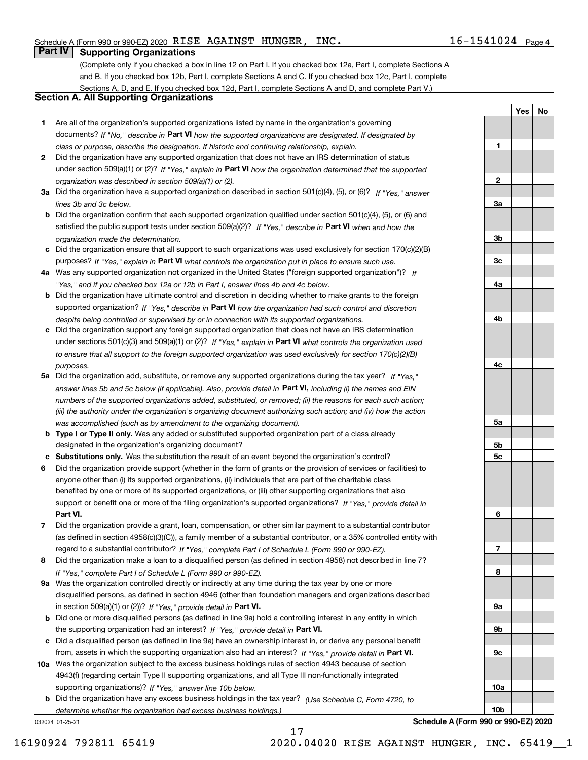**1**

**2**

**3a**

**3b**

**3c**

**4a**

**4b**

**4c**

**5a**

**5b5c**

**6**

**7**

**8**

**9a**

**9b**

**9c**

**10a**

**10b**

**YesNo**

## **Part IV Supporting Organizations**

(Complete only if you checked a box in line 12 on Part I. If you checked box 12a, Part I, complete Sections A and B. If you checked box 12b, Part I, complete Sections A and C. If you checked box 12c, Part I, complete Sections A, D, and E. If you checked box 12d, Part I, complete Sections A and D, and complete Part V.)

#### **Section A. All Supporting Organizations**

- **1** Are all of the organization's supported organizations listed by name in the organization's governing documents? If "No," describe in **Part VI** how the supported organizations are designated. If designated by *class or purpose, describe the designation. If historic and continuing relationship, explain.*
- **2** Did the organization have any supported organization that does not have an IRS determination of status under section 509(a)(1) or (2)? If "Yes," explain in Part VI how the organization determined that the supported *organization was described in section 509(a)(1) or (2).*
- **3a** Did the organization have a supported organization described in section 501(c)(4), (5), or (6)? If "Yes," answer *lines 3b and 3c below.*
- **b** Did the organization confirm that each supported organization qualified under section 501(c)(4), (5), or (6) and satisfied the public support tests under section 509(a)(2)? If "Yes," describe in **Part VI** when and how the *organization made the determination.*
- **c**Did the organization ensure that all support to such organizations was used exclusively for section 170(c)(2)(B) purposes? If "Yes," explain in **Part VI** what controls the organization put in place to ensure such use.
- **4a***If* Was any supported organization not organized in the United States ("foreign supported organization")? *"Yes," and if you checked box 12a or 12b in Part I, answer lines 4b and 4c below.*
- **b** Did the organization have ultimate control and discretion in deciding whether to make grants to the foreign supported organization? If "Yes," describe in **Part VI** how the organization had such control and discretion *despite being controlled or supervised by or in connection with its supported organizations.*
- **c** Did the organization support any foreign supported organization that does not have an IRS determination under sections 501(c)(3) and 509(a)(1) or (2)? If "Yes," explain in **Part VI** what controls the organization used *to ensure that all support to the foreign supported organization was used exclusively for section 170(c)(2)(B) purposes.*
- **5a** Did the organization add, substitute, or remove any supported organizations during the tax year? If "Yes," answer lines 5b and 5c below (if applicable). Also, provide detail in **Part VI,** including (i) the names and EIN *numbers of the supported organizations added, substituted, or removed; (ii) the reasons for each such action; (iii) the authority under the organization's organizing document authorizing such action; and (iv) how the action was accomplished (such as by amendment to the organizing document).*
- **b** Type I or Type II only. Was any added or substituted supported organization part of a class already designated in the organization's organizing document?
- **cSubstitutions only.**  Was the substitution the result of an event beyond the organization's control?
- **6** Did the organization provide support (whether in the form of grants or the provision of services or facilities) to **Part VI.** *If "Yes," provide detail in* support or benefit one or more of the filing organization's supported organizations? anyone other than (i) its supported organizations, (ii) individuals that are part of the charitable class benefited by one or more of its supported organizations, or (iii) other supporting organizations that also
- **7**Did the organization provide a grant, loan, compensation, or other similar payment to a substantial contributor *If "Yes," complete Part I of Schedule L (Form 990 or 990-EZ).* regard to a substantial contributor? (as defined in section 4958(c)(3)(C)), a family member of a substantial contributor, or a 35% controlled entity with
- **8** Did the organization make a loan to a disqualified person (as defined in section 4958) not described in line 7? *If "Yes," complete Part I of Schedule L (Form 990 or 990-EZ).*
- **9a** Was the organization controlled directly or indirectly at any time during the tax year by one or more in section 509(a)(1) or (2))? If "Yes," *provide detail in* <code>Part VI.</code> disqualified persons, as defined in section 4946 (other than foundation managers and organizations described
- **b** Did one or more disqualified persons (as defined in line 9a) hold a controlling interest in any entity in which the supporting organization had an interest? If "Yes," provide detail in P**art VI**.
- **c**Did a disqualified person (as defined in line 9a) have an ownership interest in, or derive any personal benefit from, assets in which the supporting organization also had an interest? If "Yes," provide detail in P**art VI.**
- **10a** Was the organization subject to the excess business holdings rules of section 4943 because of section supporting organizations)? If "Yes," answer line 10b below. 4943(f) (regarding certain Type II supporting organizations, and all Type III non-functionally integrated
- **b** Did the organization have any excess business holdings in the tax year? (Use Schedule C, Form 4720, to *determine whether the organization had excess business holdings.)*

17

032024 01-25-21

**Schedule A (Form 990 or 990-EZ) 2020**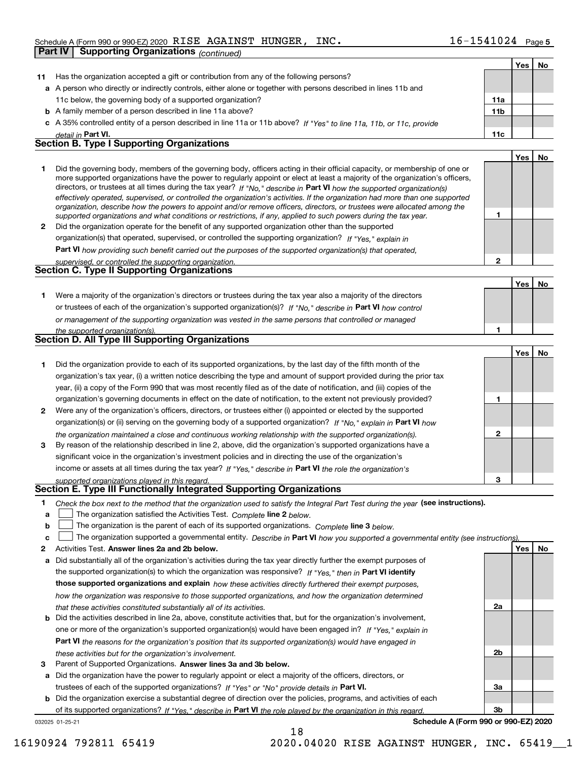|              | <b>Supporting Organizations (continued)</b><br><b>Part IV</b>                                                                                                                                                                                              |                 |     |    |
|--------------|------------------------------------------------------------------------------------------------------------------------------------------------------------------------------------------------------------------------------------------------------------|-----------------|-----|----|
|              |                                                                                                                                                                                                                                                            |                 | Yes | No |
| 11           | Has the organization accepted a gift or contribution from any of the following persons?                                                                                                                                                                    |                 |     |    |
|              | a A person who directly or indirectly controls, either alone or together with persons described in lines 11b and                                                                                                                                           |                 |     |    |
|              | 11c below, the governing body of a supported organization?                                                                                                                                                                                                 | 11a             |     |    |
|              | <b>b</b> A family member of a person described in line 11a above?                                                                                                                                                                                          | 11 <sub>b</sub> |     |    |
|              | c A 35% controlled entity of a person described in line 11a or 11b above? If "Yes" to line 11a, 11b, or 11c, provide                                                                                                                                       |                 |     |    |
|              | detail in Part VI.                                                                                                                                                                                                                                         | 11c             |     |    |
|              | <b>Section B. Type I Supporting Organizations</b>                                                                                                                                                                                                          |                 |     |    |
|              |                                                                                                                                                                                                                                                            |                 | Yes | No |
| 1            | Did the governing body, members of the governing body, officers acting in their official capacity, or membership of one or                                                                                                                                 |                 |     |    |
|              | more supported organizations have the power to regularly appoint or elect at least a majority of the organization's officers,                                                                                                                              |                 |     |    |
|              | directors, or trustees at all times during the tax year? If "No," describe in Part VI how the supported organization(s)                                                                                                                                    |                 |     |    |
|              | effectively operated, supervised, or controlled the organization's activities. If the organization had more than one supported<br>organization, describe how the powers to appoint and/or remove officers, directors, or trustees were allocated among the |                 |     |    |
|              | supported organizations and what conditions or restrictions, if any, applied to such powers during the tax year.                                                                                                                                           | 1               |     |    |
| $\mathbf{2}$ | Did the organization operate for the benefit of any supported organization other than the supported                                                                                                                                                        |                 |     |    |
|              | organization(s) that operated, supervised, or controlled the supporting organization? If "Yes," explain in                                                                                                                                                 |                 |     |    |
|              | Part VI how providing such benefit carried out the purposes of the supported organization(s) that operated,                                                                                                                                                |                 |     |    |
|              | supervised, or controlled the supporting organization.                                                                                                                                                                                                     | $\overline{2}$  |     |    |
|              | Section C. Type II Supporting Organizations                                                                                                                                                                                                                |                 |     |    |
|              |                                                                                                                                                                                                                                                            |                 | Yes | No |
| 1.           | Were a majority of the organization's directors or trustees during the tax year also a majority of the directors                                                                                                                                           |                 |     |    |
|              | or trustees of each of the organization's supported organization(s)? If "No," describe in Part VI how control                                                                                                                                              |                 |     |    |
|              | or management of the supporting organization was vested in the same persons that controlled or managed                                                                                                                                                     |                 |     |    |
|              | the supported organization(s).                                                                                                                                                                                                                             |                 |     |    |
|              | <b>Section D. All Type III Supporting Organizations</b>                                                                                                                                                                                                    |                 |     |    |
|              |                                                                                                                                                                                                                                                            |                 | Yes | No |
| 1.           | Did the organization provide to each of its supported organizations, by the last day of the fifth month of the                                                                                                                                             |                 |     |    |
|              | organization's tax year, (i) a written notice describing the type and amount of support provided during the prior tax                                                                                                                                      |                 |     |    |
|              | year, (ii) a copy of the Form 990 that was most recently filed as of the date of notification, and (iii) copies of the                                                                                                                                     |                 |     |    |
|              | organization's governing documents in effect on the date of notification, to the extent not previously provided?                                                                                                                                           | 1               |     |    |
| 2            | Were any of the organization's officers, directors, or trustees either (i) appointed or elected by the supported                                                                                                                                           |                 |     |    |
|              | organization(s) or (ii) serving on the governing body of a supported organization? If "No," explain in Part VI how                                                                                                                                         |                 |     |    |
|              | the organization maintained a close and continuous working relationship with the supported organization(s).                                                                                                                                                | $\mathbf{2}$    |     |    |
| 3            | By reason of the relationship described in line 2, above, did the organization's supported organizations have a                                                                                                                                            |                 |     |    |
|              | significant voice in the organization's investment policies and in directing the use of the organization's                                                                                                                                                 |                 |     |    |
|              | income or assets at all times during the tax year? If "Yes," describe in Part VI the role the organization's                                                                                                                                               |                 |     |    |
|              | supported organizations played in this regard.                                                                                                                                                                                                             | 3               |     |    |
|              | Section E. Type III Functionally Integrated Supporting Organizations                                                                                                                                                                                       |                 |     |    |
| 1            | Check the box next to the method that the organization used to satisfy the Integral Part Test during the year (see instructions).                                                                                                                          |                 |     |    |
| a            | The organization satisfied the Activities Test. Complete line 2 below.                                                                                                                                                                                     |                 |     |    |
| b            | The organization is the parent of each of its supported organizations. Complete line 3 below.                                                                                                                                                              |                 |     |    |
| c            | The organization supported a governmental entity. Describe in Part VI how you supported a governmental entity (see instructions).                                                                                                                          |                 |     |    |
| 2            | Activities Test. Answer lines 2a and 2b below.                                                                                                                                                                                                             |                 | Yes | No |
| а            | Did substantially all of the organization's activities during the tax year directly further the exempt purposes of                                                                                                                                         |                 |     |    |
|              | the supported organization(s) to which the organization was responsive? If "Yes," then in Part VI identify                                                                                                                                                 |                 |     |    |
|              | those supported organizations and explain how these activities directly furthered their exempt purposes,                                                                                                                                                   |                 |     |    |
|              | how the organization was responsive to those supported organizations, and how the organization determined                                                                                                                                                  |                 |     |    |
|              | that these activities constituted substantially all of its activities.                                                                                                                                                                                     | 2a              |     |    |
| b            | Did the activities described in line 2a, above, constitute activities that, but for the organization's involvement,                                                                                                                                        |                 |     |    |
|              | one or more of the organization's supported organization(s) would have been engaged in? If "Yes," explain in                                                                                                                                               |                 |     |    |
|              | Part VI the reasons for the organization's position that its supported organization(s) would have engaged in                                                                                                                                               |                 |     |    |
|              | these activities but for the organization's involvement.                                                                                                                                                                                                   | 2b              |     |    |

**3** Parent of Supported Organizations. Answer lines 3a and 3b below.

**a** Did the organization have the power to regularly appoint or elect a majority of the officers, directors, or trustees of each of the supported organizations? If "Yes" or "No" provide details in **Part VI.** 

**b** Did the organization exercise a substantial degree of direction over the policies, programs, and activities of each of its supported organizations? If "Yes," describe in Part VI the role played by the organization in this regard.

18

032025 01-25-21

**Schedule A (Form 990 or 990-EZ) 2020**

**3a**

**3b**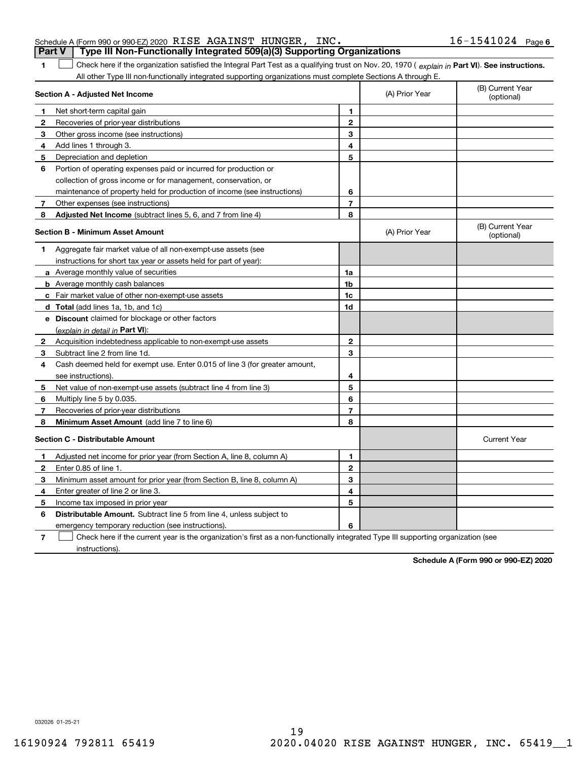**1**

| <b>Part V</b> Type III Non-Functionally Integrated 509(a)(3) Supporting Organizations |  |                     |  |
|---------------------------------------------------------------------------------------|--|---------------------|--|
| Schedule A (Form 990 or 990-EZ) 2020 RISE AGAINST HUNGER, INC.                        |  | $16 - 1541024$ Page |  |

1 Check here if the organization satisfied the Integral Part Test as a qualifying trust on Nov. 20, 1970 (explain in Part VI). See instructions. All other Type III non-functionally integrated supporting organizations must complete Sections A through E.

|              | Section A - Adjusted Net Income                                             |                | (A) Prior Year | (B) Current Year<br>(optional) |
|--------------|-----------------------------------------------------------------------------|----------------|----------------|--------------------------------|
| 1            | Net short-term capital gain                                                 | 1              |                |                                |
| $\mathbf{2}$ | Recoveries of prior-year distributions                                      | $\mathbf{2}$   |                |                                |
| 3            | Other gross income (see instructions)                                       | 3              |                |                                |
| 4            | Add lines 1 through 3.                                                      | 4              |                |                                |
| 5            | Depreciation and depletion                                                  | 5              |                |                                |
| 6            | Portion of operating expenses paid or incurred for production or            |                |                |                                |
|              | collection of gross income or for management, conservation, or              |                |                |                                |
|              | maintenance of property held for production of income (see instructions)    | 6              |                |                                |
| 7            | Other expenses (see instructions)                                           | $\overline{7}$ |                |                                |
| 8            | <b>Adjusted Net Income</b> (subtract lines 5, 6, and 7 from line 4)         | 8              |                |                                |
|              | Section B - Minimum Asset Amount                                            |                | (A) Prior Year | (B) Current Year<br>(optional) |
| 1            | Aggregate fair market value of all non-exempt-use assets (see               |                |                |                                |
|              | instructions for short tax year or assets held for part of year):           |                |                |                                |
|              | <b>a</b> Average monthly value of securities                                | 1a             |                |                                |
|              | <b>b</b> Average monthly cash balances                                      | 1b             |                |                                |
|              | <b>c</b> Fair market value of other non-exempt-use assets                   | 1c             |                |                                |
|              | d Total (add lines 1a, 1b, and 1c)                                          | 1d             |                |                                |
|              | e Discount claimed for blockage or other factors                            |                |                |                                |
|              | (explain in detail in Part VI):                                             |                |                |                                |
| $\mathbf{2}$ | Acquisition indebtedness applicable to non-exempt-use assets                | $\mathbf{2}$   |                |                                |
| 3            | Subtract line 2 from line 1d.                                               | 3              |                |                                |
| 4            | Cash deemed held for exempt use. Enter 0.015 of line 3 (for greater amount, |                |                |                                |
|              | see instructions).                                                          | 4              |                |                                |
| 5            | Net value of non-exempt-use assets (subtract line 4 from line 3)            | 5              |                |                                |
| 6            | Multiply line 5 by 0.035.                                                   | 6              |                |                                |
| 7            | Recoveries of prior-year distributions                                      | $\overline{7}$ |                |                                |
| 8            | <b>Minimum Asset Amount</b> (add line 7 to line 6)                          | 8              |                |                                |
|              | <b>Section C - Distributable Amount</b>                                     |                |                | <b>Current Year</b>            |
| 1            | Adjusted net income for prior year (from Section A, line 8, column A)       | 1              |                |                                |
| $\mathbf{2}$ | Enter 0.85 of line 1.                                                       | $\mathbf{2}$   |                |                                |
| 3            | Minimum asset amount for prior year (from Section B, line 8, column A)      | 3              |                |                                |
| 4            | Enter greater of line 2 or line 3.                                          | 4              |                |                                |
| 5            | Income tax imposed in prior year                                            | 5              |                |                                |
| 6            | <b>Distributable Amount.</b> Subtract line 5 from line 4, unless subject to |                |                |                                |
|              | emergency temporary reduction (see instructions).                           | 6              |                |                                |
|              |                                                                             |                |                |                                |

**7**Check here if the current year is the organization's first as a non-functionally integrated Type III supporting organization (see instructions).

**Schedule A (Form 990 or 990-EZ) 2020**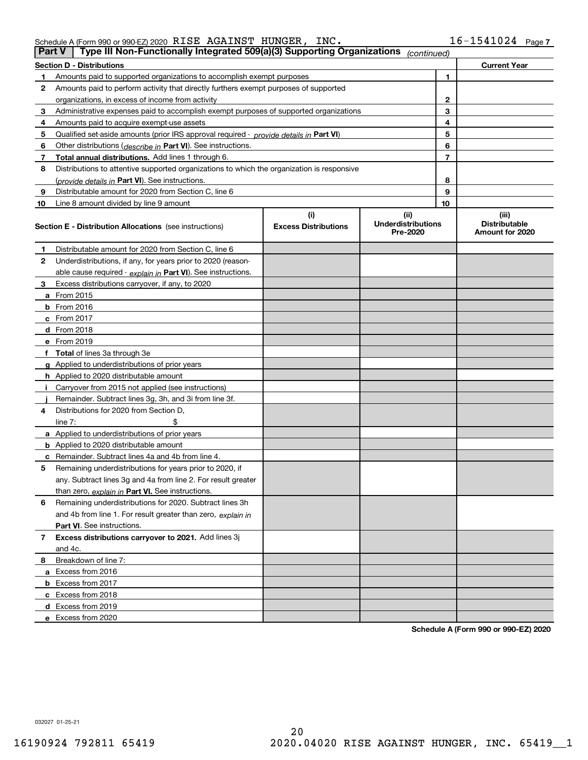| Schedule A (Form 990 or 990-EZ) 2020 $\>$ $\rm RISE$ $\>$ $\rm AGAINST$ $\>$ $\rm HUNGER$ , |  | INC. | $16 - 1541024$ Page 7 |  |
|---------------------------------------------------------------------------------------------|--|------|-----------------------|--|
|                                                                                             |  |      |                       |  |

|    | Type III Non-Functionally Integrated 509(a)(3) Supporting Organizations<br><b>Part V</b><br>(continued) |                             |                                       |                                         |  |  |  |  |
|----|---------------------------------------------------------------------------------------------------------|-----------------------------|---------------------------------------|-----------------------------------------|--|--|--|--|
|    | <b>Section D - Distributions</b>                                                                        |                             |                                       | <b>Current Year</b>                     |  |  |  |  |
| 1  | Amounts paid to supported organizations to accomplish exempt purposes                                   |                             |                                       | 1                                       |  |  |  |  |
| 2  | Amounts paid to perform activity that directly furthers exempt purposes of supported                    |                             |                                       |                                         |  |  |  |  |
|    | organizations, in excess of income from activity                                                        |                             |                                       | 2                                       |  |  |  |  |
| 3  | Administrative expenses paid to accomplish exempt purposes of supported organizations                   |                             |                                       | 3                                       |  |  |  |  |
| 4  | Amounts paid to acquire exempt-use assets                                                               |                             | 4                                     |                                         |  |  |  |  |
| 5  | Qualified set-aside amounts (prior IRS approval required - provide details in Part VI)                  |                             |                                       | 5                                       |  |  |  |  |
| 6  | Other distributions (describe in Part VI). See instructions.                                            |                             |                                       | 6                                       |  |  |  |  |
| 7  | Total annual distributions. Add lines 1 through 6.                                                      |                             |                                       | 7                                       |  |  |  |  |
| 8  | Distributions to attentive supported organizations to which the organization is responsive              |                             |                                       |                                         |  |  |  |  |
|    | (provide details in Part VI). See instructions.                                                         |                             |                                       | 8                                       |  |  |  |  |
| 9  | Distributable amount for 2020 from Section C, line 6                                                    |                             |                                       | 9                                       |  |  |  |  |
| 10 | Line 8 amount divided by line 9 amount                                                                  |                             | 10                                    |                                         |  |  |  |  |
|    |                                                                                                         | (i)                         | (ii)                                  | (iii)                                   |  |  |  |  |
|    | <b>Section E - Distribution Allocations</b> (see instructions)                                          | <b>Excess Distributions</b> | <b>Underdistributions</b><br>Pre-2020 | <b>Distributable</b><br>Amount for 2020 |  |  |  |  |
| 1  | Distributable amount for 2020 from Section C, line 6                                                    |                             |                                       |                                         |  |  |  |  |
| 2  | Underdistributions, if any, for years prior to 2020 (reason-                                            |                             |                                       |                                         |  |  |  |  |
|    | able cause required - explain in Part VI). See instructions.                                            |                             |                                       |                                         |  |  |  |  |
| 3  | Excess distributions carryover, if any, to 2020                                                         |                             |                                       |                                         |  |  |  |  |
|    | <b>a</b> From 2015                                                                                      |                             |                                       |                                         |  |  |  |  |
|    | <b>b</b> From 2016                                                                                      |                             |                                       |                                         |  |  |  |  |
|    | c From 2017                                                                                             |                             |                                       |                                         |  |  |  |  |
|    | <b>d</b> From 2018                                                                                      |                             |                                       |                                         |  |  |  |  |
|    | e From 2019                                                                                             |                             |                                       |                                         |  |  |  |  |
|    | f Total of lines 3a through 3e                                                                          |                             |                                       |                                         |  |  |  |  |
|    | g Applied to underdistributions of prior years                                                          |                             |                                       |                                         |  |  |  |  |
|    | <b>h</b> Applied to 2020 distributable amount                                                           |                             |                                       |                                         |  |  |  |  |
|    | Carryover from 2015 not applied (see instructions)                                                      |                             |                                       |                                         |  |  |  |  |
|    | Remainder. Subtract lines 3g, 3h, and 3i from line 3f.                                                  |                             |                                       |                                         |  |  |  |  |
| 4  | Distributions for 2020 from Section D,                                                                  |                             |                                       |                                         |  |  |  |  |
|    | line $7:$                                                                                               |                             |                                       |                                         |  |  |  |  |
|    | a Applied to underdistributions of prior years                                                          |                             |                                       |                                         |  |  |  |  |
|    | <b>b</b> Applied to 2020 distributable amount                                                           |                             |                                       |                                         |  |  |  |  |
|    | c Remainder. Subtract lines 4a and 4b from line 4.                                                      |                             |                                       |                                         |  |  |  |  |
| 5  | Remaining underdistributions for years prior to 2020, if                                                |                             |                                       |                                         |  |  |  |  |
|    | any. Subtract lines 3g and 4a from line 2. For result greater                                           |                             |                                       |                                         |  |  |  |  |
|    | than zero, explain in Part VI. See instructions.                                                        |                             |                                       |                                         |  |  |  |  |
| 6  | Remaining underdistributions for 2020. Subtract lines 3h                                                |                             |                                       |                                         |  |  |  |  |
|    | and 4b from line 1. For result greater than zero, explain in                                            |                             |                                       |                                         |  |  |  |  |
|    | Part VI. See instructions.                                                                              |                             |                                       |                                         |  |  |  |  |
| 7  | Excess distributions carryover to 2021. Add lines 3j                                                    |                             |                                       |                                         |  |  |  |  |
|    | and 4c.                                                                                                 |                             |                                       |                                         |  |  |  |  |
| 8  | Breakdown of line 7:                                                                                    |                             |                                       |                                         |  |  |  |  |
|    | a Excess from 2016                                                                                      |                             |                                       |                                         |  |  |  |  |
|    | <b>b</b> Excess from 2017                                                                               |                             |                                       |                                         |  |  |  |  |
|    | c Excess from 2018                                                                                      |                             |                                       |                                         |  |  |  |  |
|    | d Excess from 2019                                                                                      |                             |                                       |                                         |  |  |  |  |
|    | e Excess from 2020                                                                                      |                             |                                       |                                         |  |  |  |  |

**Schedule A (Form 990 or 990-EZ) 2020**

032027 01-25-21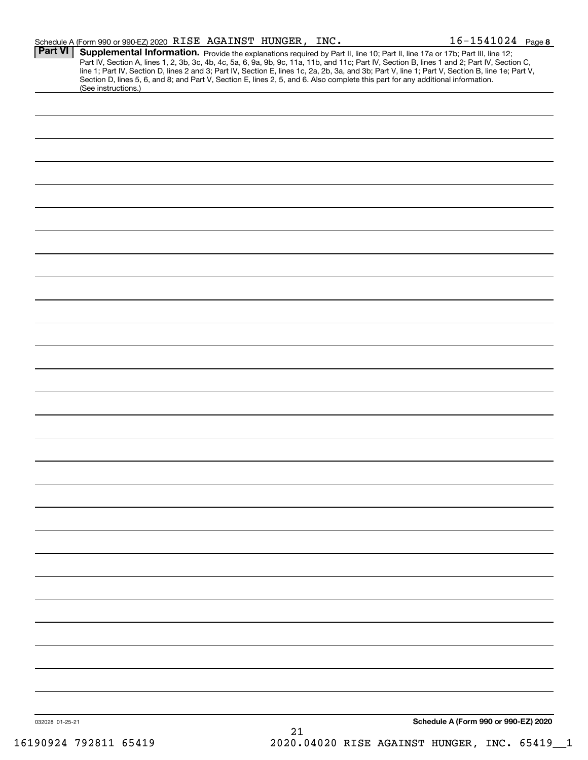|                 | Schedule A (Form 990 or 990-EZ) 2020 RISE AGAINST HUNGER, INC.                                                                                                                                                                                                                                                                                                                                                                                                                                                                                                                              |    |  | $16 - 1541024$ Page 8                |
|-----------------|---------------------------------------------------------------------------------------------------------------------------------------------------------------------------------------------------------------------------------------------------------------------------------------------------------------------------------------------------------------------------------------------------------------------------------------------------------------------------------------------------------------------------------------------------------------------------------------------|----|--|--------------------------------------|
| Part VI         | Supplemental Information. Provide the explanations required by Part II, line 10; Part II, line 17a or 17b; Part III, line 12;<br>Part IV, Section A, lines 1, 2, 3b, 3c, 4b, 4c, 5a, 6, 9a, 9b, 9c, 11a, 11b, and 11c; Part IV, Section B, lines 1 and 2; Part IV, Section C,<br>line 1; Part IV, Section D, lines 2 and 3; Part IV, Section E, lines 1c, 2a, 2b, 3a, and 3b; Part V, line 1; Part V, Section B, line 1e; Part V,<br>Section D, lines 5, 6, and 8; and Part V, Section E, lines 2, 5, and 6. Also complete this part for any additional information.<br>(See instructions.) |    |  |                                      |
|                 |                                                                                                                                                                                                                                                                                                                                                                                                                                                                                                                                                                                             |    |  |                                      |
|                 |                                                                                                                                                                                                                                                                                                                                                                                                                                                                                                                                                                                             |    |  |                                      |
|                 |                                                                                                                                                                                                                                                                                                                                                                                                                                                                                                                                                                                             |    |  |                                      |
|                 |                                                                                                                                                                                                                                                                                                                                                                                                                                                                                                                                                                                             |    |  |                                      |
|                 |                                                                                                                                                                                                                                                                                                                                                                                                                                                                                                                                                                                             |    |  |                                      |
|                 |                                                                                                                                                                                                                                                                                                                                                                                                                                                                                                                                                                                             |    |  |                                      |
|                 |                                                                                                                                                                                                                                                                                                                                                                                                                                                                                                                                                                                             |    |  |                                      |
|                 |                                                                                                                                                                                                                                                                                                                                                                                                                                                                                                                                                                                             |    |  |                                      |
|                 |                                                                                                                                                                                                                                                                                                                                                                                                                                                                                                                                                                                             |    |  |                                      |
|                 |                                                                                                                                                                                                                                                                                                                                                                                                                                                                                                                                                                                             |    |  |                                      |
|                 |                                                                                                                                                                                                                                                                                                                                                                                                                                                                                                                                                                                             |    |  |                                      |
|                 |                                                                                                                                                                                                                                                                                                                                                                                                                                                                                                                                                                                             |    |  |                                      |
|                 |                                                                                                                                                                                                                                                                                                                                                                                                                                                                                                                                                                                             |    |  |                                      |
|                 |                                                                                                                                                                                                                                                                                                                                                                                                                                                                                                                                                                                             |    |  |                                      |
|                 |                                                                                                                                                                                                                                                                                                                                                                                                                                                                                                                                                                                             |    |  |                                      |
|                 |                                                                                                                                                                                                                                                                                                                                                                                                                                                                                                                                                                                             |    |  |                                      |
|                 |                                                                                                                                                                                                                                                                                                                                                                                                                                                                                                                                                                                             |    |  |                                      |
|                 |                                                                                                                                                                                                                                                                                                                                                                                                                                                                                                                                                                                             |    |  |                                      |
|                 |                                                                                                                                                                                                                                                                                                                                                                                                                                                                                                                                                                                             |    |  |                                      |
|                 |                                                                                                                                                                                                                                                                                                                                                                                                                                                                                                                                                                                             |    |  |                                      |
|                 |                                                                                                                                                                                                                                                                                                                                                                                                                                                                                                                                                                                             |    |  |                                      |
|                 |                                                                                                                                                                                                                                                                                                                                                                                                                                                                                                                                                                                             |    |  |                                      |
|                 |                                                                                                                                                                                                                                                                                                                                                                                                                                                                                                                                                                                             |    |  |                                      |
|                 |                                                                                                                                                                                                                                                                                                                                                                                                                                                                                                                                                                                             |    |  |                                      |
|                 |                                                                                                                                                                                                                                                                                                                                                                                                                                                                                                                                                                                             |    |  |                                      |
|                 |                                                                                                                                                                                                                                                                                                                                                                                                                                                                                                                                                                                             |    |  |                                      |
|                 |                                                                                                                                                                                                                                                                                                                                                                                                                                                                                                                                                                                             |    |  |                                      |
| 032028 01-25-21 |                                                                                                                                                                                                                                                                                                                                                                                                                                                                                                                                                                                             |    |  | Schedule A (Form 990 or 990-EZ) 2020 |
|                 |                                                                                                                                                                                                                                                                                                                                                                                                                                                                                                                                                                                             | 21 |  |                                      |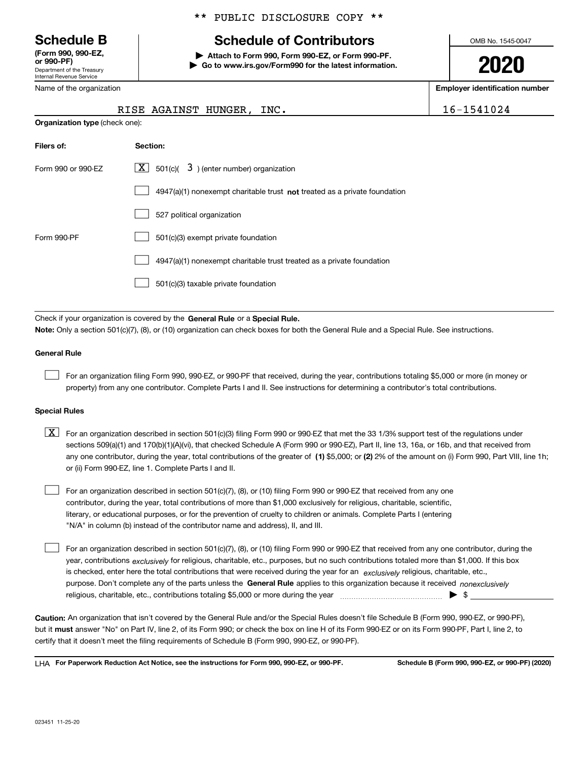Department of the Treasury Internal Revenue Service **(Form 990, 990-EZ, or 990-PF)**

Name of the organization

**Organization type** (check one):

#### \*\* PUBLIC DISCLOSURE COPY \*\*

# **Schedule B Schedule of Contributors**

**| Attach to Form 990, Form 990-EZ, or Form 990-PF. | Go to www.irs.gov/Form990 for the latest information.** OMB No. 1545-0047

**2020**

**Employer identification number**

|  |  |  |  | 541024 |  |
|--|--|--|--|--------|--|
|  |  |  |  |        |  |

|  | RISE AGAINST HUNGER, INC. | 16-1541024 |
|--|---------------------------|------------|
|  |                           |            |

| Filers of:         | Section:                                                                           |
|--------------------|------------------------------------------------------------------------------------|
| Form 990 or 990-EZ | $\lfloor x \rfloor$ 501(c)( 3) (enter number) organization                         |
|                    | $4947(a)(1)$ nonexempt charitable trust <b>not</b> treated as a private foundation |
|                    | 527 political organization                                                         |
| Form 990-PF        | 501(c)(3) exempt private foundation                                                |
|                    | 4947(a)(1) nonexempt charitable trust treated as a private foundation              |
|                    | 501(c)(3) taxable private foundation                                               |
|                    |                                                                                    |

Check if your organization is covered by the **General Rule** or a **Special Rule. Note:**  Only a section 501(c)(7), (8), or (10) organization can check boxes for both the General Rule and a Special Rule. See instructions.

#### **General Rule**

 $\mathcal{L}^{\text{max}}$ 

For an organization filing Form 990, 990-EZ, or 990-PF that received, during the year, contributions totaling \$5,000 or more (in money or property) from any one contributor. Complete Parts I and II. See instructions for determining a contributor's total contributions.

#### **Special Rules**

any one contributor, during the year, total contributions of the greater of  $\,$  (1) \$5,000; or **(2)** 2% of the amount on (i) Form 990, Part VIII, line 1h;  $\boxed{\textbf{X}}$  For an organization described in section 501(c)(3) filing Form 990 or 990-EZ that met the 33 1/3% support test of the regulations under sections 509(a)(1) and 170(b)(1)(A)(vi), that checked Schedule A (Form 990 or 990-EZ), Part II, line 13, 16a, or 16b, and that received from or (ii) Form 990-EZ, line 1. Complete Parts I and II.

For an organization described in section 501(c)(7), (8), or (10) filing Form 990 or 990-EZ that received from any one contributor, during the year, total contributions of more than \$1,000 exclusively for religious, charitable, scientific, literary, or educational purposes, or for the prevention of cruelty to children or animals. Complete Parts I (entering "N/A" in column (b) instead of the contributor name and address), II, and III.  $\mathcal{L}^{\text{max}}$ 

purpose. Don't complete any of the parts unless the **General Rule** applies to this organization because it received *nonexclusively* year, contributions <sub>exclusively</sub> for religious, charitable, etc., purposes, but no such contributions totaled more than \$1,000. If this box is checked, enter here the total contributions that were received during the year for an  $\;$ exclusively religious, charitable, etc., For an organization described in section 501(c)(7), (8), or (10) filing Form 990 or 990-EZ that received from any one contributor, during the religious, charitable, etc., contributions totaling \$5,000 or more during the year  $\Box$ — $\Box$   $\Box$  $\mathcal{L}^{\text{max}}$ 

**Caution:**  An organization that isn't covered by the General Rule and/or the Special Rules doesn't file Schedule B (Form 990, 990-EZ, or 990-PF),  **must** but it answer "No" on Part IV, line 2, of its Form 990; or check the box on line H of its Form 990-EZ or on its Form 990-PF, Part I, line 2, to certify that it doesn't meet the filing requirements of Schedule B (Form 990, 990-EZ, or 990-PF).

**For Paperwork Reduction Act Notice, see the instructions for Form 990, 990-EZ, or 990-PF. Schedule B (Form 990, 990-EZ, or 990-PF) (2020)** LHA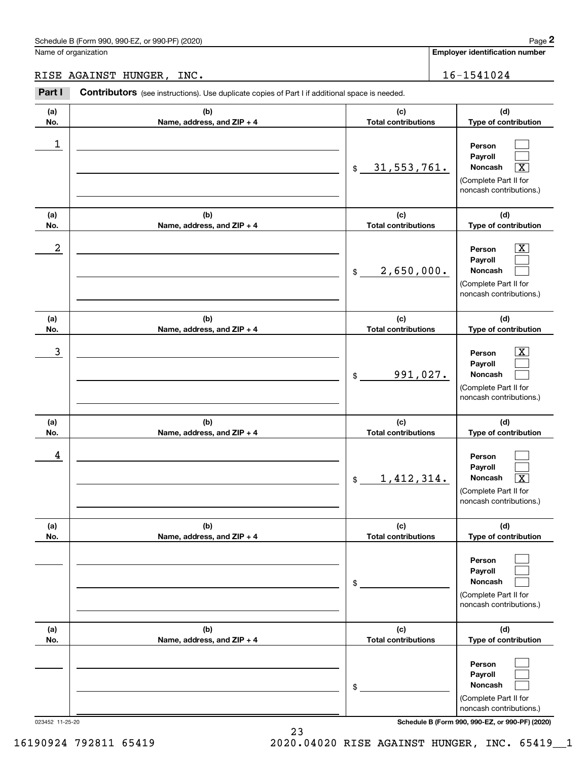Name of organization

**Employer identification number**

#### RISE AGAINST HUNGER, INC. 16-1541024

**(a)No.(b)Name, address, and ZIP + 4 (c)Total contributions (d)Type of contribution PersonPayrollNoncash (a)No.(b)Name, address, and ZIP + 4 (c)Total contributions (d)Type of contribution PersonPayrollNoncash (a)No.(b)Name, address, and ZIP + 4 (c)Total contributions (d)Type of contribution PersonPayrollNoncash (a) No.(b) Name, address, and ZIP + 4 (c) Total contributions (d) Type of contribution PersonPayrollNoncash (a) No.(b) Name, address, and ZIP + 4 (c) Total contributions (d) Type of contribution PersonPayrollNoncash(a) No.(b)Name, address, and ZIP + 4 (c) Total contributions (d)Type of contribution PersonPayrollNoncash Contributors** (see instructions). Use duplicate copies of Part I if additional space is needed. \$(Complete Part II for noncash contributions.) \$(Complete Part II for noncash contributions.) \$(Complete Part II for noncash contributions.) \$(Complete Part II for noncash contributions.) \$(Complete Part II for noncash contributions.) \$(Complete Part II for noncash contributions.) Chedule B (Form 990, 990-EZ, or 990-PF) (2020)<br> **2Part I 2Part I Contributors** (see instructions). Use duplicate copies of Part I if additional space is needed.<br>
2Part I **Contributors** (see instructions). Use duplicate  $\mathcal{L}^{\text{max}}$  $\mathcal{L}^{\text{max}}$  $\boxed{\text{X}}$  $\boxed{\text{X}}$  $\mathcal{L}^{\text{max}}$  $\mathcal{L}^{\text{max}}$  $|X|$  $\mathcal{L}^{\text{max}}$  $\mathcal{L}^{\text{max}}$  $\mathcal{L}^{\text{max}}$  $\mathcal{L}^{\text{max}}$  $\lceil \text{X} \rceil$  $\mathcal{L}^{\text{max}}$  $\mathcal{L}^{\text{max}}$  $\mathcal{L}^{\text{max}}$  $\mathcal{L}^{\text{max}}$  $\mathcal{L}^{\text{max}}$  $\mathcal{L}^{\text{max}}$ 1 31,553,761. X  $2$  | Person  $\overline{\text{X}}$ 2,650,000.  $\overline{3}$  | Person  $\overline{X}$ 991,027. 4 1,412,314. X

023452 11-25-20 **Schedule B (Form 990, 990-EZ, or 990-PF) (2020)**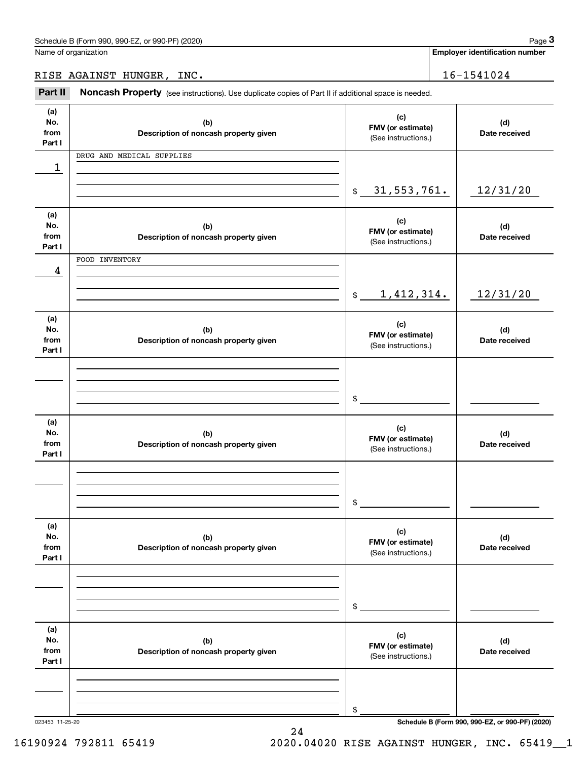**Employer identification number**

RISE AGAINST HUNGER, INC. 16-1541024

Chedule B (Form 990, 990-EZ, or 990-PF) (2020)<br>
lame of organization<br> **3Part II AGAINST HUNGER, INC.**<br> **Part II Noncash Property** (see instructions). Use duplicate copies of Part II if additional space is needed.

| (a)<br>No.      | (b)                                          | (c)                         | (d)                                             |
|-----------------|----------------------------------------------|-----------------------------|-------------------------------------------------|
| from            | Description of noncash property given        | FMV (or estimate)           | Date received                                   |
| Part I          |                                              | (See instructions.)         |                                                 |
|                 | DRUG AND MEDICAL SUPPLIES                    |                             |                                                 |
| 1               |                                              |                             |                                                 |
|                 |                                              |                             |                                                 |
|                 |                                              | \$31,553,761.               | 12/31/20                                        |
|                 |                                              |                             |                                                 |
|                 |                                              |                             |                                                 |
| (a)<br>No.      |                                              | (c)                         |                                                 |
| from            | (b)<br>Description of noncash property given | FMV (or estimate)           | (d)<br>Date received                            |
| Part I          |                                              | (See instructions.)         |                                                 |
|                 | FOOD INVENTORY                               |                             |                                                 |
| 4               |                                              |                             |                                                 |
|                 |                                              |                             |                                                 |
|                 |                                              | 1,412,314.<br>$\frac{1}{2}$ | 12/31/20                                        |
|                 |                                              |                             |                                                 |
|                 |                                              |                             |                                                 |
| (a)<br>No.      | (b)                                          | (c)                         |                                                 |
| from            |                                              | FMV (or estimate)           | (d)<br>Date received                            |
| Part I          | Description of noncash property given        | (See instructions.)         |                                                 |
|                 |                                              |                             |                                                 |
|                 |                                              |                             |                                                 |
|                 |                                              |                             |                                                 |
|                 |                                              |                             |                                                 |
|                 |                                              | \$                          |                                                 |
|                 |                                              |                             |                                                 |
| (a)<br>No.      |                                              | (c)                         |                                                 |
| from            | (b)<br>Description of noncash property given | FMV (or estimate)           | (d)<br>Date received                            |
| Part I          |                                              | (See instructions.)         |                                                 |
|                 |                                              |                             |                                                 |
|                 |                                              |                             |                                                 |
|                 |                                              |                             |                                                 |
|                 |                                              | \$                          |                                                 |
|                 |                                              |                             |                                                 |
| (a)             |                                              |                             |                                                 |
| No.             | (b)                                          | (c)                         | (d)                                             |
| from            | Description of noncash property given        | FMV (or estimate)           | Date received                                   |
| Part I          |                                              | (See instructions.)         |                                                 |
|                 |                                              |                             |                                                 |
|                 |                                              |                             |                                                 |
|                 |                                              |                             |                                                 |
|                 |                                              | \$                          |                                                 |
|                 |                                              |                             |                                                 |
| (a)             |                                              |                             |                                                 |
| No.             | (b)                                          | (c)                         | (d)                                             |
| from            | Description of noncash property given        | FMV (or estimate)           | Date received                                   |
| Part I          |                                              | (See instructions.)         |                                                 |
|                 |                                              |                             |                                                 |
|                 |                                              |                             |                                                 |
|                 |                                              |                             |                                                 |
|                 |                                              | \$                          |                                                 |
| 023453 11-25-20 |                                              |                             | Schedule B (Form 990, 990-EZ, or 990-PF) (2020) |

24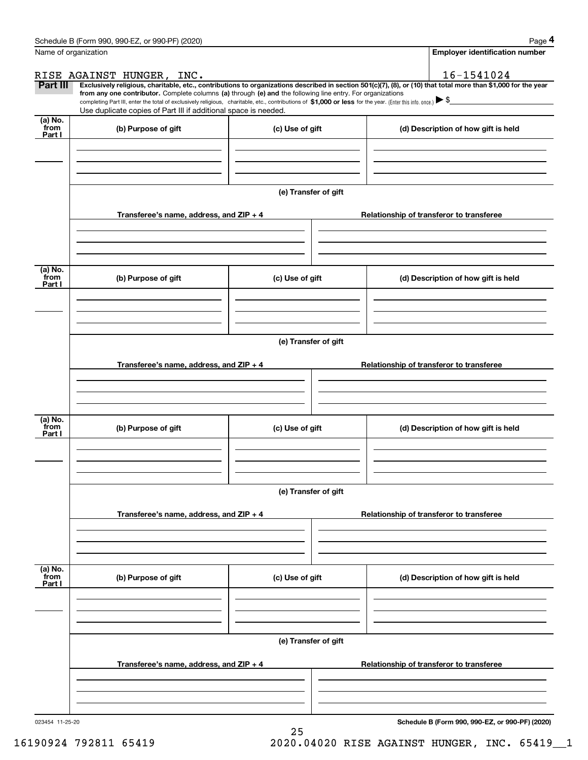|                           | Schedule B (Form 990, 990-EZ, or 990-PF) (2020)                                                                                                                                                                                                                              |                      |                                          | Page 4                                   |  |  |
|---------------------------|------------------------------------------------------------------------------------------------------------------------------------------------------------------------------------------------------------------------------------------------------------------------------|----------------------|------------------------------------------|------------------------------------------|--|--|
| Name of organization      |                                                                                                                                                                                                                                                                              |                      |                                          | Employer identification number           |  |  |
|                           | RISE AGAINST HUNGER, INC.                                                                                                                                                                                                                                                    |                      |                                          | 16-1541024                               |  |  |
| Part III                  | Exclusively religious, charitable, etc., contributions to organizations described in section 501(c)(7), (8), or (10) that total more than \$1,000 for the year<br>from any one contributor. Complete columns (a) through (e) and the following line entry. For organizations |                      |                                          |                                          |  |  |
|                           | completing Part III, enter the total of exclusively religious, charitable, etc., contributions of \$1,000 or less for the year. (Enter this info. once.) \\$                                                                                                                 |                      |                                          |                                          |  |  |
| (a) No.                   | Use duplicate copies of Part III if additional space is needed.                                                                                                                                                                                                              |                      |                                          |                                          |  |  |
| from<br>Part I            | (b) Purpose of gift                                                                                                                                                                                                                                                          | (c) Use of gift      |                                          | (d) Description of how gift is held      |  |  |
|                           |                                                                                                                                                                                                                                                                              |                      |                                          |                                          |  |  |
|                           |                                                                                                                                                                                                                                                                              |                      |                                          |                                          |  |  |
|                           |                                                                                                                                                                                                                                                                              |                      |                                          |                                          |  |  |
|                           |                                                                                                                                                                                                                                                                              |                      |                                          |                                          |  |  |
|                           |                                                                                                                                                                                                                                                                              | (e) Transfer of gift |                                          |                                          |  |  |
|                           | Transferee's name, address, and ZIP + 4                                                                                                                                                                                                                                      |                      | Relationship of transferor to transferee |                                          |  |  |
|                           |                                                                                                                                                                                                                                                                              |                      |                                          |                                          |  |  |
|                           |                                                                                                                                                                                                                                                                              |                      |                                          |                                          |  |  |
|                           |                                                                                                                                                                                                                                                                              |                      |                                          |                                          |  |  |
| (a) No.                   |                                                                                                                                                                                                                                                                              |                      |                                          |                                          |  |  |
| from<br>Part I            | (b) Purpose of gift                                                                                                                                                                                                                                                          | (c) Use of gift      |                                          | (d) Description of how gift is held      |  |  |
|                           |                                                                                                                                                                                                                                                                              |                      |                                          |                                          |  |  |
|                           |                                                                                                                                                                                                                                                                              |                      |                                          |                                          |  |  |
|                           |                                                                                                                                                                                                                                                                              |                      |                                          |                                          |  |  |
|                           |                                                                                                                                                                                                                                                                              | (e) Transfer of gift |                                          |                                          |  |  |
|                           |                                                                                                                                                                                                                                                                              |                      |                                          |                                          |  |  |
|                           | Transferee's name, address, and ZIP + 4                                                                                                                                                                                                                                      |                      |                                          | Relationship of transferor to transferee |  |  |
|                           |                                                                                                                                                                                                                                                                              |                      |                                          |                                          |  |  |
|                           |                                                                                                                                                                                                                                                                              |                      |                                          |                                          |  |  |
|                           |                                                                                                                                                                                                                                                                              |                      |                                          |                                          |  |  |
| (a) No.<br>from<br>Part I | (b) Purpose of gift                                                                                                                                                                                                                                                          | (c) Use of gift      |                                          | (d) Description of how gift is held      |  |  |
|                           |                                                                                                                                                                                                                                                                              |                      |                                          |                                          |  |  |
|                           |                                                                                                                                                                                                                                                                              |                      |                                          |                                          |  |  |
|                           |                                                                                                                                                                                                                                                                              |                      |                                          |                                          |  |  |
|                           |                                                                                                                                                                                                                                                                              | (e) Transfer of gift |                                          |                                          |  |  |
|                           |                                                                                                                                                                                                                                                                              |                      |                                          |                                          |  |  |
|                           | Transferee's name, address, and ZIP + 4                                                                                                                                                                                                                                      |                      | Relationship of transferor to transferee |                                          |  |  |
|                           |                                                                                                                                                                                                                                                                              |                      |                                          |                                          |  |  |
|                           |                                                                                                                                                                                                                                                                              |                      |                                          |                                          |  |  |
|                           |                                                                                                                                                                                                                                                                              |                      |                                          |                                          |  |  |
| (a) No.<br>from           |                                                                                                                                                                                                                                                                              |                      |                                          |                                          |  |  |
| Part I                    | (b) Purpose of gift                                                                                                                                                                                                                                                          | (c) Use of gift      |                                          | (d) Description of how gift is held      |  |  |
|                           |                                                                                                                                                                                                                                                                              |                      |                                          |                                          |  |  |
|                           |                                                                                                                                                                                                                                                                              |                      |                                          |                                          |  |  |
|                           |                                                                                                                                                                                                                                                                              |                      |                                          |                                          |  |  |
|                           |                                                                                                                                                                                                                                                                              | (e) Transfer of gift |                                          |                                          |  |  |
|                           |                                                                                                                                                                                                                                                                              |                      |                                          |                                          |  |  |
|                           | Transferee's name, address, and $ZIP + 4$                                                                                                                                                                                                                                    |                      |                                          | Relationship of transferor to transferee |  |  |
|                           |                                                                                                                                                                                                                                                                              |                      |                                          |                                          |  |  |
|                           |                                                                                                                                                                                                                                                                              |                      |                                          |                                          |  |  |
|                           |                                                                                                                                                                                                                                                                              |                      |                                          |                                          |  |  |

25

023454 11-25-20

**Schedule B (Form 990, 990-EZ, or 990-PF) (2020)**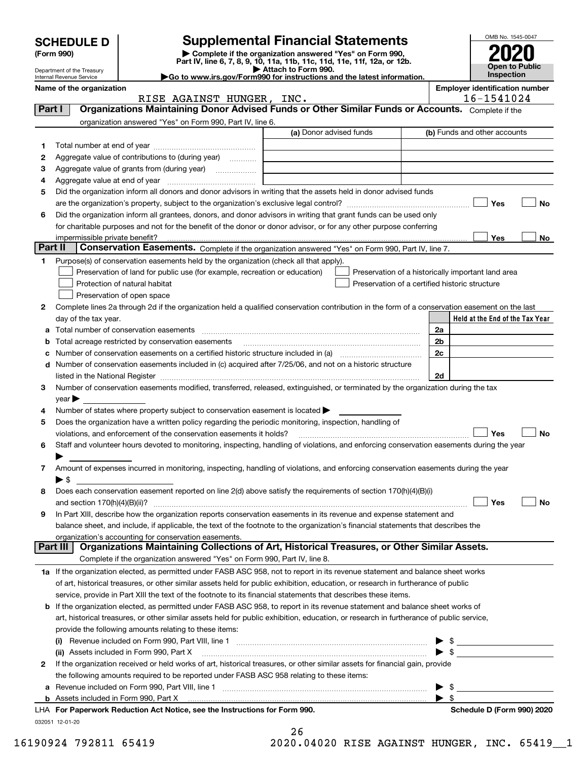|        |                                                                                                                  |                                                                                                                                                       |                         |                                                    |    |                         | OMB No. 1545-0047                                   |           |
|--------|------------------------------------------------------------------------------------------------------------------|-------------------------------------------------------------------------------------------------------------------------------------------------------|-------------------------|----------------------------------------------------|----|-------------------------|-----------------------------------------------------|-----------|
|        | <b>SCHEDULE D</b><br>(Form 990)                                                                                  | <b>Supplemental Financial Statements</b><br>Complete if the organization answered "Yes" on Form 990,                                                  |                         |                                                    |    |                         |                                                     |           |
|        | Department of the Treasury                                                                                       | Part IV, line 6, 7, 8, 9, 10, 11a, 11b, 11c, 11d, 11e, 11f, 12a, or 12b.                                                                              | Attach to Form 990.     |                                                    |    | Open to Public          |                                                     |           |
|        | Internal Revenue Service                                                                                         | Go to www.irs.gov/Form990 for instructions and the latest information.                                                                                |                         |                                                    |    |                         | Inspection                                          |           |
|        | Name of the organization                                                                                         | RISE AGAINST HUNGER, INC.                                                                                                                             |                         |                                                    |    |                         | <b>Employer identification number</b><br>16-1541024 |           |
| Part I |                                                                                                                  | Organizations Maintaining Donor Advised Funds or Other Similar Funds or Accounts. Complete if the                                                     |                         |                                                    |    |                         |                                                     |           |
|        |                                                                                                                  | organization answered "Yes" on Form 990, Part IV, line 6.                                                                                             |                         |                                                    |    |                         |                                                     |           |
|        |                                                                                                                  |                                                                                                                                                       | (a) Donor advised funds |                                                    |    |                         | (b) Funds and other accounts                        |           |
| 1      |                                                                                                                  |                                                                                                                                                       |                         |                                                    |    |                         |                                                     |           |
| 2      |                                                                                                                  | Aggregate value of contributions to (during year)                                                                                                     |                         |                                                    |    |                         |                                                     |           |
| з      |                                                                                                                  |                                                                                                                                                       |                         |                                                    |    |                         |                                                     |           |
| 4      | Aggregate value at end of year                                                                                   |                                                                                                                                                       |                         |                                                    |    |                         |                                                     |           |
| 5      | Did the organization inform all donors and donor advisors in writing that the assets held in donor advised funds |                                                                                                                                                       |                         |                                                    |    |                         |                                                     |           |
|        |                                                                                                                  |                                                                                                                                                       |                         |                                                    |    |                         | Yes                                                 | No        |
| 6      |                                                                                                                  | Did the organization inform all grantees, donors, and donor advisors in writing that grant funds can be used only                                     |                         |                                                    |    |                         |                                                     |           |
|        | impermissible private benefit?                                                                                   | for charitable purposes and not for the benefit of the donor or donor advisor, or for any other purpose conferring                                    |                         |                                                    |    |                         | Yes                                                 | No        |
|        | Part II                                                                                                          | Conservation Easements. Complete if the organization answered "Yes" on Form 990, Part IV, line 7.                                                     |                         |                                                    |    |                         |                                                     |           |
| 1      |                                                                                                                  | Purpose(s) of conservation easements held by the organization (check all that apply).                                                                 |                         |                                                    |    |                         |                                                     |           |
|        |                                                                                                                  | Preservation of land for public use (for example, recreation or education)                                                                            |                         | Preservation of a historically important land area |    |                         |                                                     |           |
|        |                                                                                                                  | Protection of natural habitat                                                                                                                         |                         | Preservation of a certified historic structure     |    |                         |                                                     |           |
|        |                                                                                                                  | Preservation of open space                                                                                                                            |                         |                                                    |    |                         |                                                     |           |
| 2      |                                                                                                                  | Complete lines 2a through 2d if the organization held a qualified conservation contribution in the form of a conservation easement on the last        |                         |                                                    |    |                         |                                                     |           |
|        | day of the tax year.                                                                                             |                                                                                                                                                       |                         |                                                    |    |                         | Held at the End of the Tax Year                     |           |
|        |                                                                                                                  |                                                                                                                                                       |                         |                                                    | 2a |                         |                                                     |           |
|        |                                                                                                                  | Total acreage restricted by conservation easements                                                                                                    |                         |                                                    | 2b |                         |                                                     |           |
|        |                                                                                                                  |                                                                                                                                                       |                         |                                                    | 2c |                         |                                                     |           |
| d      |                                                                                                                  | Number of conservation easements included in (c) acquired after 7/25/06, and not on a historic structure                                              |                         |                                                    |    |                         |                                                     |           |
|        |                                                                                                                  |                                                                                                                                                       |                         |                                                    | 2d |                         |                                                     |           |
| 3      |                                                                                                                  | Number of conservation easements modified, transferred, released, extinguished, or terminated by the organization during the tax                      |                         |                                                    |    |                         |                                                     |           |
| 4      | $\vee$ ear                                                                                                       | Number of states where property subject to conservation easement is located $\blacktriangleright$                                                     |                         |                                                    |    |                         |                                                     |           |
| 5      |                                                                                                                  | Does the organization have a written policy regarding the periodic monitoring, inspection, handling of                                                |                         |                                                    |    |                         |                                                     |           |
|        |                                                                                                                  | violations, and enforcement of the conservation easements it holds?                                                                                   |                         |                                                    |    |                         | Yes                                                 | No        |
| 6      |                                                                                                                  | Staff and volunteer hours devoted to monitoring, inspecting, handling of violations, and enforcing conservation easements during the year             |                         |                                                    |    |                         |                                                     |           |
|        |                                                                                                                  |                                                                                                                                                       |                         |                                                    |    |                         |                                                     |           |
| 7      |                                                                                                                  | Amount of expenses incurred in monitoring, inspecting, handling of violations, and enforcing conservation easements during the year                   |                         |                                                    |    |                         |                                                     |           |
|        | ▶ \$                                                                                                             |                                                                                                                                                       |                         |                                                    |    |                         |                                                     |           |
| 8      |                                                                                                                  | Does each conservation easement reported on line 2(d) above satisfy the requirements of section 170(h)(4)(B)(i)                                       |                         |                                                    |    |                         |                                                     |           |
|        | and section 170(h)(4)(B)(ii)?                                                                                    |                                                                                                                                                       |                         |                                                    |    |                         | Yes                                                 | <b>No</b> |
| 9      |                                                                                                                  | In Part XIII, describe how the organization reports conservation easements in its revenue and expense statement and                                   |                         |                                                    |    |                         |                                                     |           |
|        |                                                                                                                  | balance sheet, and include, if applicable, the text of the footnote to the organization's financial statements that describes the                     |                         |                                                    |    |                         |                                                     |           |
|        | Part III                                                                                                         | organization's accounting for conservation easements.<br>Organizations Maintaining Collections of Art, Historical Treasures, or Other Similar Assets. |                         |                                                    |    |                         |                                                     |           |
|        |                                                                                                                  | Complete if the organization answered "Yes" on Form 990, Part IV, line 8.                                                                             |                         |                                                    |    |                         |                                                     |           |
|        |                                                                                                                  | 1a If the organization elected, as permitted under FASB ASC 958, not to report in its revenue statement and balance sheet works                       |                         |                                                    |    |                         |                                                     |           |
|        |                                                                                                                  | of art, historical treasures, or other similar assets held for public exhibition, education, or research in furtherance of public                     |                         |                                                    |    |                         |                                                     |           |
|        |                                                                                                                  | service, provide in Part XIII the text of the footnote to its financial statements that describes these items.                                        |                         |                                                    |    |                         |                                                     |           |
|        |                                                                                                                  | <b>b</b> If the organization elected, as permitted under FASB ASC 958, to report in its revenue statement and balance sheet works of                  |                         |                                                    |    |                         |                                                     |           |
|        |                                                                                                                  | art, historical treasures, or other similar assets held for public exhibition, education, or research in furtherance of public service,               |                         |                                                    |    |                         |                                                     |           |
|        |                                                                                                                  | provide the following amounts relating to these items:                                                                                                |                         |                                                    |    |                         |                                                     |           |
|        |                                                                                                                  |                                                                                                                                                       |                         |                                                    |    |                         |                                                     |           |
|        |                                                                                                                  | (ii) Assets included in Form 990, Part X                                                                                                              |                         |                                                    |    | $\blacktriangleright$ s |                                                     |           |
| 2      |                                                                                                                  | If the organization received or held works of art, historical treasures, or other similar assets for financial gain, provide                          |                         |                                                    |    |                         |                                                     |           |
|        |                                                                                                                  | the following amounts required to be reported under FASB ASC 958 relating to these items:                                                             |                         |                                                    |    |                         |                                                     |           |
| а      |                                                                                                                  |                                                                                                                                                       |                         |                                                    |    |                         |                                                     |           |
| b      |                                                                                                                  | LHA For Paperwork Reduction Act Notice, see the Instructions for Form 990.                                                                            |                         |                                                    |    | $\blacktriangleright$ s | Schedule D (Form 990) 2020                          |           |
|        |                                                                                                                  |                                                                                                                                                       |                         |                                                    |    |                         |                                                     |           |

| LHA For Paperwork Reduction Act Notice, see the Instructions for For |  |  |  |
|----------------------------------------------------------------------|--|--|--|
| 032051 12-01-20                                                      |  |  |  |

| 16190924 792811 65419 |  | 2020.04020 RISE AGAINST HUNGER, INC. 65419 1 |  |  |  |
|-----------------------|--|----------------------------------------------|--|--|--|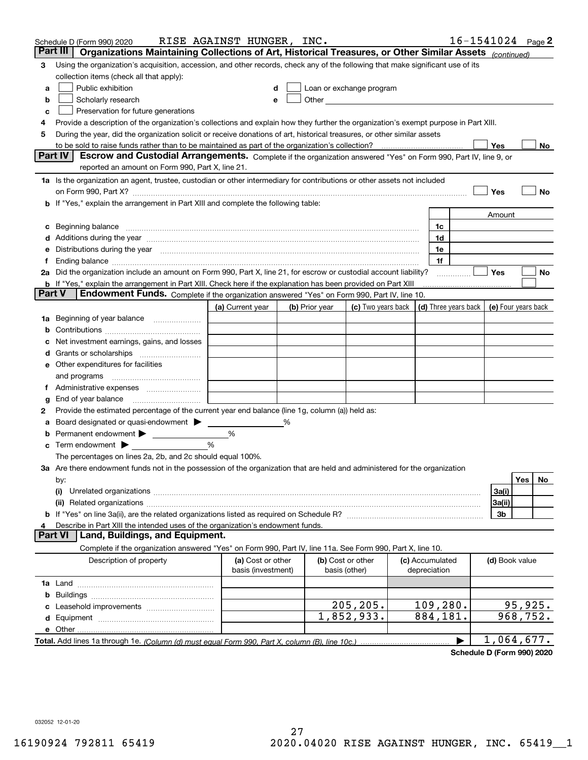|        | Schedule D (Form 990) 2020                                                                                                                                                                                                     | RISE AGAINST HUNGER, INC.               |   |                |                                                                                                                                                                                                                               |                                            | $16 - 1541024$ Page 2 |                |            |     |
|--------|--------------------------------------------------------------------------------------------------------------------------------------------------------------------------------------------------------------------------------|-----------------------------------------|---|----------------|-------------------------------------------------------------------------------------------------------------------------------------------------------------------------------------------------------------------------------|--------------------------------------------|-----------------------|----------------|------------|-----|
|        | Part III<br>Organizations Maintaining Collections of Art, Historical Treasures, or Other Similar Assets (continued)                                                                                                            |                                         |   |                |                                                                                                                                                                                                                               |                                            |                       |                |            |     |
| 3      | Using the organization's acquisition, accession, and other records, check any of the following that make significant use of its                                                                                                |                                         |   |                |                                                                                                                                                                                                                               |                                            |                       |                |            |     |
|        | collection items (check all that apply):                                                                                                                                                                                       |                                         |   |                |                                                                                                                                                                                                                               |                                            |                       |                |            |     |
| a      | Public exhibition                                                                                                                                                                                                              |                                         |   |                | Loan or exchange program                                                                                                                                                                                                      |                                            |                       |                |            |     |
| b      | Scholarly research                                                                                                                                                                                                             |                                         |   |                | Other and the contract of the contract of the contract of the contract of the contract of the contract of the contract of the contract of the contract of the contract of the contract of the contract of the contract of the |                                            |                       |                |            |     |
| с      | Preservation for future generations                                                                                                                                                                                            |                                         |   |                |                                                                                                                                                                                                                               |                                            |                       |                |            |     |
| 4      | Provide a description of the organization's collections and explain how they further the organization's exempt purpose in Part XIII.                                                                                           |                                         |   |                |                                                                                                                                                                                                                               |                                            |                       |                |            |     |
| 5      | During the year, did the organization solicit or receive donations of art, historical treasures, or other similar assets                                                                                                       |                                         |   |                |                                                                                                                                                                                                                               |                                            |                       |                |            |     |
|        | to be sold to raise funds rather than to be maintained as part of the organization's collection?                                                                                                                               |                                         |   |                |                                                                                                                                                                                                                               |                                            |                       | Yes            |            | No  |
|        | <b>Part IV</b><br>Escrow and Custodial Arrangements. Complete if the organization answered "Yes" on Form 990, Part IV, line 9, or                                                                                              |                                         |   |                |                                                                                                                                                                                                                               |                                            |                       |                |            |     |
|        | reported an amount on Form 990, Part X, line 21.                                                                                                                                                                               |                                         |   |                |                                                                                                                                                                                                                               |                                            |                       |                |            |     |
|        | 1a Is the organization an agent, trustee, custodian or other intermediary for contributions or other assets not included                                                                                                       |                                         |   |                |                                                                                                                                                                                                                               |                                            |                       |                |            |     |
|        | on Form 990, Part X? [11] matter contracts and contracts and contracts are contracted as a form 990, Part X?                                                                                                                   |                                         |   |                |                                                                                                                                                                                                                               |                                            |                       | Yes            |            | No  |
|        | b If "Yes," explain the arrangement in Part XIII and complete the following table:                                                                                                                                             |                                         |   |                |                                                                                                                                                                                                                               |                                            |                       |                |            |     |
|        |                                                                                                                                                                                                                                |                                         |   |                |                                                                                                                                                                                                                               |                                            |                       | Amount         |            |     |
| c      | Beginning balance <b>contract to the contract of the contract of the contract of the contract of the contract of t</b>                                                                                                         |                                         |   |                |                                                                                                                                                                                                                               | 1c                                         |                       |                |            |     |
|        | Additions during the year manufactured and an account of the year manufactured and account of the year manufactured and account of the year manufactured and account of the year manufactured and account of the year manufact |                                         |   |                |                                                                                                                                                                                                                               | 1d                                         |                       |                |            |     |
|        | Distributions during the year manufactured and an account of the year manufactured and the year manufactured and the year manufactured and the year manufactured and the year manufactured and the year manufactured and the y |                                         |   |                |                                                                                                                                                                                                                               | 1e                                         |                       |                |            |     |
| t.     |                                                                                                                                                                                                                                |                                         |   |                |                                                                                                                                                                                                                               | 1f                                         |                       |                |            |     |
|        | 2a Did the organization include an amount on Form 990, Part X, line 21, for escrow or custodial account liability?                                                                                                             |                                         |   |                |                                                                                                                                                                                                                               |                                            |                       | Yes            |            | No  |
| Part V | <b>b</b> If "Yes," explain the arrangement in Part XIII. Check here if the explanation has been provided on Part XIII                                                                                                          |                                         |   |                |                                                                                                                                                                                                                               |                                            |                       |                |            |     |
|        | Endowment Funds. Complete if the organization answered "Yes" on Form 990, Part IV, line 10.                                                                                                                                    |                                         |   |                |                                                                                                                                                                                                                               |                                            |                       |                |            |     |
|        |                                                                                                                                                                                                                                | (a) Current year                        |   | (b) Prior year | (c) Two years back                                                                                                                                                                                                            | (d) Three years back   (e) Four years back |                       |                |            |     |
| 1a     | Beginning of year balance                                                                                                                                                                                                      |                                         |   |                |                                                                                                                                                                                                                               |                                            |                       |                |            |     |
|        |                                                                                                                                                                                                                                |                                         |   |                |                                                                                                                                                                                                                               |                                            |                       |                |            |     |
|        | Net investment earnings, gains, and losses                                                                                                                                                                                     |                                         |   |                |                                                                                                                                                                                                                               |                                            |                       |                |            |     |
| d      |                                                                                                                                                                                                                                |                                         |   |                |                                                                                                                                                                                                                               |                                            |                       |                |            |     |
|        | e Other expenditures for facilities                                                                                                                                                                                            |                                         |   |                |                                                                                                                                                                                                                               |                                            |                       |                |            |     |
|        | and programs                                                                                                                                                                                                                   |                                         |   |                |                                                                                                                                                                                                                               |                                            |                       |                |            |     |
|        | End of year balance                                                                                                                                                                                                            |                                         |   |                |                                                                                                                                                                                                                               |                                            |                       |                |            |     |
| g<br>2 | Provide the estimated percentage of the current year end balance (line 1g, column (a)) held as:                                                                                                                                |                                         |   |                |                                                                                                                                                                                                                               |                                            |                       |                |            |     |
| а      | Board designated or quasi-endowment                                                                                                                                                                                            |                                         | % |                |                                                                                                                                                                                                                               |                                            |                       |                |            |     |
|        | Permanent endowment > <u>example</u>                                                                                                                                                                                           | %                                       |   |                |                                                                                                                                                                                                                               |                                            |                       |                |            |     |
|        | Term endowment $\blacktriangleright$                                                                                                                                                                                           | %                                       |   |                |                                                                                                                                                                                                                               |                                            |                       |                |            |     |
|        | The percentages on lines 2a, 2b, and 2c should equal 100%.                                                                                                                                                                     |                                         |   |                |                                                                                                                                                                                                                               |                                            |                       |                |            |     |
|        | 3a Are there endowment funds not in the possession of the organization that are held and administered for the organization                                                                                                     |                                         |   |                |                                                                                                                                                                                                                               |                                            |                       |                |            |     |
|        | by:                                                                                                                                                                                                                            |                                         |   |                |                                                                                                                                                                                                                               |                                            |                       |                | <b>Yes</b> | No. |
|        | (i)                                                                                                                                                                                                                            |                                         |   |                |                                                                                                                                                                                                                               |                                            |                       | 3a(i)          |            |     |
|        |                                                                                                                                                                                                                                |                                         |   |                |                                                                                                                                                                                                                               |                                            |                       | 3a(ii)         |            |     |
|        |                                                                                                                                                                                                                                |                                         |   |                |                                                                                                                                                                                                                               |                                            |                       | 3b             |            |     |
|        | Describe in Part XIII the intended uses of the organization's endowment funds.                                                                                                                                                 |                                         |   |                |                                                                                                                                                                                                                               |                                            |                       |                |            |     |
|        | Land, Buildings, and Equipment.<br>Part VI                                                                                                                                                                                     |                                         |   |                |                                                                                                                                                                                                                               |                                            |                       |                |            |     |
|        | Complete if the organization answered "Yes" on Form 990, Part IV, line 11a. See Form 990, Part X, line 10.                                                                                                                     |                                         |   |                |                                                                                                                                                                                                                               |                                            |                       |                |            |     |
|        | Description of property                                                                                                                                                                                                        | (a) Cost or other<br>basis (investment) |   |                | (b) Cost or other<br>basis (other)                                                                                                                                                                                            | (c) Accumulated<br>depreciation            |                       | (d) Book value |            |     |
|        |                                                                                                                                                                                                                                |                                         |   |                |                                                                                                                                                                                                                               |                                            |                       |                |            |     |
| b      |                                                                                                                                                                                                                                |                                         |   |                |                                                                                                                                                                                                                               |                                            |                       |                |            |     |
|        |                                                                                                                                                                                                                                |                                         |   |                | 205, 205.                                                                                                                                                                                                                     | 109, 280.                                  |                       |                | 95,925.    |     |
|        |                                                                                                                                                                                                                                |                                         |   |                | 1,852,933.                                                                                                                                                                                                                    | 884,181.                                   |                       |                | 968,752.   |     |
|        | e Other                                                                                                                                                                                                                        |                                         |   |                |                                                                                                                                                                                                                               |                                            |                       |                |            |     |
|        |                                                                                                                                                                                                                                |                                         |   |                |                                                                                                                                                                                                                               |                                            |                       | 1,064,677.     |            |     |

**Schedule D (Form 990) 2020**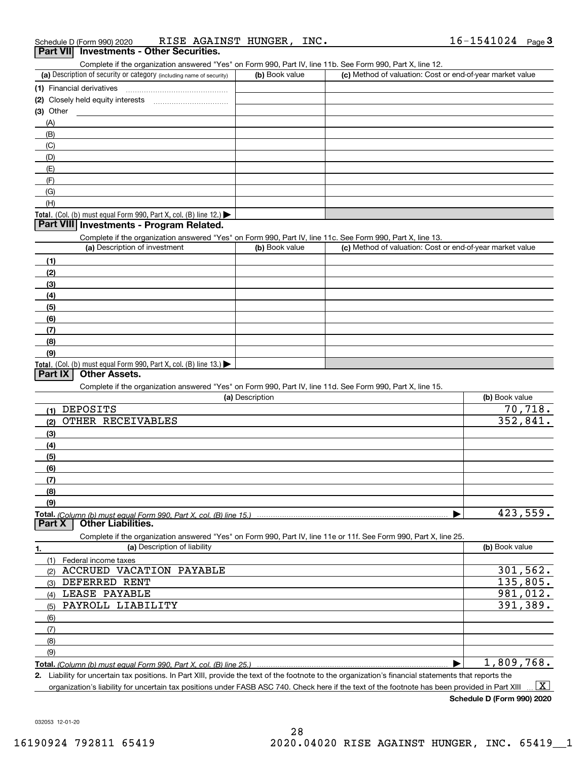| Schedule D (Form 990) 2020                      | RISE AGAINST HUNGER, | INC. | 16-1541024 | Page J |
|-------------------------------------------------|----------------------|------|------------|--------|
| <b>Part VII</b> Investments - Other Securities. |                      |      |            |        |

| Complete if the organization answered "Yes" on Form 990, Part IV, line 11b, See Form 990, Part X, line 12, |  |  |  |
|------------------------------------------------------------------------------------------------------------|--|--|--|
|                                                                                                            |  |  |  |

| (a) Description of security or category (including name of security)                   | (b) Book value | (c) Method of valuation: Cost or end-of-year market value |
|----------------------------------------------------------------------------------------|----------------|-----------------------------------------------------------|
| (1) Financial derivatives                                                              |                |                                                           |
| (2) Closely held equity interests                                                      |                |                                                           |
| $(3)$ Other                                                                            |                |                                                           |
| (A)                                                                                    |                |                                                           |
| (B)                                                                                    |                |                                                           |
| (C)                                                                                    |                |                                                           |
| (D)                                                                                    |                |                                                           |
| (E)                                                                                    |                |                                                           |
| (F)                                                                                    |                |                                                           |
| (G)                                                                                    |                |                                                           |
| (H)                                                                                    |                |                                                           |
| Total. (Col. (b) must equal Form 990, Part X, col. (B) line 12.) $\blacktriangleright$ |                |                                                           |

#### **Part VIII Investments - Program Related.**

Complete if the organization answered "Yes" on Form 990, Part IV, line 11c. See Form 990, Part X, line 13.

| (a) Description of investment                                    | (b) Book value | (c) Method of valuation: Cost or end-of-year market value |
|------------------------------------------------------------------|----------------|-----------------------------------------------------------|
| (1)                                                              |                |                                                           |
| (2)                                                              |                |                                                           |
| $\frac{1}{2}$                                                    |                |                                                           |
| (4)                                                              |                |                                                           |
| (5)                                                              |                |                                                           |
| (6)                                                              |                |                                                           |
| (7)                                                              |                |                                                           |
| (8)                                                              |                |                                                           |
| (9)                                                              |                |                                                           |
| Total. (Col. (b) must equal Form 990, Part X, col. (B) line 13.) |                |                                                           |

#### **Part IX Other Assets.**

Complete if the organization answered "Yes" on Form 990, Part IV, line 11d. See Form 990, Part X, line 15.

| (a) Description                                                                                                   | (b) Book value |
|-------------------------------------------------------------------------------------------------------------------|----------------|
| <b>DEPOSITS</b><br>(1)                                                                                            | 70,718.        |
| OTHER RECEIVABLES<br>(2)                                                                                          | 352,841.       |
| (3)                                                                                                               |                |
| (4)                                                                                                               |                |
| (5)                                                                                                               |                |
| (6)                                                                                                               |                |
| (7)                                                                                                               |                |
| (8)                                                                                                               |                |
| (9)                                                                                                               |                |
| Total. (Column (b) must equal Form 990, Part X, col. (B) line 15.)                                                | 423,559.       |
| <b>Other Liabilities.</b><br>Part X                                                                               |                |
| Complete if the organization answered "Yes" on Form 990, Part IV, line 11e or 11f. See Form 990, Part X, line 25. |                |
| (a) Description of liability<br>1.                                                                                | (b) Book value |
| (1)<br>Federal income taxes                                                                                       |                |
| <b>ACCRUED</b><br>VACATION PAYABLE<br>(2)                                                                         | 301, 562.      |
| DEFERRED<br>RENT<br>(3)                                                                                           | 135,805.       |
| LEASE PAYABLE<br>(4)                                                                                              | 981,012.       |
| PAYROLL LIABILITY<br>(5)                                                                                          | 391,389.       |
| (6)                                                                                                               |                |
| (7)                                                                                                               |                |
| (8)                                                                                                               |                |
| (9)                                                                                                               |                |
| Total. (Column (b) must equal Form 990, Part X, col. (B) line 25.)                                                | 1,809,768.     |

**2.** Liability for uncertain tax positions. In Part XIII, provide the text of the footnote to the organization's financial statements that reports the organization's liability for uncertain tax positions under FASB ASC 740. Check here if the text of the footnote has been provided in Part XIII  $\boxed{\text{X}}$ 

**Schedule D (Form 990) 2020**

032053 12-01-20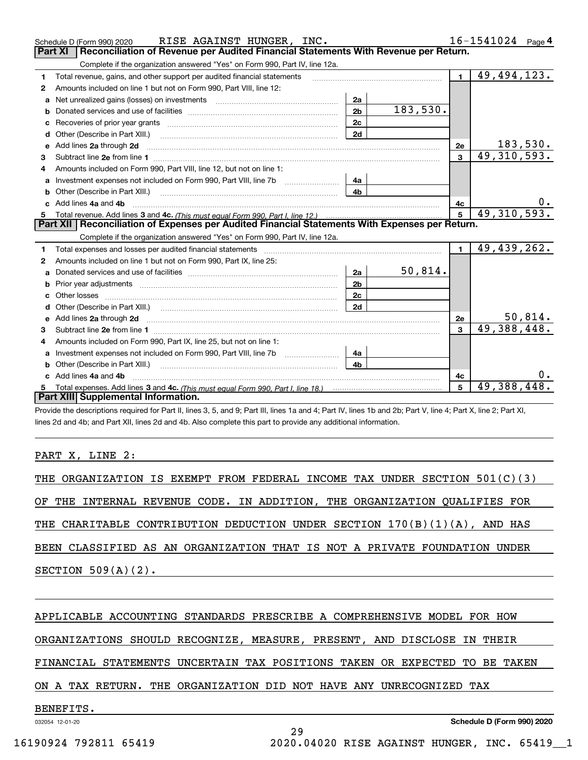|   | RISE AGAINST HUNGER, INC.<br>Schedule D (Form 990) 2020                                                                                                                                                                             |                |          |                | 16-1541024<br>Page 4 |
|---|-------------------------------------------------------------------------------------------------------------------------------------------------------------------------------------------------------------------------------------|----------------|----------|----------------|----------------------|
|   | <b>Part XI</b><br>Reconciliation of Revenue per Audited Financial Statements With Revenue per Return.                                                                                                                               |                |          |                |                      |
|   | Complete if the organization answered "Yes" on Form 990, Part IV, line 12a.                                                                                                                                                         |                |          |                |                      |
| 1 | Total revenue, gains, and other support per audited financial statements                                                                                                                                                            |                |          | $\blacksquare$ | 49,494,123.          |
| 2 | Amounts included on line 1 but not on Form 990, Part VIII, line 12:                                                                                                                                                                 |                |          |                |                      |
| a | Net unrealized gains (losses) on investments [11] matter contracts and the unrealized gains (losses) on investments                                                                                                                 | 2a             |          |                |                      |
| b |                                                                                                                                                                                                                                     | 2 <sub>b</sub> | 183,530. |                |                      |
|   |                                                                                                                                                                                                                                     | 2c             |          |                |                      |
| d | Other (Describe in Part XIII.) <b>Construction Contract Construction</b> Chemical Construction Chemical Chemical Chemical Chemical Chemical Chemical Chemical Chemical Chemical Chemical Chemical Chemical Chemical Chemical Chemic | 2d             |          |                |                      |
| e | Add lines 2a through 2d                                                                                                                                                                                                             |                |          | 2e             | 183,530.             |
| 3 |                                                                                                                                                                                                                                     |                |          | $\mathbf{3}$   | 49, 310, 593.        |
| 4 | Amounts included on Form 990. Part VIII. line 12, but not on line 1:                                                                                                                                                                |                |          |                |                      |
| a |                                                                                                                                                                                                                                     | 4а             |          |                |                      |
|   | Other (Describe in Part XIII.) <b>Construction Contract Construction</b> Chemical Construction Chemical Chemical Chemical Chemical Chemical Chemical Chemical Chemical Chemical Chemical Chemical Chemical Chemical Chemical Chemic | 4b.            |          |                |                      |
|   | c Add lines 4a and 4b                                                                                                                                                                                                               |                |          | 4c             |                      |
|   |                                                                                                                                                                                                                                     |                |          |                | 49, 310, 593.        |
|   |                                                                                                                                                                                                                                     |                |          |                |                      |
|   | Part XII   Reconciliation of Expenses per Audited Financial Statements With Expenses per Return.                                                                                                                                    |                |          |                |                      |
|   | Complete if the organization answered "Yes" on Form 990, Part IV, line 12a.                                                                                                                                                         |                |          |                |                      |
| 1 | Total expenses and losses per audited financial statements [11] [11] Total expenses and losses per audited financial statements [11] [11] Total expenses and losses per audited financial statements                                |                |          | $\mathbf{1}$   | 49,439,262.          |
| 2 | Amounts included on line 1 but not on Form 990, Part IX, line 25:                                                                                                                                                                   |                |          |                |                      |
| a |                                                                                                                                                                                                                                     | 2a             | 50,814.  |                |                      |
| b | Prior year adjustments entertainment and the control of the control of the control of the control of the control of the control of the control of the control of the control of the control of the control of the control of t      | 2 <sub>b</sub> |          |                |                      |
|   |                                                                                                                                                                                                                                     | 2c             |          |                |                      |
|   |                                                                                                                                                                                                                                     | 2d             |          |                |                      |
|   |                                                                                                                                                                                                                                     |                |          | 2e             | <u>50,814.</u>       |
| 3 |                                                                                                                                                                                                                                     |                |          | 3              | 49, 388, 448.        |
| 4 | Amounts included on Form 990, Part IX, line 25, but not on line 1:                                                                                                                                                                  |                |          |                |                      |
| a | Investment expenses not included on Form 990, Part VIII, line 7b [1000000000000000000000000000000000                                                                                                                                | 4a             |          |                |                      |
|   | Other (Describe in Part XIII.)                                                                                                                                                                                                      | 4b             |          |                |                      |
|   | c Add lines 4a and 4b                                                                                                                                                                                                               |                |          | 4c             |                      |
|   | Total expenses. Add lines 3 and 4c. (This must equal Form 990, Part I, line 18.) <b>Conservers</b> manufactured in the<br>Part XIII Supplemental Information.                                                                       |                |          | 5              | 49,388,448.          |

Provide the descriptions required for Part II, lines 3, 5, and 9; Part III, lines 1a and 4; Part IV, lines 1b and 2b; Part V, line 4; Part X, line 2; Part XI, lines 2d and 4b; and Part XII, lines 2d and 4b. Also complete this part to provide any additional information.

#### PART X, LINE 2:

|  |                       |  | THE ORGANIZATION IS EXEMPT FROM FEDERAL INCOME TAX UNDER SECTION 501(C)(3) |  |  |  |  |  |  |
|--|-----------------------|--|----------------------------------------------------------------------------|--|--|--|--|--|--|
|  |                       |  | OF THE INTERNAL REVENUE CODE. IN ADDITION, THE ORGANIZATION QUALIFIES FOR  |  |  |  |  |  |  |
|  |                       |  |                                                                            |  |  |  |  |  |  |
|  |                       |  | THE CHARITABLE CONTRIBUTION DEDUCTION UNDER SECTION 170(B)(1)(A), AND HAS  |  |  |  |  |  |  |
|  |                       |  |                                                                            |  |  |  |  |  |  |
|  |                       |  | BEEN CLASSIFIED AS AN ORGANIZATION THAT IS NOT A PRIVATE FOUNDATION UNDER  |  |  |  |  |  |  |
|  |                       |  |                                                                            |  |  |  |  |  |  |
|  | SECTION $509(A)(2)$ . |  |                                                                            |  |  |  |  |  |  |
|  |                       |  |                                                                            |  |  |  |  |  |  |
|  |                       |  |                                                                            |  |  |  |  |  |  |

#### APPLICABLE ACCOUNTING STANDARDS PRESCRIBE A COMPREHENSIVE MODEL FOR HOW

ORGANIZATIONS SHOULD RECOGNIZE, MEASURE, PRESENT, AND DISCLOSE IN THEIR

#### FINANCIAL STATEMENTS UNCERTAIN TAX POSITIONS TAKEN OR EXPECTED TO BE TAKEN

29

#### ON A TAX RETURN. THE ORGANIZATION DID NOT HAVE ANY UNRECOGNIZED TAX

## BENEFITS.

032054 12-01-20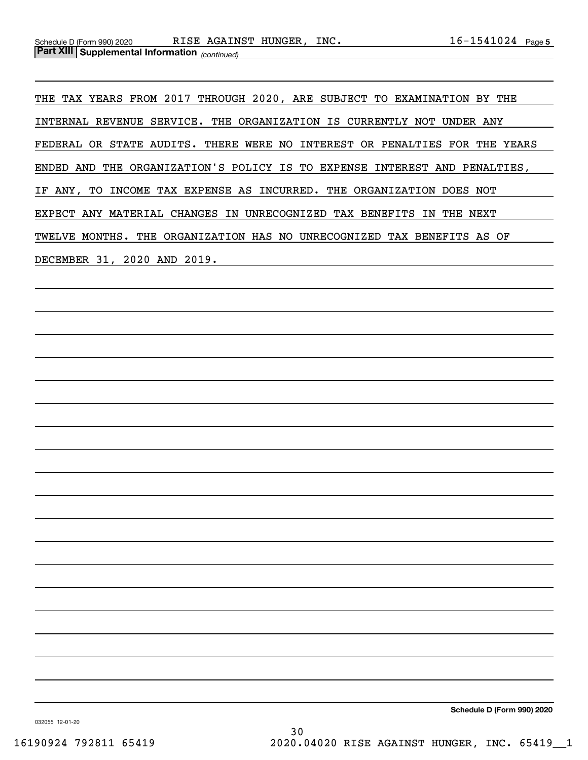THE TAX YEARS FROM 2017 THROUGH 2020, ARE SUBJECT TO EXAMINATION BY THE INTERNAL REVENUE SERVICE. THE ORGANIZATION IS CURRENTLY NOT UNDER ANY FEDERAL OR STATE AUDITS. THERE WERE NO INTEREST OR PENALTIES FOR THE YEARS ENDED AND THE ORGANIZATION'S POLICY IS TO EXPENSE INTEREST AND PENALTIES, IF ANY, TO INCOME TAX EXPENSE AS INCURRED. THE ORGANIZATION DOES NOT EXPECT ANY MATERIAL CHANGES IN UNRECOGNIZED TAX BENEFITS IN THE NEXT TWELVE MONTHS. THE ORGANIZATION HAS NO UNRECOGNIZED TAX BENEFITS AS OF DECEMBER 31, 2020 AND 2019.

**Schedule D (Form 990) 2020**

032055 12-01-20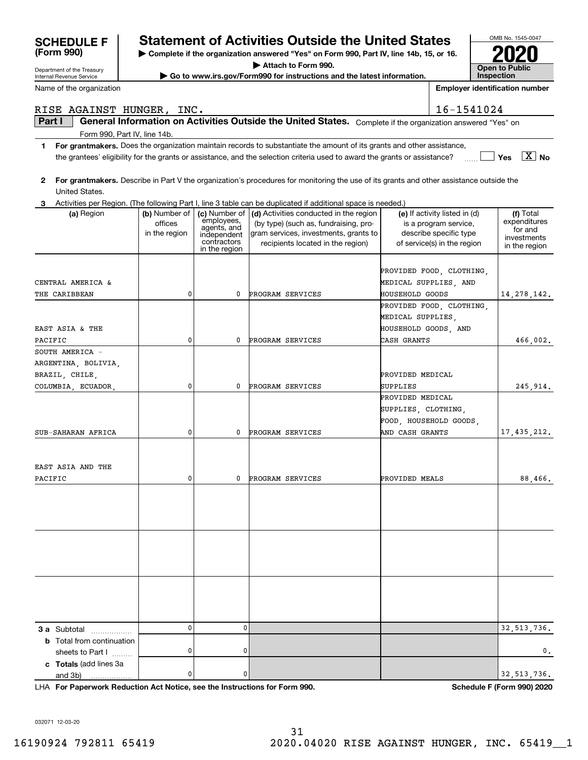| Internal Revenue Service               |                                           |                                                                                           | Go to www.irs.gov/Form990 for instructions and the latest information.                                                                                        |                                           |                                                                                                                 | Inspection                                                           |
|----------------------------------------|-------------------------------------------|-------------------------------------------------------------------------------------------|---------------------------------------------------------------------------------------------------------------------------------------------------------------|-------------------------------------------|-----------------------------------------------------------------------------------------------------------------|----------------------------------------------------------------------|
| Name of the organization               |                                           |                                                                                           |                                                                                                                                                               |                                           |                                                                                                                 | <b>Employer identification number</b>                                |
| RISE AGAINST HUNGER, INC.              |                                           |                                                                                           |                                                                                                                                                               |                                           | 16-1541024                                                                                                      |                                                                      |
| Part I                                 |                                           |                                                                                           | General Information on Activities Outside the United States. Complete if the organization answered "Yes" on                                                   |                                           |                                                                                                                 |                                                                      |
| Form 990, Part IV, line 14b.           |                                           |                                                                                           |                                                                                                                                                               |                                           |                                                                                                                 |                                                                      |
| 1                                      |                                           |                                                                                           | For grantmakers. Does the organization maintain records to substantiate the amount of its grants and other assistance,                                        |                                           |                                                                                                                 |                                                                      |
|                                        |                                           |                                                                                           | the grantees' eligibility for the grants or assistance, and the selection criteria used to award the grants or assistance?                                    |                                           |                                                                                                                 | $\boxed{\text{X}}$ No<br>Yes                                         |
| 2<br>United States.                    |                                           |                                                                                           | For grantmakers. Describe in Part V the organization's procedures for monitoring the use of its grants and other assistance outside the                       |                                           |                                                                                                                 |                                                                      |
| З.                                     |                                           |                                                                                           | Activities per Region. (The following Part I, line 3 table can be duplicated if additional space is needed.)                                                  |                                           |                                                                                                                 |                                                                      |
| (a) Region                             | (b) Number of<br>offices<br>in the region | (c) Number of<br>employees,<br>agents, and<br>independent<br>contractors<br>in the region | (d) Activities conducted in the region<br>(by type) (such as, fundraising, pro-<br>gram services, investments, grants to<br>recipients located in the region) |                                           | (e) If activity listed in (d)<br>is a program service,<br>describe specific type<br>of service(s) in the region | (f) Total<br>expenditures<br>for and<br>investments<br>in the region |
| CENTRAL AMERICA &                      |                                           |                                                                                           |                                                                                                                                                               |                                           | PROVIDED FOOD, CLOTHING,<br>MEDICAL SUPPLIES, AND                                                               |                                                                      |
| THE CARIBBEAN                          | 0                                         | 0                                                                                         | PROGRAM SERVICES                                                                                                                                              | <b>HOUSEHOLD GOODS</b>                    |                                                                                                                 | 14, 278, 142.                                                        |
| EAST ASIA & THE                        |                                           |                                                                                           |                                                                                                                                                               | MEDICAL SUPPLIES,<br>HOUSEHOLD GOODS, AND | PROVIDED FOOD, CLOTHING,                                                                                        |                                                                      |
| PACIFIC                                | 0                                         | 0                                                                                         | PROGRAM SERVICES                                                                                                                                              | CASH GRANTS                               |                                                                                                                 | 466,002.                                                             |
| SOUTH AMERICA -                        |                                           |                                                                                           |                                                                                                                                                               |                                           |                                                                                                                 |                                                                      |
| ARGENTINA, BOLIVIA,<br>BRAZIL, CHILE,  |                                           |                                                                                           |                                                                                                                                                               | PROVIDED MEDICAL                          |                                                                                                                 |                                                                      |
| COLUMBIA, ECUADOR,                     | 0                                         | 0                                                                                         | PROGRAM SERVICES                                                                                                                                              | SUPPLIES                                  |                                                                                                                 | 245,914.                                                             |
|                                        | 0                                         | 0                                                                                         |                                                                                                                                                               | PROVIDED MEDICAL<br>SUPPLIES, CLOTHING,   | FOOD, HOUSEHOLD GOODS,                                                                                          |                                                                      |
| SUB-SAHARAN AFRICA                     |                                           |                                                                                           | PROGRAM SERVICES                                                                                                                                              | AND CASH GRANTS                           |                                                                                                                 | 17,435,212.                                                          |
| EAST ASIA AND THE<br>PACIFIC           | 0                                         | 0                                                                                         | PROGRAM SERVICES                                                                                                                                              | PROVIDED MEALS                            |                                                                                                                 | 88,466.                                                              |
|                                        |                                           |                                                                                           |                                                                                                                                                               |                                           |                                                                                                                 |                                                                      |
| 3 a Subtotal                           | 0                                         | 0                                                                                         |                                                                                                                                                               |                                           |                                                                                                                 | 32, 513, 736.                                                        |
| .<br><b>b</b> Total from continuation  |                                           |                                                                                           |                                                                                                                                                               |                                           |                                                                                                                 |                                                                      |
| sheets to Part I                       | 0                                         | 0                                                                                         |                                                                                                                                                               |                                           |                                                                                                                 | 0.                                                                   |
| c Totals (add lines 3a<br>and 3b)<br>. | 0                                         | 0                                                                                         |                                                                                                                                                               |                                           |                                                                                                                 | 32, 513, 736.                                                        |

**For Paperwork Reduction Act Notice, see the Instructions for Form 990. Schedule F (Form 990) 2020** LHA

032071 12-03-20

Department of the Treasury

**(Form 990)**

# **SCHEDULE F Statement of Activities Outside the United States**

**| Complete if the organization answered "Yes" on Form 990, Part IV, line 14b, 15, or 16.**

**| Attach to Form 990.**

**| Go to www.irs.gov/Form990 for instructions and the latest information.**

OMB No. 1545-0047 **Open to Public Inspection2020**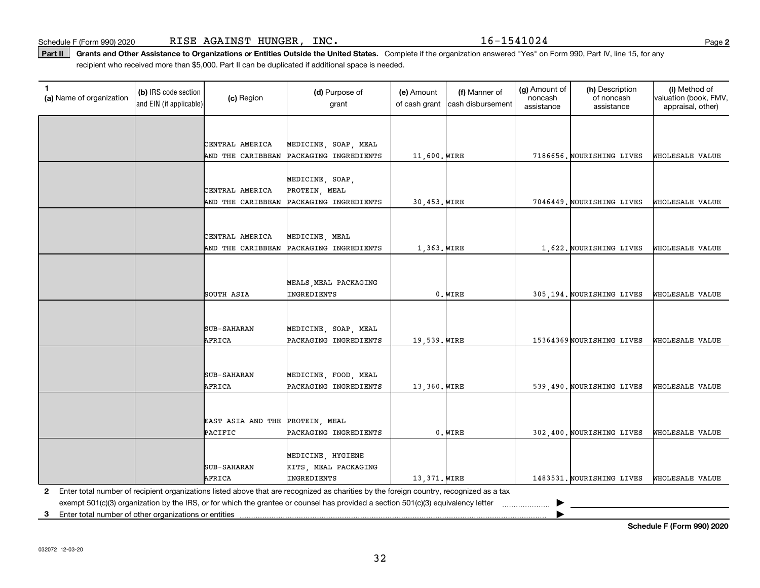Schedule F (Form 990) 2020 R $\rm I$ S $\rm E$   $\rm AGA$ INS $\rm T$   $\rm HUNGER$  ,  $\rm~INC$  .  $\rm ~~~$   $\rm ~~~$   $\rm 16-1541024$   $\rm ~~~$ 

**2**

Part II | Grants and Other Assistance to Organizations or Entities Outside the United States. Complete if the organization answered "Yes" on Form 990, Part IV, line 15, for any recipient who received more than \$5,000. Part II can be duplicated if additional space is needed.

| 1<br>(a) Name of organization | (b) IRS code section<br>and EIN (if applicable) | (c) Region                           | (d) Purpose of<br>grant                                                                                                                 | (e) Amount<br>of cash grant | (f) Manner of<br>cash disbursement | (g) Amount of<br>noncash<br>assistance | (h) Description<br>of noncash<br>assistance | (i) Method of<br>valuation (book, FMV,<br>appraisal, other) |
|-------------------------------|-------------------------------------------------|--------------------------------------|-----------------------------------------------------------------------------------------------------------------------------------------|-----------------------------|------------------------------------|----------------------------------------|---------------------------------------------|-------------------------------------------------------------|
|                               |                                                 |                                      |                                                                                                                                         |                             |                                    |                                        |                                             |                                                             |
|                               |                                                 | CENTRAL AMERICA                      | MEDICINE, SOAP, MEAL                                                                                                                    |                             |                                    |                                        |                                             |                                                             |
|                               |                                                 | AND THE CARIBBEAN                    | PACKAGING INGREDIENTS                                                                                                                   | 11,600. WIRE                |                                    |                                        | 7186656. NOURISHING LIVES                   | WHOLESALE VALUE                                             |
|                               |                                                 |                                      |                                                                                                                                         |                             |                                    |                                        |                                             |                                                             |
|                               |                                                 | CENTRAL AMERICA                      | MEDICINE, SOAP,<br>PROTEIN, MEAL                                                                                                        |                             |                                    |                                        |                                             |                                                             |
|                               |                                                 | AND THE CARIBBEAN                    | PACKAGING INGREDIENTS                                                                                                                   | 30,453. WIRE                |                                    |                                        | 7046449. NOURISHING LIVES                   | WHOLESALE VALUE                                             |
|                               |                                                 |                                      |                                                                                                                                         |                             |                                    |                                        |                                             |                                                             |
|                               |                                                 |                                      |                                                                                                                                         |                             |                                    |                                        |                                             |                                                             |
|                               |                                                 | CENTRAL AMERICA<br>AND THE CARIBBEAN | MEDICINE, MEAL<br>PACKAGING INGREDIENTS                                                                                                 | 1,363. WIRE                 |                                    |                                        | 1,622. NOURISHING LIVES                     | WHOLESALE VALUE                                             |
|                               |                                                 |                                      |                                                                                                                                         |                             |                                    |                                        |                                             |                                                             |
|                               |                                                 |                                      |                                                                                                                                         |                             |                                    |                                        |                                             |                                                             |
|                               |                                                 | SOUTH ASIA                           | MEALS, MEAL PACKAGING<br>INGREDIENTS                                                                                                    |                             | $0.$ WIRE                          |                                        | 305,194. NOURISHING LIVES                   | WHOLESALE VALUE                                             |
|                               |                                                 |                                      |                                                                                                                                         |                             |                                    |                                        |                                             |                                                             |
|                               |                                                 |                                      |                                                                                                                                         |                             |                                    |                                        |                                             |                                                             |
|                               |                                                 | <b>SUB-SAHARAN</b>                   | MEDICINE, SOAP, MEAL                                                                                                                    |                             |                                    |                                        |                                             |                                                             |
|                               |                                                 | AFRICA                               | PACKAGING INGREDIENTS                                                                                                                   | 19,539. WIRE                |                                    |                                        | 15364369 NOURISHING LIVES                   | WHOLESALE VALUE                                             |
|                               |                                                 |                                      |                                                                                                                                         |                             |                                    |                                        |                                             |                                                             |
|                               |                                                 | <b>SUB-SAHARAN</b>                   | MEDICINE, FOOD, MEAL                                                                                                                    |                             |                                    |                                        |                                             |                                                             |
|                               |                                                 | AFRICA                               | PACKAGING INGREDIENTS                                                                                                                   | 13,360. WIRE                |                                    |                                        | 539,490. NOURISHING LIVES                   | WHOLESALE VALUE                                             |
|                               |                                                 |                                      |                                                                                                                                         |                             |                                    |                                        |                                             |                                                             |
|                               |                                                 | EAST ASIA AND THE                    | PROTEIN, MEAL                                                                                                                           |                             |                                    |                                        |                                             |                                                             |
|                               |                                                 | PACIFIC                              | PACKAGING INGREDIENTS                                                                                                                   |                             | $0.$ WIRE                          |                                        | 302,400. NOURISHING LIVES                   | WHOLESALE VALUE                                             |
|                               |                                                 |                                      | MEDICINE, HYGIENE                                                                                                                       |                             |                                    |                                        |                                             |                                                             |
|                               |                                                 | <b>SUB-SAHARAN</b>                   | KITS, MEAL PACKAGING                                                                                                                    |                             |                                    |                                        |                                             |                                                             |
|                               |                                                 | AFRICA                               | INGREDIENTS                                                                                                                             | 13,371. WIRE                |                                    |                                        | 1483531. NOURISHING LIVES                   | WHOLESALE VALUE                                             |
| 2                             |                                                 |                                      | Enter total number of recipient organizations listed above that are recognized as charities by the foreign country, recognized as a tax |                             |                                    |                                        |                                             |                                                             |
|                               |                                                 |                                      | exempt 501(c)(3) organization by the IRS, or for which the grantee or counsel has provided a section 501(c)(3) equivalency letter       |                             |                                    |                                        |                                             |                                                             |

**3**Enter total number of other organizations or entities |

**Schedule F (Form 990) 2020**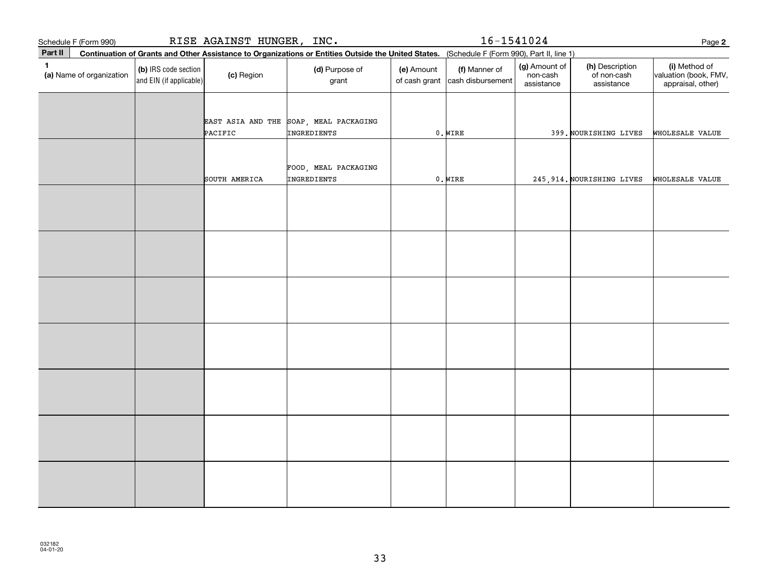|              | Schedule F (Form 990)    |                                                 | RISE AGAINST HUNGER, INC. |                                                                                                                                              |            | $16 - 1541024$                                   |                                         |                                              | Page 2                                                      |
|--------------|--------------------------|-------------------------------------------------|---------------------------|----------------------------------------------------------------------------------------------------------------------------------------------|------------|--------------------------------------------------|-----------------------------------------|----------------------------------------------|-------------------------------------------------------------|
| Part II      |                          |                                                 |                           | Continuation of Grants and Other Assistance to Organizations or Entities Outside the United States. (Schedule F (Form 990), Part II, line 1) |            |                                                  |                                         |                                              |                                                             |
| $\mathbf{1}$ | (a) Name of organization | (b) IRS code section<br>and EIN (if applicable) | (c) Region                | (d) Purpose of<br>grant                                                                                                                      | (e) Amount | (f) Manner of<br>of cash grant cash disbursement | (g) Amount of<br>non-cash<br>assistance | (h) Description<br>of non-cash<br>assistance | (i) Method of<br>valuation (book, FMV,<br>appraisal, other) |
|              |                          |                                                 |                           |                                                                                                                                              |            |                                                  |                                         |                                              |                                                             |
|              |                          |                                                 | PACIFIC                   | EAST ASIA AND THE SOAP, MEAL PACKAGING<br>INGREDIENTS                                                                                        |            | $0.$ WIRE                                        |                                         | 399. NOURISHING LIVES                        | WHOLESALE VALUE                                             |
|              |                          |                                                 |                           | FOOD, MEAL PACKAGING<br>INGREDIENTS                                                                                                          |            |                                                  |                                         |                                              |                                                             |
|              |                          |                                                 | SOUTH AMERICA             |                                                                                                                                              |            | $0.$ WIRE                                        |                                         | 245, 914. NOURISHING LIVES                   | WHOLESALE VALUE                                             |
|              |                          |                                                 |                           |                                                                                                                                              |            |                                                  |                                         |                                              |                                                             |
|              |                          |                                                 |                           |                                                                                                                                              |            |                                                  |                                         |                                              |                                                             |
|              |                          |                                                 |                           |                                                                                                                                              |            |                                                  |                                         |                                              |                                                             |
|              |                          |                                                 |                           |                                                                                                                                              |            |                                                  |                                         |                                              |                                                             |
|              |                          |                                                 |                           |                                                                                                                                              |            |                                                  |                                         |                                              |                                                             |
|              |                          |                                                 |                           |                                                                                                                                              |            |                                                  |                                         |                                              |                                                             |
|              |                          |                                                 |                           |                                                                                                                                              |            |                                                  |                                         |                                              |                                                             |
|              |                          |                                                 |                           |                                                                                                                                              |            |                                                  |                                         |                                              |                                                             |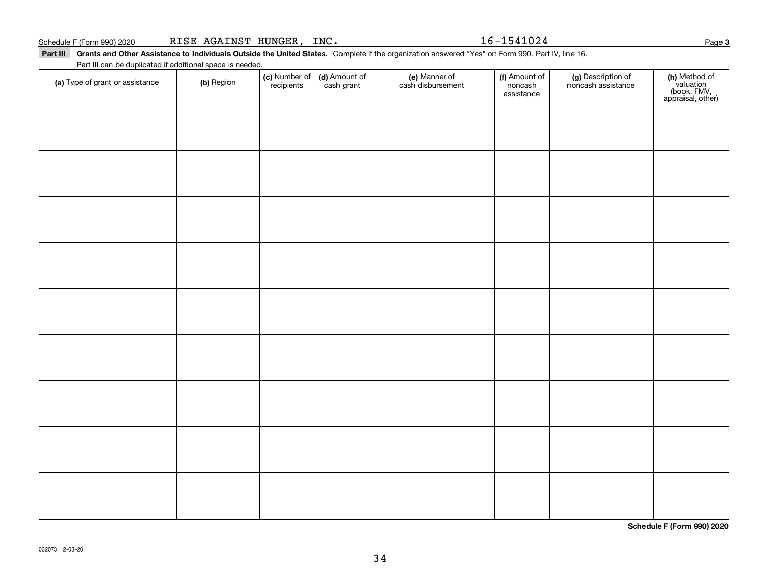#### Schedule F (Form 990) 2020 R ${\tt ISE}$   ${\tt AGAINST}$   ${\tt HUNGER}$  ,  ${\tt INC.}$   ${\tt NCC}$   ${\tt NSC}$   ${\tt NSC}$   ${\tt NSC}$   ${\tt NSC}$   ${\tt NSC}$   ${\tt NSC}$   ${\tt NSC}$   ${\tt NSC}$   ${\tt NSC}$   ${\tt NSC}$   ${\tt NSC}$   ${\tt NSC}$   ${\tt NSC}$   ${\tt NSC}$   ${\tt NSC}$   ${\tt NSC}$   ${\tt NSC}$   ${\tt NSC}$

Part III Grants and Other Assistance to Individuals Outside the United States. Complete if the organization answered "Yes" on Form 990, Part IV, line 16. Part III can be duplicated if additional space is needed.

| r art in carried adphoated in additional<br>(a) Type of grant or assistance | (b) Region | (c) Number of<br>recipients | (d) Amount of<br>cash grant | (e) Manner of<br>cash disbursement | (f) Amount of<br>noncash<br>assistance | (g) Description of<br>noncash assistance | (h) Method of<br>valuation<br>(book, FMV,<br>appraisal, other) |
|-----------------------------------------------------------------------------|------------|-----------------------------|-----------------------------|------------------------------------|----------------------------------------|------------------------------------------|----------------------------------------------------------------|
|                                                                             |            |                             |                             |                                    |                                        |                                          |                                                                |
|                                                                             |            |                             |                             |                                    |                                        |                                          |                                                                |
|                                                                             |            |                             |                             |                                    |                                        |                                          |                                                                |
|                                                                             |            |                             |                             |                                    |                                        |                                          |                                                                |
|                                                                             |            |                             |                             |                                    |                                        |                                          |                                                                |
|                                                                             |            |                             |                             |                                    |                                        |                                          |                                                                |
|                                                                             |            |                             |                             |                                    |                                        |                                          |                                                                |
|                                                                             |            |                             |                             |                                    |                                        |                                          |                                                                |
|                                                                             |            |                             |                             |                                    |                                        |                                          |                                                                |
|                                                                             |            |                             |                             |                                    |                                        |                                          |                                                                |
|                                                                             |            |                             |                             |                                    |                                        |                                          |                                                                |
|                                                                             |            |                             |                             |                                    |                                        |                                          |                                                                |
|                                                                             |            |                             |                             |                                    |                                        |                                          |                                                                |
|                                                                             |            |                             |                             |                                    |                                        |                                          |                                                                |
|                                                                             |            |                             |                             |                                    |                                        |                                          |                                                                |

**Schedule F (Form 990) 2020**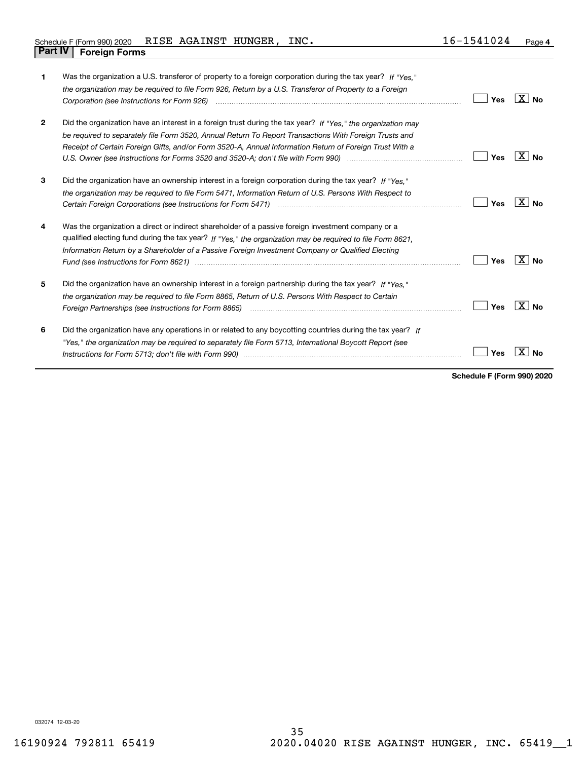| 1            | Was the organization a U.S. transferor of property to a foreign corporation during the tax year? If "Yes."<br>the organization may be required to file Form 926, Return by a U.S. Transferor of Property to a Foreign<br>Corporation (see Instructions for Form 926) <i>manual content content corporation</i> (see Instructions for Form 926) | <b>Yes</b> | ∣X∣No          |
|--------------|------------------------------------------------------------------------------------------------------------------------------------------------------------------------------------------------------------------------------------------------------------------------------------------------------------------------------------------------|------------|----------------|
| $\mathbf{2}$ | Did the organization have an interest in a foreign trust during the tax year? If "Yes." the organization may<br>be required to separately file Form 3520, Annual Return To Report Transactions With Foreign Trusts and<br>Receipt of Certain Foreign Gifts, and/or Form 3520-A, Annual Information Return of Foreign Trust With a              | Yes        | X<br><b>No</b> |
| 3            | Did the organization have an ownership interest in a foreign corporation during the tax year? If "Yes."<br>the organization may be required to file Form 5471, Information Return of U.S. Persons With Respect to                                                                                                                              | Yes        | X∣No           |
| 4            | Was the organization a direct or indirect shareholder of a passive foreign investment company or a<br>qualified electing fund during the tax year? If "Yes," the organization may be required to file Form 8621.<br>Information Return by a Shareholder of a Passive Foreign Investment Company or Qualified Electing                          | Yes        | X<br><b>No</b> |
| 5            | Did the organization have an ownership interest in a foreign partnership during the tax year? If "Yes."<br>the organization may be required to file Form 8865, Return of U.S. Persons With Respect to Certain                                                                                                                                  | Yes        | ΧI<br>Nο       |
| 6            | Did the organization have any operations in or related to any boycotting countries during the tax year? If<br>"Yes," the organization may be required to separately file Form 5713, International Boycott Report (see                                                                                                                          | Yes        |                |

**Schedule F (Form 990) 2020**

032074 12-03-20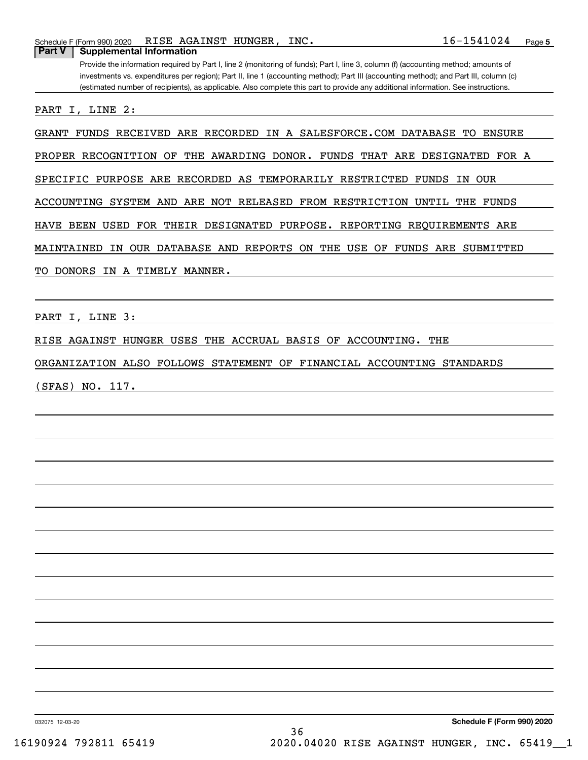Provide the information required by Part I, line 2 (monitoring of funds); Part I, line 3, column (f) (accounting method; amounts of investments vs. expenditures per region); Part II, line 1 (accounting method); Part III (accounting method); and Part III, column (c) (estimated number of recipients), as applicable. Also complete this part to provide any additional information. See instructions.

PART I, LINE 2:

GRANT FUNDS RECEIVED ARE RECORDED IN A SALESFORCE.COM DATABASE TO ENSURE

PROPER RECOGNITION OF THE AWARDING DONOR. FUNDS THAT ARE DESIGNATED FOR A

SPECIFIC PURPOSE ARE RECORDED AS TEMPORARILY RESTRICTED FUNDS IN OUR

ACCOUNTING SYSTEM AND ARE NOT RELEASED FROM RESTRICTION UNTIL THE FUNDS

HAVE BEEN USED FOR THEIR DESIGNATED PURPOSE. REPORTING REQUIREMENTS ARE

MAINTAINED IN OUR DATABASE AND REPORTS ON THE USE OF FUNDS ARE SUBMITTED

TO DONORS IN A TIMELY MANNER.

PART I, LINE 3:

RISE AGAINST HUNGER USES THE ACCRUAL BASIS OF ACCOUNTING. THE

ORGANIZATION ALSO FOLLOWS STATEMENT OF FINANCIAL ACCOUNTING STANDARDS

(SFAS) NO. 117.

032075 12-03-20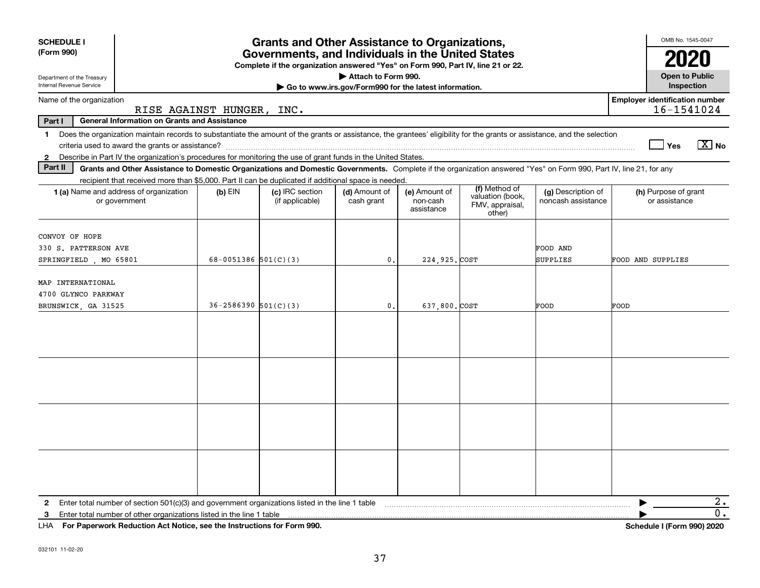| <b>SCHEDULE I</b><br>(Form 990)<br>Department of the Treasury<br>Internal Revenue Service                                                                                                                                                                                 | OMB No. 1545-0047<br><b>Open to Public</b><br>Inspection |                                    |                             |                                         |                                                                |                                          |                                       |  |
|---------------------------------------------------------------------------------------------------------------------------------------------------------------------------------------------------------------------------------------------------------------------------|----------------------------------------------------------|------------------------------------|-----------------------------|-----------------------------------------|----------------------------------------------------------------|------------------------------------------|---------------------------------------|--|
| Name of the organization                                                                                                                                                                                                                                                  | <b>Employer identification number</b><br>16-1541024      |                                    |                             |                                         |                                                                |                                          |                                       |  |
| RISE AGAINST HUNGER,<br>INC.                                                                                                                                                                                                                                              |                                                          |                                    |                             |                                         |                                                                |                                          |                                       |  |
| Part I<br><b>General Information on Grants and Assistance</b>                                                                                                                                                                                                             |                                                          |                                    |                             |                                         |                                                                |                                          |                                       |  |
| Does the organization maintain records to substantiate the amount of the grants or assistance, the grantees' eligibility for the grants or assistance, and the selection<br>$\mathbf{1}$                                                                                  |                                                          |                                    |                             |                                         |                                                                |                                          | $X$ No<br>Yes                         |  |
| Describe in Part IV the organization's procedures for monitoring the use of grant funds in the United States.<br>$\mathbf{2}$<br>Part II                                                                                                                                  |                                                          |                                    |                             |                                         |                                                                |                                          |                                       |  |
| Grants and Other Assistance to Domestic Organizations and Domestic Governments. Complete if the organization answered "Yes" on Form 990, Part IV, line 21, for any<br>recipient that received more than \$5,000. Part II can be duplicated if additional space is needed. |                                                          |                                    |                             |                                         |                                                                |                                          |                                       |  |
| 1 (a) Name and address of organization<br>or government                                                                                                                                                                                                                   | $(b)$ EIN                                                | (c) IRC section<br>(if applicable) | (d) Amount of<br>cash grant | (e) Amount of<br>non-cash<br>assistance | (f) Method of<br>valuation (book,<br>FMV, appraisal,<br>other) | (g) Description of<br>noncash assistance | (h) Purpose of grant<br>or assistance |  |
|                                                                                                                                                                                                                                                                           |                                                          |                                    |                             |                                         |                                                                |                                          |                                       |  |
| CONVOY OF HOPE<br>330 S. PATTERSON AVE                                                                                                                                                                                                                                    |                                                          |                                    |                             |                                         |                                                                | FOOD AND                                 |                                       |  |
| SPRINGFIELD, MO 65801                                                                                                                                                                                                                                                     | 68-0051386 $501(C)(3)$                                   |                                    | $\mathbf{0}$ .              | 224, 925. COST                          |                                                                | SUPPLIES                                 | FOOD AND SUPPLIES                     |  |
| MAP INTERNATIONAL<br>4700 GLYNCO PARKWAY<br>BRUNSWICK, GA 31525                                                                                                                                                                                                           | $36 - 2586390$ $501(C)(3)$                               |                                    | $\mathbf{0}$ .              | 637,800. COST                           |                                                                | FOOD                                     | FOOD                                  |  |
|                                                                                                                                                                                                                                                                           |                                                          |                                    |                             |                                         |                                                                |                                          |                                       |  |
|                                                                                                                                                                                                                                                                           |                                                          |                                    |                             |                                         |                                                                |                                          |                                       |  |
|                                                                                                                                                                                                                                                                           |                                                          |                                    |                             |                                         |                                                                |                                          |                                       |  |
|                                                                                                                                                                                                                                                                           |                                                          |                                    |                             |                                         |                                                                |                                          |                                       |  |
| Enter total number of section 501(c)(3) and government organizations listed in the line 1 table<br>$\mathbf{2}$                                                                                                                                                           |                                                          |                                    |                             |                                         |                                                                |                                          | 2.                                    |  |
| Enter total number of other organizations listed in the line 1 table<br>3                                                                                                                                                                                                 |                                                          |                                    |                             |                                         |                                                                |                                          | О.                                    |  |
| LHA For Paperwork Reduction Act Notice, see the Instructions for Form 990.                                                                                                                                                                                                |                                                          |                                    |                             |                                         |                                                                |                                          | Schedule I (Form 990) 2020            |  |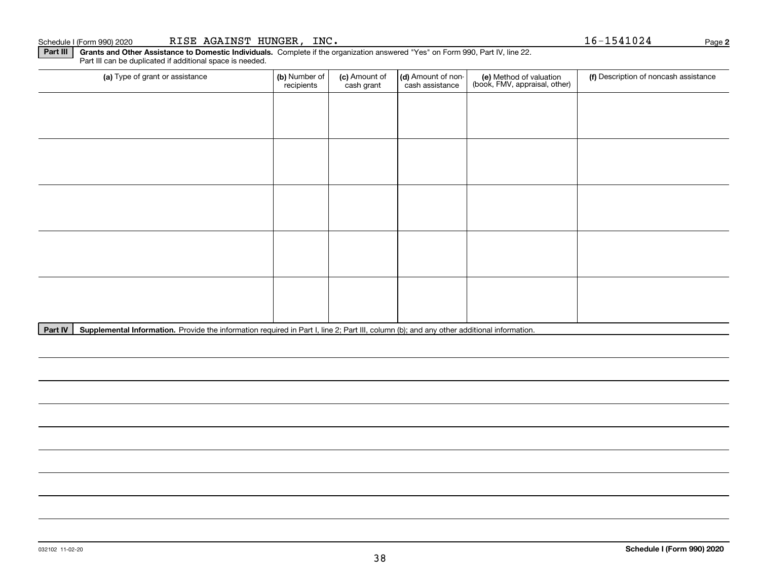# **Part III** | Grants and Other Assistance to Domestic Individuals. Complete if the organization answered "Yes" on Form 990, Part IV, line 22. (a) Type of grant or assistance **(b)** Number of **(c)** Amount of **(d)** Amount of non-**(e)** Method of valuation (f)<br>cash are continuous cash are cash assistance (book, FMV, appraisal, other) Part III can be duplicated if additional space is needed. (a) Type of grant or assistance  $\vert$  (b) Number of recipients(c) Amount of cash grant (d) Amount of noncash assistance (f) Description of noncash assistance

38

Part IV | Supplemental Information. Provide the information required in Part I, line 2; Part III, column (b); and any other additional information.

**2**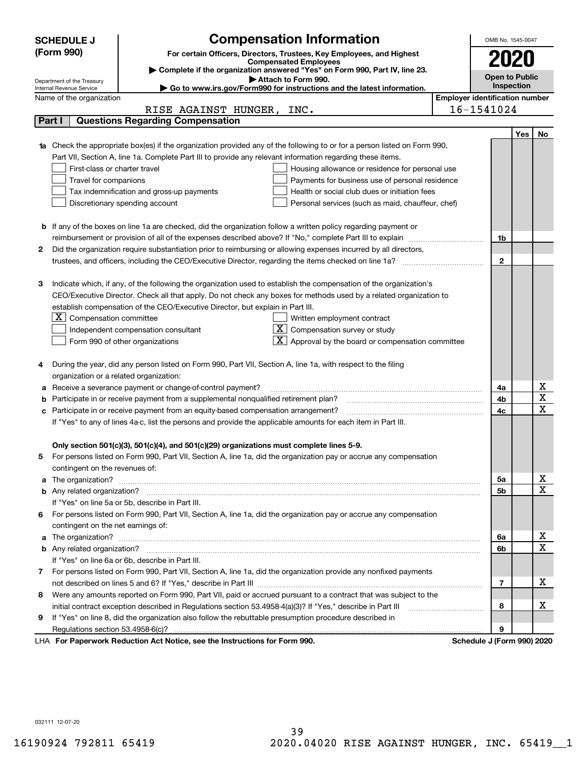|                                                                                                               | <b>SCHEDULE J</b>                                                                   | <b>Compensation Information</b>                                                                                                  |                                       | OMB No. 1545-0047         |            |                                     |
|---------------------------------------------------------------------------------------------------------------|-------------------------------------------------------------------------------------|----------------------------------------------------------------------------------------------------------------------------------|---------------------------------------|---------------------------|------------|-------------------------------------|
|                                                                                                               | (Form 990)<br>For certain Officers, Directors, Trustees, Key Employees, and Highest |                                                                                                                                  |                                       |                           |            |                                     |
|                                                                                                               | <b>Compensated Employees</b>                                                        |                                                                                                                                  |                                       |                           |            |                                     |
|                                                                                                               |                                                                                     | Complete if the organization answered "Yes" on Form 990, Part IV, line 23.<br>Attach to Form 990.                                |                                       | <b>Open to Public</b>     |            |                                     |
|                                                                                                               | Department of the Treasury<br>Internal Revenue Service                              | Go to www.irs.gov/Form990 for instructions and the latest information.                                                           |                                       | Inspection                |            |                                     |
|                                                                                                               | Name of the organization                                                            |                                                                                                                                  | <b>Employer identification number</b> |                           |            |                                     |
|                                                                                                               |                                                                                     | RISE AGAINST HUNGER, INC.                                                                                                        |                                       | 16-1541024                |            |                                     |
|                                                                                                               | Part I                                                                              | <b>Questions Regarding Compensation</b>                                                                                          |                                       |                           |            |                                     |
|                                                                                                               |                                                                                     |                                                                                                                                  |                                       |                           | <b>Yes</b> | No                                  |
|                                                                                                               |                                                                                     | <b>1a</b> Check the appropriate box(es) if the organization provided any of the following to or for a person listed on Form 990, |                                       |                           |            |                                     |
|                                                                                                               |                                                                                     | Part VII, Section A, line 1a. Complete Part III to provide any relevant information regarding these items.                       |                                       |                           |            |                                     |
|                                                                                                               | First-class or charter travel                                                       | Housing allowance or residence for personal use                                                                                  |                                       |                           |            |                                     |
|                                                                                                               | Travel for companions                                                               | Payments for business use of personal residence                                                                                  |                                       |                           |            |                                     |
|                                                                                                               |                                                                                     | Tax indemnification and gross-up payments<br>Health or social club dues or initiation fees                                       |                                       |                           |            |                                     |
|                                                                                                               |                                                                                     | Discretionary spending account<br>Personal services (such as maid, chauffeur, chef)                                              |                                       |                           |            |                                     |
|                                                                                                               |                                                                                     | <b>b</b> If any of the boxes on line 1a are checked, did the organization follow a written policy regarding payment or           |                                       |                           |            |                                     |
|                                                                                                               |                                                                                     | reimbursement or provision of all of the expenses described above? If "No," complete Part III to explain                         |                                       | 1b                        |            |                                     |
| 2                                                                                                             |                                                                                     | Did the organization require substantiation prior to reimbursing or allowing expenses incurred by all directors,                 |                                       |                           |            |                                     |
|                                                                                                               |                                                                                     |                                                                                                                                  |                                       | $\mathbf{2}$              |            |                                     |
|                                                                                                               |                                                                                     |                                                                                                                                  |                                       |                           |            |                                     |
| з                                                                                                             |                                                                                     | Indicate which, if any, of the following the organization used to establish the compensation of the organization's               |                                       |                           |            |                                     |
|                                                                                                               |                                                                                     | CEO/Executive Director. Check all that apply. Do not check any boxes for methods used by a related organization to               |                                       |                           |            |                                     |
|                                                                                                               |                                                                                     | establish compensation of the CEO/Executive Director, but explain in Part III.                                                   |                                       |                           |            |                                     |
|                                                                                                               | ΧI<br>Compensation committee                                                        | Written employment contract                                                                                                      |                                       |                           |            |                                     |
|                                                                                                               |                                                                                     | Compensation survey or study<br>Independent compensation consultant                                                              |                                       |                           |            |                                     |
|                                                                                                               |                                                                                     | Approval by the board or compensation committee<br>Form 990 of other organizations                                               |                                       |                           |            |                                     |
|                                                                                                               |                                                                                     | During the year, did any person listed on Form 990, Part VII, Section A, line 1a, with respect to the filing                     |                                       |                           |            |                                     |
|                                                                                                               | organization or a related organization:                                             |                                                                                                                                  |                                       |                           |            |                                     |
|                                                                                                               |                                                                                     | Receive a severance payment or change-of-control payment?                                                                        |                                       | 4a                        |            | x                                   |
|                                                                                                               |                                                                                     | Participate in or receive payment from a supplemental nonqualified retirement plan?                                              |                                       | 4b                        |            | $\overline{\mathbf{x}}$             |
| c                                                                                                             |                                                                                     | Participate in or receive payment from an equity-based compensation arrangement?                                                 |                                       | 4c                        |            | $\overline{\text{x}}$               |
| If "Yes" to any of lines 4a-c, list the persons and provide the applicable amounts for each item in Part III. |                                                                                     |                                                                                                                                  |                                       |                           |            |                                     |
|                                                                                                               |                                                                                     |                                                                                                                                  |                                       |                           |            |                                     |
|                                                                                                               |                                                                                     | Only section 501(c)(3), 501(c)(4), and 501(c)(29) organizations must complete lines 5-9.                                         |                                       |                           |            |                                     |
| 5.                                                                                                            |                                                                                     | For persons listed on Form 990, Part VII, Section A, line 1a, did the organization pay or accrue any compensation                |                                       |                           |            |                                     |
|                                                                                                               | contingent on the revenues of:                                                      |                                                                                                                                  |                                       |                           |            |                                     |
|                                                                                                               |                                                                                     | a The organization? <b>Manual Community Community</b> Community Community Community Community Community Community Community      |                                       | 5a                        |            | <u>x</u>                            |
|                                                                                                               |                                                                                     |                                                                                                                                  |                                       | 5b                        |            | $\overline{\mathbf{x}}$             |
|                                                                                                               |                                                                                     | If "Yes" on line 5a or 5b, describe in Part III.                                                                                 |                                       |                           |            |                                     |
| 6.                                                                                                            |                                                                                     | For persons listed on Form 990, Part VII, Section A, line 1a, did the organization pay or accrue any compensation                |                                       |                           |            |                                     |
|                                                                                                               | contingent on the net earnings of:                                                  |                                                                                                                                  |                                       |                           |            |                                     |
|                                                                                                               |                                                                                     |                                                                                                                                  |                                       | 6a                        |            | <u>x</u><br>$\overline{\mathbf{x}}$ |
|                                                                                                               |                                                                                     |                                                                                                                                  |                                       | 6b                        |            |                                     |
|                                                                                                               |                                                                                     | If "Yes" on line 6a or 6b, describe in Part III.                                                                                 |                                       |                           |            |                                     |
|                                                                                                               |                                                                                     | 7 For persons listed on Form 990, Part VII, Section A, line 1a, did the organization provide any nonfixed payments               |                                       |                           |            | х                                   |
|                                                                                                               |                                                                                     |                                                                                                                                  |                                       | 7                         |            |                                     |
| 8                                                                                                             |                                                                                     | Were any amounts reported on Form 990, Part VII, paid or accrued pursuant to a contract that was subject to the                  |                                       | 8                         |            | х                                   |
| 9                                                                                                             |                                                                                     | If "Yes" on line 8, did the organization also follow the rebuttable presumption procedure described in                           |                                       |                           |            |                                     |
|                                                                                                               |                                                                                     |                                                                                                                                  |                                       | 9                         |            |                                     |
|                                                                                                               |                                                                                     | erwork Reduction Act Notice, see the Instructions for Form 000                                                                   |                                       | Schodule 1/Earm 0001 2020 |            |                                     |

LHA For Paperwork Reduction Act Notice, see the Instructions for Form 990. Schedule J (Form 990) 2020

032111 12-07-20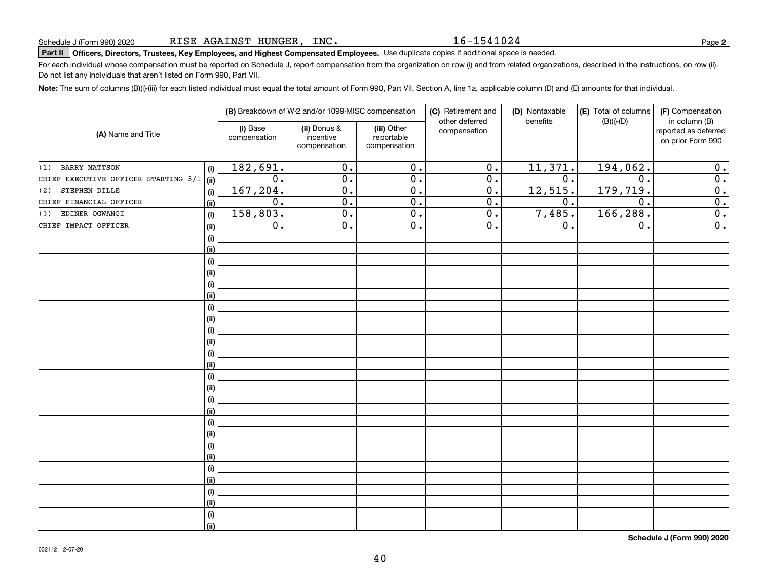#### 16-1541024

# **Part II Officers, Directors, Trustees, Key Employees, and Highest Compensated Employees.**  Schedule J (Form 990) 2020 Page Use duplicate copies if additional space is needed.

For each individual whose compensation must be reported on Schedule J, report compensation from the organization on row (i) and from related organizations, described in the instructions, on row (ii). Do not list any individuals that aren't listed on Form 990, Part VII.

**Note:**  The sum of columns (B)(i)-(iii) for each listed individual must equal the total amount of Form 990, Part VII, Section A, line 1a, applicable column (D) and (E) amounts for that individual.

| (A) Name and Title                   |      | (i) Base<br>compensation | (B) Breakdown of W-2 and/or 1099-MISC compensation<br>(ii) Bonus &<br>incentive<br>compensation | (iii) Other<br>reportable<br>compensation | (C) Retirement and<br>other deferred<br>compensation | (D) Nontaxable<br>benefits | (E) Total of columns<br>$(B)(i)-(D)$ | (F) Compensation<br>in column (B)<br>reported as deferred<br>on prior Form 990 |  |
|--------------------------------------|------|--------------------------|-------------------------------------------------------------------------------------------------|-------------------------------------------|------------------------------------------------------|----------------------------|--------------------------------------|--------------------------------------------------------------------------------|--|
|                                      |      |                          |                                                                                                 |                                           |                                                      |                            |                                      |                                                                                |  |
| <b>BARRY MATTSON</b><br>(1)          | (i)  | 182,691.                 | 0.                                                                                              | 0.                                        | 0.                                                   | 11,371.                    | 194,062.                             | 0.                                                                             |  |
| CHIEF EXECUTIVE OFFICER STARTING 3/1 | (ii) | 0.                       | 0.                                                                                              | 0.                                        | 0.                                                   | 0.                         | $\mathbf 0$ .                        | $\overline{0}$ .                                                               |  |
| STEPHEN DILLE<br>(2)                 | (i)  | 167,204.                 | 0.                                                                                              | 0.                                        | 0.                                                   | 12,515.                    | 179, 719.                            | 0.                                                                             |  |
| CHIEF FINANCIAL OFFICER              | (ii) | 0.                       | 0.                                                                                              | 0.                                        | 0.                                                   | 0.                         | $\mathbf 0$ .                        | $\overline{0}$ .                                                               |  |
| EDINER OGWANGI<br>(3)                | (i)  | 158,803.                 | 0.                                                                                              | 0.                                        | 0.                                                   | 7,485.                     | 166, 288.                            | $\overline{0}$ .                                                               |  |
| CHIEF IMPACT OFFICER                 | (ii) | 0.                       | 0.                                                                                              | 0.                                        | 0.                                                   | 0.                         | 0.                                   | $\overline{0}$ .                                                               |  |
|                                      | (i)  |                          |                                                                                                 |                                           |                                                      |                            |                                      |                                                                                |  |
|                                      | (ii) |                          |                                                                                                 |                                           |                                                      |                            |                                      |                                                                                |  |
|                                      | (i)  |                          |                                                                                                 |                                           |                                                      |                            |                                      |                                                                                |  |
|                                      | (ii) |                          |                                                                                                 |                                           |                                                      |                            |                                      |                                                                                |  |
|                                      | (i)  |                          |                                                                                                 |                                           |                                                      |                            |                                      |                                                                                |  |
|                                      | (ii) |                          |                                                                                                 |                                           |                                                      |                            |                                      |                                                                                |  |
|                                      | (i)  |                          |                                                                                                 |                                           |                                                      |                            |                                      |                                                                                |  |
|                                      | (ii) |                          |                                                                                                 |                                           |                                                      |                            |                                      |                                                                                |  |
|                                      | (i)  |                          |                                                                                                 |                                           |                                                      |                            |                                      |                                                                                |  |
|                                      | (ii) |                          |                                                                                                 |                                           |                                                      |                            |                                      |                                                                                |  |
|                                      | (i)  |                          |                                                                                                 |                                           |                                                      |                            |                                      |                                                                                |  |
|                                      | (ii) |                          |                                                                                                 |                                           |                                                      |                            |                                      |                                                                                |  |
|                                      | (i)  |                          |                                                                                                 |                                           |                                                      |                            |                                      |                                                                                |  |
|                                      | (ii) |                          |                                                                                                 |                                           |                                                      |                            |                                      |                                                                                |  |
|                                      | (i)  |                          |                                                                                                 |                                           |                                                      |                            |                                      |                                                                                |  |
|                                      | (ii) |                          |                                                                                                 |                                           |                                                      |                            |                                      |                                                                                |  |
|                                      | (i)  |                          |                                                                                                 |                                           |                                                      |                            |                                      |                                                                                |  |
|                                      | (ii) |                          |                                                                                                 |                                           |                                                      |                            |                                      |                                                                                |  |
|                                      | (i)  |                          |                                                                                                 |                                           |                                                      |                            |                                      |                                                                                |  |
|                                      | (ii) |                          |                                                                                                 |                                           |                                                      |                            |                                      |                                                                                |  |
|                                      | (i)  |                          |                                                                                                 |                                           |                                                      |                            |                                      |                                                                                |  |
|                                      | (ii) |                          |                                                                                                 |                                           |                                                      |                            |                                      |                                                                                |  |
|                                      | (i)  |                          |                                                                                                 |                                           |                                                      |                            |                                      |                                                                                |  |
|                                      | (ii) |                          |                                                                                                 |                                           |                                                      |                            |                                      |                                                                                |  |
|                                      | (i)  |                          |                                                                                                 |                                           |                                                      |                            |                                      |                                                                                |  |
|                                      | (ii) |                          |                                                                                                 |                                           |                                                      |                            |                                      |                                                                                |  |
|                                      |      |                          |                                                                                                 |                                           |                                                      |                            |                                      |                                                                                |  |

**Schedule J (Form 990) 2020**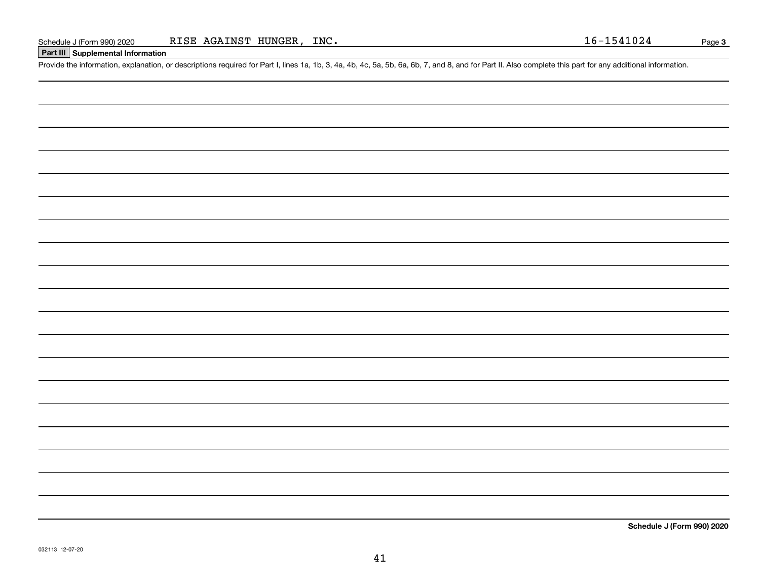## **Part III Supplemental Information**

Schedule J (Form 990) 2020 RISE AGAINST HUNGER, INC.<br>
Part III Supplemental Information<br>
Provide the information, explanation, or descriptions required for Part I, lines 1a, 1b, 3, 4a, 4b, 4c, 5a, 5b, 6a, 6b, 7, and 8, and

**Schedule J (Form 990) 2020**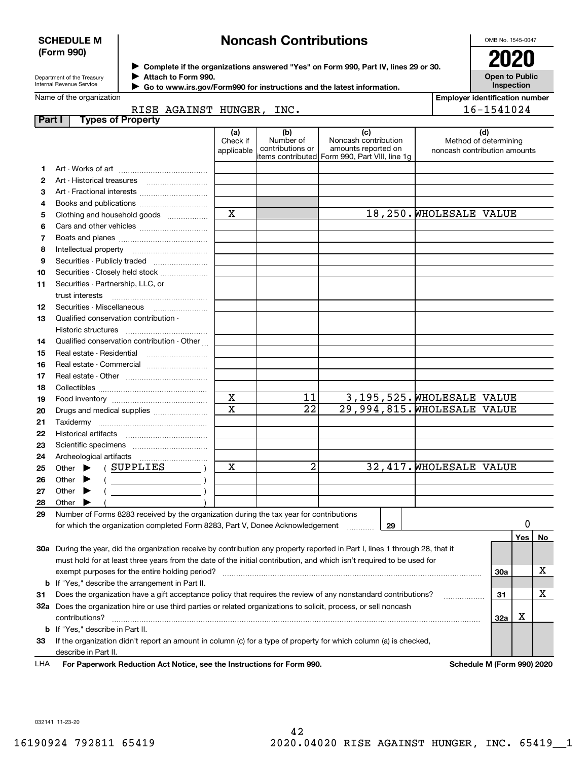#### **SCHEDULE M (Form 990)**

# **Noncash Contributions**

OMB No. 1545-0047

| Department of the Treasury      |
|---------------------------------|
| الممثريين والمستحددة الموسوفينا |

**Complete if the organizations answered "Yes" on Form 990, Part IV, lines 29 or 30. Attach to Form 990.**  $\triangleright$  Complete if the organizations answered "Yes" on Form 990, Part IV, lines 29 or 30.  $2020$  $\blacktriangleright$ 

**Open to Public Inspection**

| Internal Revenue Service |  |
|--------------------------|--|
| Name of the organization |  |

 **Go to www.irs.gov/Form990 for instructions and the latest information.** J

|        | Name of the organization                                                                                                       |                       |                  |                                                |                              | <b>Employer identification number</b> |          |    |
|--------|--------------------------------------------------------------------------------------------------------------------------------|-----------------------|------------------|------------------------------------------------|------------------------------|---------------------------------------|----------|----|
|        | RISE AGAINST HUNGER, INC.                                                                                                      |                       |                  |                                                |                              | 16-1541024                            |          |    |
| Part I | <b>Types of Property</b>                                                                                                       |                       |                  |                                                |                              |                                       |          |    |
|        |                                                                                                                                | (a)<br>Check if       | (b)<br>Number of | (c)<br>Noncash contribution                    |                              | (d)<br>Method of determining          |          |    |
|        |                                                                                                                                | applicable            | contributions or | amounts reported on                            | noncash contribution amounts |                                       |          |    |
|        |                                                                                                                                |                       |                  | items contributed Form 990, Part VIII, line 1g |                              |                                       |          |    |
| 1      |                                                                                                                                |                       |                  |                                                |                              |                                       |          |    |
| 2      |                                                                                                                                |                       |                  |                                                |                              |                                       |          |    |
| з      | Art - Fractional interests                                                                                                     |                       |                  |                                                |                              |                                       |          |    |
| 4      | Books and publications                                                                                                         |                       |                  |                                                |                              |                                       |          |    |
| 5      | Clothing and household goods                                                                                                   | $\mathbf X$           |                  |                                                | 18,250. WHOLESALE VALUE      |                                       |          |    |
| 6      |                                                                                                                                |                       |                  |                                                |                              |                                       |          |    |
| 7      |                                                                                                                                |                       |                  |                                                |                              |                                       |          |    |
| 8      | Intellectual property                                                                                                          |                       |                  |                                                |                              |                                       |          |    |
| 9      | Securities - Publicly traded                                                                                                   |                       |                  |                                                |                              |                                       |          |    |
| 10     | Securities - Closely held stock                                                                                                |                       |                  |                                                |                              |                                       |          |    |
| 11     | Securities - Partnership, LLC, or                                                                                              |                       |                  |                                                |                              |                                       |          |    |
|        | trust interests                                                                                                                |                       |                  |                                                |                              |                                       |          |    |
| 12     |                                                                                                                                |                       |                  |                                                |                              |                                       |          |    |
| 13     | Qualified conservation contribution -                                                                                          |                       |                  |                                                |                              |                                       |          |    |
|        | Historic structures                                                                                                            |                       |                  |                                                |                              |                                       |          |    |
| 14     | Qualified conservation contribution - Other                                                                                    |                       |                  |                                                |                              |                                       |          |    |
| 15     | Real estate - Residential                                                                                                      |                       |                  |                                                |                              |                                       |          |    |
| 16     |                                                                                                                                |                       |                  |                                                |                              |                                       |          |    |
| 17     |                                                                                                                                |                       |                  |                                                |                              |                                       |          |    |
| 18     |                                                                                                                                |                       |                  |                                                |                              |                                       |          |    |
| 19     |                                                                                                                                | $\mathbf X$           | 11               | 3,195,525. WHOLESALE VALUE                     |                              |                                       |          |    |
| 20     | Drugs and medical supplies                                                                                                     | $\overline{\text{x}}$ | $\overline{22}$  | 29,994,815. WHOLESALE VALUE                    |                              |                                       |          |    |
| 21     |                                                                                                                                |                       |                  |                                                |                              |                                       |          |    |
| 22     | Historical artifacts                                                                                                           |                       |                  |                                                |                              |                                       |          |    |
| 23     |                                                                                                                                |                       |                  |                                                |                              |                                       |          |    |
| 24     | Archeological artifacts                                                                                                        |                       |                  |                                                |                              |                                       |          |    |
| 25     | (SUPPLIES<br>Other $\blacktriangleright$                                                                                       | x                     | $\overline{a}$   |                                                | 32,417. WHOLESALE VALUE      |                                       |          |    |
| 26     | $($ $)$<br>Other<br>▸                                                                                                          |                       |                  |                                                |                              |                                       |          |    |
| 27     | Other<br>▶                                                                                                                     |                       |                  |                                                |                              |                                       |          |    |
| 28     | Other                                                                                                                          |                       |                  |                                                |                              |                                       |          |    |
| 29     | Number of Forms 8283 received by the organization during the tax year for contributions                                        |                       |                  |                                                |                              |                                       |          |    |
|        | for which the organization completed Form 8283, Part V, Donee Acknowledgement                                                  |                       |                  | 29                                             |                              |                                       | $\Omega$ |    |
|        |                                                                                                                                |                       |                  |                                                |                              |                                       | Yes      | No |
|        | 30a During the year, did the organization receive by contribution any property reported in Part I, lines 1 through 28, that it |                       |                  |                                                |                              |                                       |          |    |
|        | must hold for at least three years from the date of the initial contribution, and which isn't required to be used for          |                       |                  |                                                |                              |                                       |          |    |
|        | exempt purposes for the entire holding period?                                                                                 |                       |                  |                                                |                              | 30a                                   |          | х  |
|        | <b>b</b> If "Yes," describe the arrangement in Part II.                                                                        |                       |                  |                                                |                              |                                       |          |    |
| 31     | Does the organization have a gift acceptance policy that requires the review of any nonstandard contributions?                 |                       |                  |                                                |                              | 31                                    |          | x  |
|        | 32a Does the organization hire or use third parties or related organizations to solicit, process, or sell noncash              |                       |                  |                                                |                              |                                       |          |    |
|        | contributions?                                                                                                                 |                       |                  |                                                |                              | 32a                                   | х        |    |
|        | <b>b</b> If "Yes," describe in Part II.                                                                                        |                       |                  |                                                |                              |                                       |          |    |
| 33     | If the organization didn't report an amount in column (c) for a type of property for which column (a) is checked,              |                       |                  |                                                |                              |                                       |          |    |
|        | describe in Part II.                                                                                                           |                       |                  |                                                |                              |                                       |          |    |

**For Paperwork Reduction Act Notice, see the Instructions for Form 990. Schedule M (Form 990) 2020** LHA

032141 11-23-20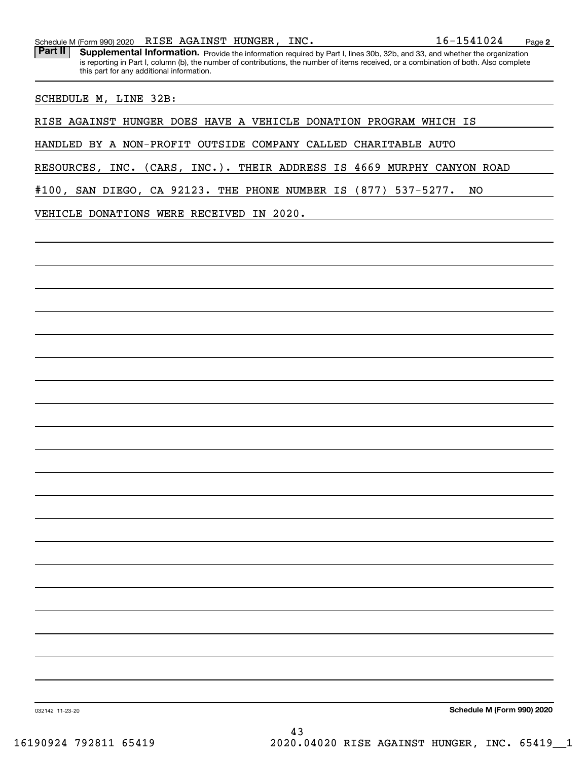Schedule M (Form 990) 2020 Page RISE AGAINST HUNGER, INC. 16-1541024

Part II | Supplemental Information. Provide the information required by Part I, lines 30b, 32b, and 33, and whether the organization is reporting in Part I, column (b), the number of contributions, the number of items received, or a combination of both. Also complete this part for any additional information.

SCHEDULE M, LINE 32B:

RISE AGAINST HUNGER DOES HAVE A VEHICLE DONATION PROGRAM WHICH IS

HANDLED BY A NON-PROFIT OUTSIDE COMPANY CALLED CHARITABLE AUTO

RESOURCES, INC. (CARS, INC.). THEIR ADDRESS IS 4669 MURPHY CANYON ROAD

#100, SAN DIEGO, CA 92123. THE PHONE NUMBER IS (877) 537-5277. NO

VEHICLE DONATIONS WERE RECEIVED IN 2020.

**Schedule M (Form 990) 2020**

032142 11-23-20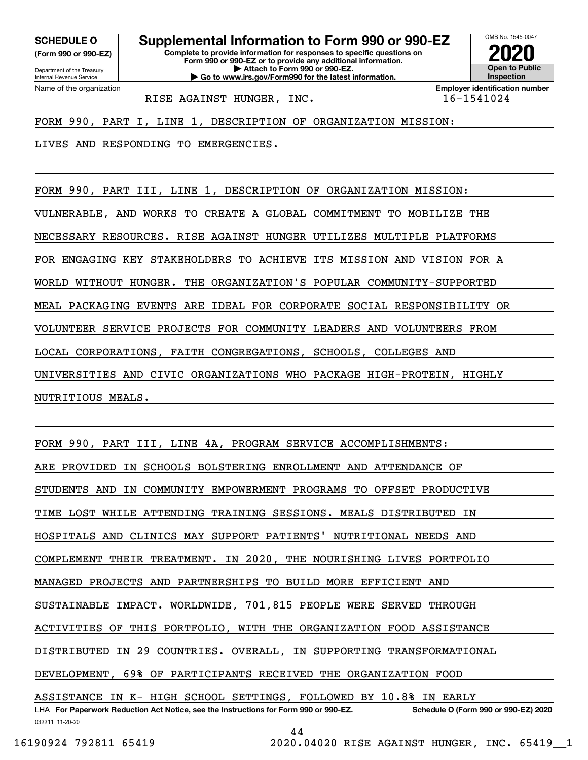**(Form 990 or 990-EZ)**

Department of the Treasury Internal Revenue Service Name of the organization

**SCHEDULE O Supplemental Information to Form 990 or 990-EZ**

**Complete to provide information for responses to specific questions on Form 990 or 990-EZ or to provide any additional information. | Attach to Form 990 or 990-EZ. | Go to www.irs.gov/Form990 for the latest information.**



RISE AGAINST HUNGER, INC. | 16-1541024

FORM 990, PART I, LINE 1, DESCRIPTION OF ORGANIZATION MISSION:

LIVES AND RESPONDING TO EMERGENCIES.

FORM 990, PART III, LINE 1, DESCRIPTION OF ORGANIZATION MISSION: VULNERABLE, AND WORKS TO CREATE A GLOBAL COMMITMENT TO MOBILIZE THE NECESSARY RESOURCES. RISE AGAINST HUNGER UTILIZES MULTIPLE PLATFORMS FOR ENGAGING KEY STAKEHOLDERS TO ACHIEVE ITS MISSION AND VISION FOR A WORLD WITHOUT HUNGER. THE ORGANIZATION'S POPULAR COMMUNITY-SUPPORTED MEAL PACKAGING EVENTS ARE IDEAL FOR CORPORATE SOCIAL RESPONSIBILITY OR VOLUNTEER SERVICE PROJECTS FOR COMMUNITY LEADERS AND VOLUNTEERS FROM LOCAL CORPORATIONS, FAITH CONGREGATIONS, SCHOOLS, COLLEGES AND UNIVERSITIES AND CIVIC ORGANIZATIONS WHO PACKAGE HIGH-PROTEIN, HIGHLY NUTRITIOUS MEALS.

032211 11-20-20 LHA For Paperwork Reduction Act Notice, see the Instructions for Form 990 or 990-EZ. Schedule O (Form 990 or 990-EZ) 2020 FORM 990, PART III, LINE 4A, PROGRAM SERVICE ACCOMPLISHMENTS: ARE PROVIDED IN SCHOOLS BOLSTERING ENROLLMENT AND ATTENDANCE OF STUDENTS AND IN COMMUNITY EMPOWERMENT PROGRAMS TO OFFSET PRODUCTIVE TIME LOST WHILE ATTENDING TRAINING SESSIONS. MEALS DISTRIBUTED IN HOSPITALS AND CLINICS MAY SUPPORT PATIENTS' NUTRITIONAL NEEDS AND COMPLEMENT THEIR TREATMENT. IN 2020, THE NOURISHING LIVES PORTFOLIO MANAGED PROJECTS AND PARTNERSHIPS TO BUILD MORE EFFICIENT AND SUSTAINABLE IMPACT. WORLDWIDE, 701,815 PEOPLE WERE SERVED THROUGH ACTIVITIES OF THIS PORTFOLIO, WITH THE ORGANIZATION FOOD ASSISTANCE DISTRIBUTED IN 29 COUNTRIES. OVERALL, IN SUPPORTING TRANSFORMATIONAL DEVELOPMENT, 69% OF PARTICIPANTS RECEIVED THE ORGANIZATION FOOD ASSISTANCE IN K- HIGH SCHOOL SETTINGS, FOLLOWED BY 10.8% IN EARLY

44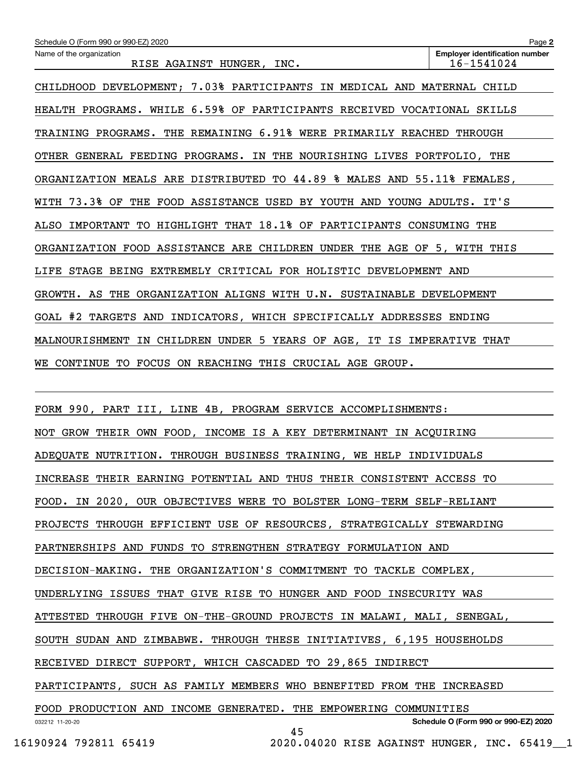| Schedule O (Form 990 or 990-EZ) 2020                                                 | Page 2                                                               |  |  |  |  |
|--------------------------------------------------------------------------------------|----------------------------------------------------------------------|--|--|--|--|
| Name of the organization<br>RISE AGAINST HUNGER,<br>INC.                             | <b>Employer identification number</b><br>16-1541024                  |  |  |  |  |
| CHILDHOOD DEVELOPMENT; 7.03% PARTICIPANTS IN MEDICAL AND MATERNAL CHILD              |                                                                      |  |  |  |  |
| HEALTH PROGRAMS. WHILE 6.59% OF PARTICIPANTS RECEIVED VOCATIONAL SKILLS              |                                                                      |  |  |  |  |
| TRAINING PROGRAMS. THE REMAINING 6.91% WERE PRIMARILY REACHED THROUGH                |                                                                      |  |  |  |  |
| OTHER GENERAL FEEDING PROGRAMS.<br>IN THE NOURISHING LIVES PORTFOLIO, THE            |                                                                      |  |  |  |  |
| ORGANIZATION MEALS ARE DISTRIBUTED TO 44.89 % MALES AND 55.11% FEMALES,              |                                                                      |  |  |  |  |
| WITH 73.3% OF THE FOOD ASSISTANCE USED BY YOUTH AND YOUNG ADULTS.                    | IT'S                                                                 |  |  |  |  |
| HIGHLIGHT THAT 18.1% OF PARTICIPANTS CONSUMING THE<br>ALSO<br><b>IMPORTANT</b><br>TO |                                                                      |  |  |  |  |
| ORGANIZATION FOOD ASSISTANCE ARE CHILDREN UNDER THE AGE OF 5, WITH THIS              |                                                                      |  |  |  |  |
| LIFE STAGE BEING EXTREMELY CRITICAL FOR HOLISTIC DEVELOPMENT AND                     |                                                                      |  |  |  |  |
| GROWTH. AS THE ORGANIZATION ALIGNS WITH U.N. SUSTAINABLE DEVELOPMENT                 |                                                                      |  |  |  |  |
| GOAL #2 TARGETS AND<br>INDICATORS, WHICH SPECIFICALLY ADDRESSES ENDING               |                                                                      |  |  |  |  |
| IN CHILDREN UNDER 5 YEARS OF AGE, IT IS IMPERATIVE THAT<br>MALNOURISHMENT            |                                                                      |  |  |  |  |
| CONTINUE TO FOCUS ON REACHING THIS CRUCIAL AGE GROUP.<br>WE.                         |                                                                      |  |  |  |  |
|                                                                                      |                                                                      |  |  |  |  |
| FORM 990, PART III, LINE 4B, PROGRAM SERVICE ACCOMPLISHMENTS:                        |                                                                      |  |  |  |  |
| GROW THEIR OWN FOOD, INCOME IS A KEY DETERMINANT IN ACQUIRING<br>NOT                 |                                                                      |  |  |  |  |
| ADEQUATE NUTRITION. THROUGH BUSINESS TRAINING, WE HELP INDIVIDUALS                   |                                                                      |  |  |  |  |
| INCREASE THEIR EARNING POTENTIAL AND THUS THEIR CONSISTENT ACCESS TO                 |                                                                      |  |  |  |  |
|                                                                                      | FOOD. IN 2020, OUR OBJECTIVES WERE TO BOLSTER LONG-TERM SELF-RELIANT |  |  |  |  |
| PROJECTS THROUGH EFFICIENT USE OF RESOURCES, STRATEGICALLY STEWARDING                |                                                                      |  |  |  |  |
| PARTNERSHIPS AND FUNDS TO STRENGTHEN STRATEGY FORMULATION AND                        |                                                                      |  |  |  |  |
| DECISION-MAKING. THE ORGANIZATION'S COMMITMENT TO TACKLE COMPLEX,                    |                                                                      |  |  |  |  |
| UNDERLYING ISSUES THAT GIVE RISE TO HUNGER AND FOOD INSECURITY WAS                   |                                                                      |  |  |  |  |

ATTESTED THROUGH FIVE ON-THE-GROUND PROJECTS IN MALAWI, MALI, SENEGAL,

SOUTH SUDAN AND ZIMBABWE. THROUGH THESE INITIATIVES, 6,195 HOUSEHOLDS

RECEIVED DIRECT SUPPORT, WHICH CASCADED TO 29,865 INDIRECT

PARTICIPANTS, SUCH AS FAMILY MEMBERS WHO BENEFITED FROM THE INCREASED

032212 11-20-20 **Schedule O (Form 990 or 990-EZ) 2020** FOOD PRODUCTION AND INCOME GENERATED. THE EMPOWERING COMMUNITIES 45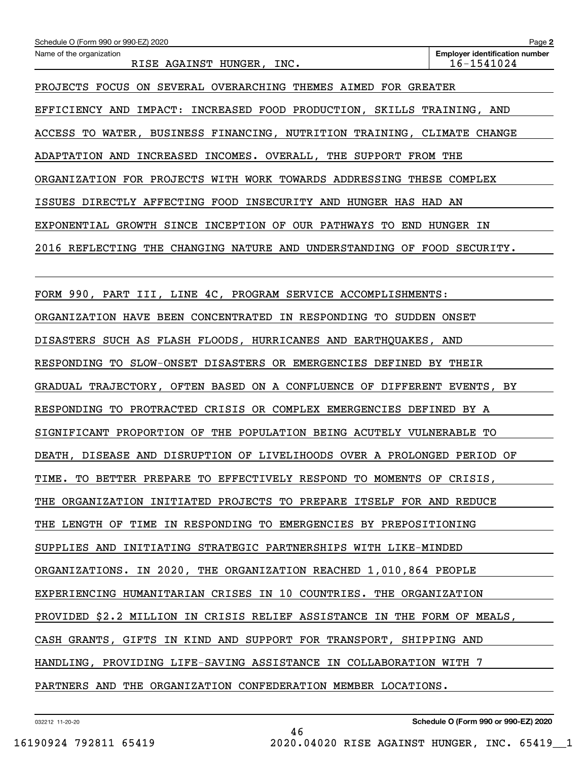| Schedule O (Form 990 or 990-EZ) 2020                                     | Page 2                                              |  |  |  |
|--------------------------------------------------------------------------|-----------------------------------------------------|--|--|--|
| Name of the organization<br>RISE AGAINST HUNGER, INC.                    | <b>Employer identification number</b><br>16-1541024 |  |  |  |
| PROJECTS FOCUS ON SEVERAL OVERARCHING THEMES AIMED FOR GREATER           |                                                     |  |  |  |
| EFFICIENCY AND IMPACT: INCREASED FOOD PRODUCTION, SKILLS TRAINING, AND   |                                                     |  |  |  |
| ACCESS TO WATER, BUSINESS FINANCING, NUTRITION TRAINING, CLIMATE CHANGE  |                                                     |  |  |  |
| ADAPTATION AND INCREASED INCOMES. OVERALL, THE SUPPORT FROM THE          |                                                     |  |  |  |
| ORGANIZATION FOR PROJECTS WITH WORK TOWARDS ADDRESSING THESE COMPLEX     |                                                     |  |  |  |
| ISSUES DIRECTLY AFFECTING FOOD INSECURITY AND HUNGER HAS HAD AN          |                                                     |  |  |  |
| EXPONENTIAL GROWTH SINCE INCEPTION OF OUR PATHWAYS TO END HUNGER IN      |                                                     |  |  |  |
| 2016 REFLECTING THE CHANGING NATURE AND UNDERSTANDING OF FOOD SECURITY.  |                                                     |  |  |  |
|                                                                          |                                                     |  |  |  |
| FORM 990, PART III, LINE 4C, PROGRAM SERVICE ACCOMPLISHMENTS:            |                                                     |  |  |  |
| ORGANIZATION HAVE BEEN CONCENTRATED IN RESPONDING TO SUDDEN ONSET        |                                                     |  |  |  |
| DISASTERS SUCH AS FLASH FLOODS, HURRICANES AND EARTHQUAKES, AND          |                                                     |  |  |  |
| RESPONDING TO SLOW-ONSET DISASTERS OR EMERGENCIES DEFINED BY THEIR       |                                                     |  |  |  |
| GRADUAL TRAJECTORY, OFTEN BASED ON A CONFLUENCE OF DIFFERENT EVENTS, BY  |                                                     |  |  |  |
| RESPONDING TO PROTRACTED CRISIS OR COMPLEX EMERGENCIES DEFINED BY A      |                                                     |  |  |  |
| SIGNIFICANT PROPORTION OF THE POPULATION BEING ACUTELY VULNERABLE TO     |                                                     |  |  |  |
| DEATH, DISEASE AND DISRUPTION OF LIVELIHOODS OVER A PROLONGED PERIOD OF  |                                                     |  |  |  |
| TIME. TO BETTER PREPARE TO EFFECTIVELY RESPOND TO MOMENTS OF CRISIS,     |                                                     |  |  |  |
| THE ORGANIZATION INITIATED PROJECTS TO PREPARE ITSELF FOR AND REDUCE     |                                                     |  |  |  |
| THE LENGTH OF TIME IN RESPONDING TO EMERGENCIES BY PREPOSITIONING        |                                                     |  |  |  |
| SUPPLIES AND INITIATING STRATEGIC PARTNERSHIPS WITH LIKE-MINDED          |                                                     |  |  |  |
| ORGANIZATIONS. IN 2020, THE ORGANIZATION REACHED 1,010,864 PEOPLE        |                                                     |  |  |  |
| EXPERIENCING HUMANITARIAN CRISES IN 10 COUNTRIES. THE ORGANIZATION       |                                                     |  |  |  |
| PROVIDED \$2.2 MILLION IN CRISIS RELIEF ASSISTANCE IN THE FORM OF MEALS, |                                                     |  |  |  |
| CASH GRANTS, GIFTS IN KIND AND SUPPORT FOR TRANSPORT, SHIPPING AND       |                                                     |  |  |  |
| HANDLING, PROVIDING LIFE-SAVING ASSISTANCE IN COLLABORATION WITH 7       |                                                     |  |  |  |
| PARTNERS AND THE ORGANIZATION CONFEDERATION MEMBER LOCATIONS.            |                                                     |  |  |  |

46

032212 11-20-20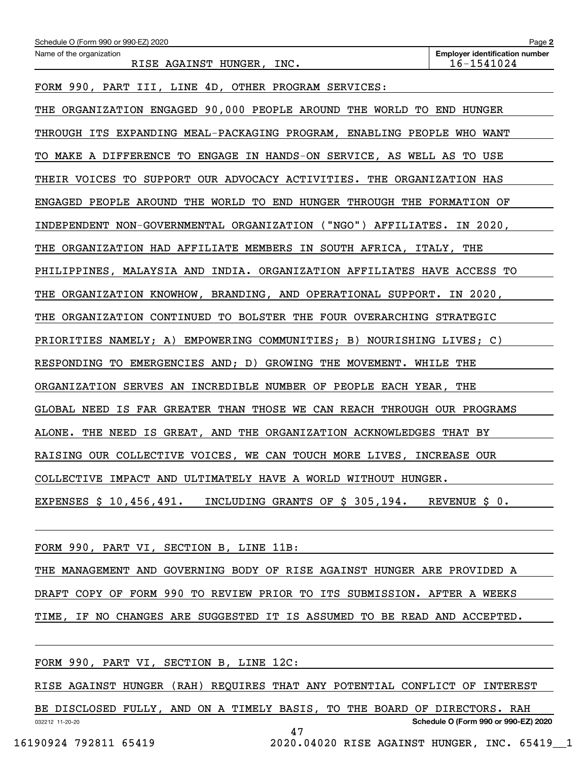| Schedule O (Form 990 or 990-EZ) 2020                                     | Page 2                                              |  |  |  |
|--------------------------------------------------------------------------|-----------------------------------------------------|--|--|--|
| Name of the organization<br>RISE AGAINST HUNGER, INC.                    | <b>Employer identification number</b><br>16-1541024 |  |  |  |
| FORM 990, PART III, LINE 4D, OTHER PROGRAM SERVICES:                     |                                                     |  |  |  |
| THE ORGANIZATION ENGAGED 90,000 PEOPLE AROUND THE WORLD TO END HUNGER    |                                                     |  |  |  |
| THROUGH ITS EXPANDING MEAL-PACKAGING PROGRAM, ENABLING PEOPLE WHO WANT   |                                                     |  |  |  |
| TO MAKE A DIFFERENCE TO ENGAGE IN HANDS-ON SERVICE, AS WELL AS TO USE    |                                                     |  |  |  |
| THEIR VOICES TO SUPPORT OUR ADVOCACY ACTIVITIES. THE ORGANIZATION HAS    |                                                     |  |  |  |
| ENGAGED PEOPLE AROUND THE WORLD TO END HUNGER THROUGH THE FORMATION OF   |                                                     |  |  |  |
| INDEPENDENT NON-GOVERNMENTAL ORGANIZATION ("NGO") AFFILIATES. IN 2020,   |                                                     |  |  |  |
| THE ORGANIZATION HAD AFFILIATE MEMBERS IN SOUTH AFRICA, ITALY, THE       |                                                     |  |  |  |
| PHILIPPINES, MALAYSIA AND INDIA. ORGANIZATION AFFILIATES HAVE ACCESS TO  |                                                     |  |  |  |
| ORGANIZATION KNOWHOW, BRANDING, AND OPERATIONAL SUPPORT. IN 2020,<br>THE |                                                     |  |  |  |
| THE ORGANIZATION CONTINUED TO BOLSTER THE FOUR OVERARCHING STRATEGIC     |                                                     |  |  |  |
| PRIORITIES NAMELY; A) EMPOWERING COMMUNITIES; B) NOURISHING LIVES; C)    |                                                     |  |  |  |
| RESPONDING TO EMERGENCIES AND; D) GROWING THE MOVEMENT. WHILE THE        |                                                     |  |  |  |
| ORGANIZATION SERVES AN INCREDIBLE NUMBER OF PEOPLE EACH YEAR,            | THE                                                 |  |  |  |
| GLOBAL NEED IS FAR GREATER THAN THOSE WE CAN REACH THROUGH OUR PROGRAMS  |                                                     |  |  |  |
| ALONE. THE NEED IS GREAT, AND THE ORGANIZATION ACKNOWLEDGES THAT BY      |                                                     |  |  |  |
| RAISING OUR COLLECTIVE VOICES, WE CAN TOUCH MORE LIVES, INCREASE OUR     |                                                     |  |  |  |
| COLLECTIVE IMPACT AND ULTIMATELY HAVE A WORLD WITHOUT HUNGER.            |                                                     |  |  |  |
| EXPENSES $$10,456,491$ . INCLUDING GRANTS OF $$305,194$ . REVENUE $$0$ . |                                                     |  |  |  |
|                                                                          |                                                     |  |  |  |

FORM 990, PART VI, SECTION B, LINE 11B:

THE MANAGEMENT AND GOVERNING BODY OF RISE AGAINST HUNGER ARE PROVIDED A DRAFT COPY OF FORM 990 TO REVIEW PRIOR TO ITS SUBMISSION. AFTER A WEEKS TIME, IF NO CHANGES ARE SUGGESTED IT IS ASSUMED TO BE READ AND ACCEPTED.

FORM 990, PART VI, SECTION B, LINE 12C:

RISE AGAINST HUNGER (RAH) REQUIRES THAT ANY POTENTIAL CONFLICT OF INTEREST

032212 11-20-20 **Schedule O (Form 990 or 990-EZ) 2020** BE DISCLOSED FULLY, AND ON A TIMELY BASIS, TO THE BOARD OF DIRECTORS. RAH 47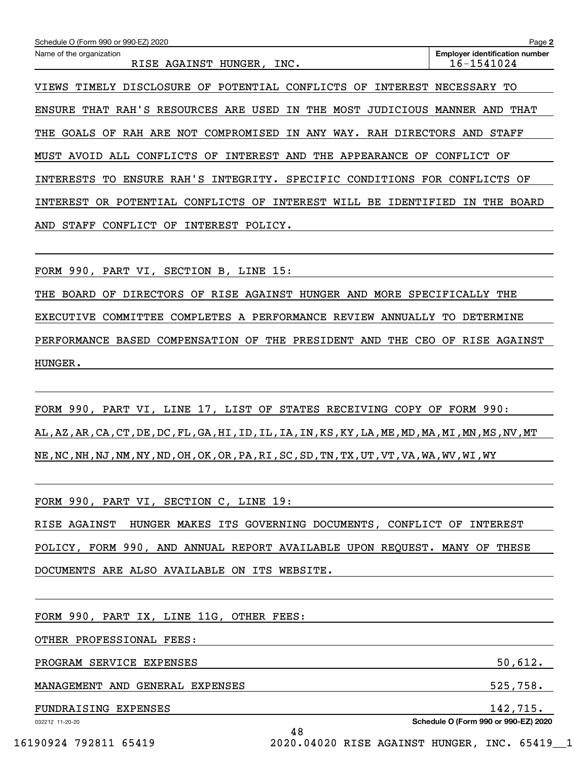| Schedule O (Form 990 or 990-EZ) 2020                                                           | Page 2                                              |
|------------------------------------------------------------------------------------------------|-----------------------------------------------------|
| Name of the organization<br>AGAINST HUNGER,<br>INC.<br>RISE                                    | <b>Employer identification number</b><br>16-1541024 |
|                                                                                                |                                                     |
| <b>DISCLOSURE</b><br>POTENTIAL<br>CONFLICTS<br>INTEREST<br>TIMELY<br>ОF<br>OF<br>VIEWS         | NECESSARY<br>TО                                     |
| THAT RAH'S RESOURCES<br>USED<br>IN<br>MOST<br><b>ENSURE</b><br>ARE<br>THE<br>JUDICIOUS         | MANNER<br>AND<br>THAT                               |
| COMPROMISED<br>RAH ARE NOT<br>IN<br>ANY<br>WAY.<br>RAH DIRECTORS<br><b>GOALS</b><br>OF<br>THE  | AND<br>STAFF                                        |
| MUST AVOID<br>ALL CONFLICTS<br>INTEREST AND<br>THE<br>APPEARANCE<br>OF<br>OF.                  | CONFLICT<br>OF                                      |
| ENSURE RAH'S<br>INTEGRITY.<br>SPECIFIC<br>CONDITIONS<br>INTERESTS<br>TО                        | FOR<br>CONFLICTS<br>OF                              |
| INTEREST<br>INTEREST<br>POTENTIAL<br><b>CONFLICTS</b><br>OF<br>BЕ<br>IDENTIFIED<br>OR.<br>WILL | THE<br><b>BOARD</b><br>ΙN                           |
| <b>STAFF</b><br>CONFLICT<br>OF<br>INTEREST<br>POLICY.<br>AND                                   |                                                     |
|                                                                                                |                                                     |

FORM 990, PART VI, SECTION B, LINE 15:

THE BOARD OF DIRECTORS OF RISE AGAINST HUNGER AND MORE SPECIFICALLY THE EXECUTIVE COMMITTEE COMPLETES A PERFORMANCE REVIEW ANNUALLY TO DETERMINE PERFORMANCE BASED COMPENSATION OF THE PRESIDENT AND THE CEO OF RISE AGAINST HUNGER.

FORM 990, PART VI, LINE 17, LIST OF STATES RECEIVING COPY OF FORM 990: AL,AZ,AR,CA,CT,DE,DC,FL,GA,HI,ID,IL,IA,IN,KS,KY,LA,ME,MD,MA,MI,MN,MS,NV,MT NE,NC,NH,NJ,NM,NY,ND,OH,OK,OR,PA,RI,SC,SD,TN,TX,UT,VT,VA,WA,WV,WI,WY

48

FORM 990, PART VI, SECTION C, LINE 19: RISE AGAINST HUNGER MAKES ITS GOVERNING DOCUMENTS, CONFLICT OF INTEREST POLICY, FORM 990, AND ANNUAL REPORT AVAILABLE UPON REQUEST. MANY OF THESE

DOCUMENTS ARE ALSO AVAILABLE ON ITS WEBSITE.

FORM 990, PART IX, LINE 11G, OTHER FEES:

OTHER PROFESSIONAL FEES:

PROGRAM SERVICE EXPENSES 50,612.

MANAGEMENT AND GENERAL EXPENSES 525,758.

FUNDRAISING EXPENSES 142,715.

032212 11-20-20

**Schedule O (Form 990 or 990-EZ) 2020**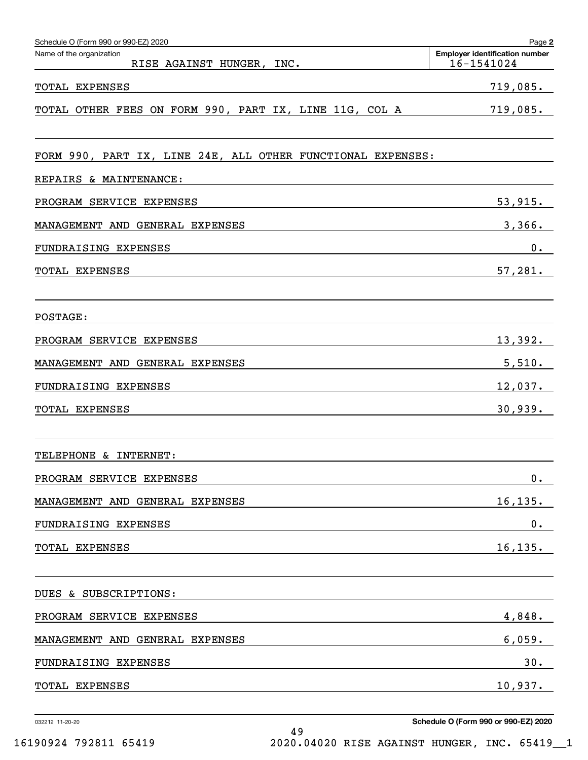| Schedule O (Form 990 or 990-EZ) 2020                        | Page 2                                              |
|-------------------------------------------------------------|-----------------------------------------------------|
| Name of the organization<br>RISE AGAINST HUNGER, INC.       | <b>Employer identification number</b><br>16-1541024 |
| TOTAL EXPENSES                                              | 719,085.                                            |
| TOTAL OTHER FEES ON FORM 990, PART IX, LINE 11G, COL A      | 719,085.                                            |
| FORM 990, PART IX, LINE 24E, ALL OTHER FUNCTIONAL EXPENSES: |                                                     |
| REPAIRS & MAINTENANCE:                                      |                                                     |
| PROGRAM SERVICE EXPENSES                                    | 53,915.                                             |
| MANAGEMENT AND<br>GENERAL EXPENSES                          | 3,366.                                              |
| FUNDRAISING EXPENSES                                        | 0.                                                  |
| TOTAL EXPENSES                                              | 57,281.                                             |
| POSTAGE:                                                    |                                                     |
| PROGRAM SERVICE EXPENSES                                    | 13,392.                                             |
| MANAGEMENT AND<br>GENERAL EXPENSES                          | 5,510.                                              |
| FUNDRAISING EXPENSES                                        | 12,037.                                             |
| TOTAL EXPENSES                                              | 30,939.                                             |
| TELEPHONE & INTERNET:                                       |                                                     |
| PROGRAM SERVICE EXPENSES                                    | 0.                                                  |
| MANAGEMENT AND GENERAL EXPENSES                             | 16, 135.                                            |
| FUNDRAISING EXPENSES                                        | $0_{.}$                                             |
| TOTAL EXPENSES                                              | 16, 135.                                            |
| DUES & SUBSCRIPTIONS:                                       |                                                     |
| PROGRAM SERVICE EXPENSES                                    | 4,848.                                              |
| MANAGEMENT AND GENERAL EXPENSES                             | 6,059.                                              |
| FUNDRAISING EXPENSES                                        | 30.                                                 |
| TOTAL EXPENSES                                              | 10,937.                                             |

032212 11-20-20